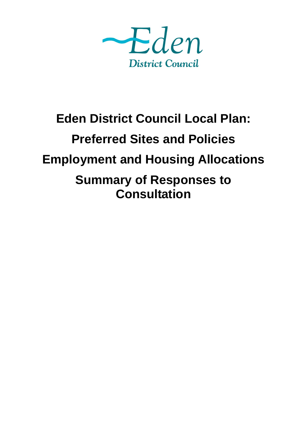

# **Eden District Council Local Plan: Preferred Sites and Policies Employment and Housing Allocations Summary of Responses to Consultation**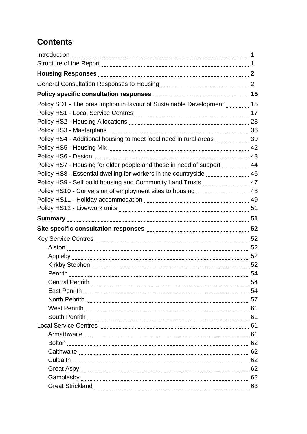## **Contents**

| Policy SD1 - The presumption in favour of Sustainable Development  15  |  |
|------------------------------------------------------------------------|--|
|                                                                        |  |
|                                                                        |  |
|                                                                        |  |
|                                                                        |  |
|                                                                        |  |
|                                                                        |  |
| Policy HS7 - Housing for older people and those in need of support  44 |  |
| Policy HS8 - Essential dwelling for workers in the countryside  46     |  |
| Policy HS9 - Self build housing and Community Land Trusts  47          |  |
|                                                                        |  |
|                                                                        |  |
|                                                                        |  |
|                                                                        |  |
|                                                                        |  |
|                                                                        |  |
|                                                                        |  |
|                                                                        |  |
|                                                                        |  |
|                                                                        |  |
| $\sim$ 54                                                              |  |
|                                                                        |  |
|                                                                        |  |
|                                                                        |  |
|                                                                        |  |
|                                                                        |  |
|                                                                        |  |
|                                                                        |  |
|                                                                        |  |
|                                                                        |  |
|                                                                        |  |
|                                                                        |  |
|                                                                        |  |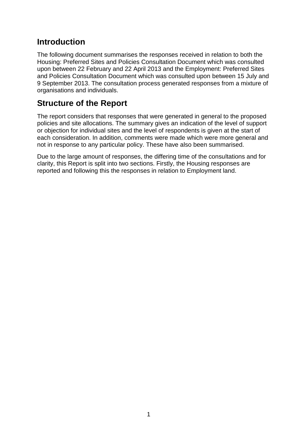#### **Introduction**

The following document summarises the responses received in relation to both the Housing: Preferred Sites and Policies Consultation Document which was consulted upon between 22 February and 22 April 2013 and the Employment: Preferred Sites and Policies Consultation Document which was consulted upon between 15 July and 9 September 2013. The consultation process generated responses from a mixture of organisations and individuals.

#### **Structure of the Report**

The report considers that responses that were generated in general to the proposed policies and site allocations. The summary gives an indication of the level of support or objection for individual sites and the level of respondents is given at the start of each consideration. In addition, comments were made which were more general and not in response to any particular policy. These have also been summarised.

Due to the large amount of responses, the differing time of the consultations and for clarity, this Report is split into two sections. Firstly, the Housing responses are reported and following this the responses in relation to Employment land.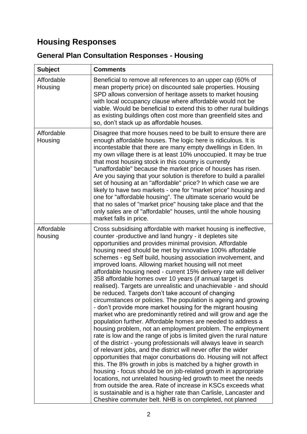## **Housing Responses**

## **General Plan Consultation Responses - Housing**

| <b>Subject</b>        | <b>Comments</b>                                                                                                                                                                                                                                                                                                                                                                                                                                                                                                                                                                                                                                                                                                                                                                                                                                                                                                                                                                                                                                                                                                                                                                                                                                                                                                                                                                                                                                                                                                                                                                                                                                              |
|-----------------------|--------------------------------------------------------------------------------------------------------------------------------------------------------------------------------------------------------------------------------------------------------------------------------------------------------------------------------------------------------------------------------------------------------------------------------------------------------------------------------------------------------------------------------------------------------------------------------------------------------------------------------------------------------------------------------------------------------------------------------------------------------------------------------------------------------------------------------------------------------------------------------------------------------------------------------------------------------------------------------------------------------------------------------------------------------------------------------------------------------------------------------------------------------------------------------------------------------------------------------------------------------------------------------------------------------------------------------------------------------------------------------------------------------------------------------------------------------------------------------------------------------------------------------------------------------------------------------------------------------------------------------------------------------------|
| Affordable<br>Housing | Beneficial to remove all references to an upper cap (60% of<br>mean property price) on discounted sale properties. Housing<br>SPD allows conversion of heritage assets to market housing<br>with local occupancy clause where affordable would not be<br>viable. Would be beneficial to extend this to other rural buildings<br>as existing buildings often cost more than greenfield sites and<br>so, don't stack up as affordable houses.                                                                                                                                                                                                                                                                                                                                                                                                                                                                                                                                                                                                                                                                                                                                                                                                                                                                                                                                                                                                                                                                                                                                                                                                                  |
| Affordable<br>Housing | Disagree that more houses need to be built to ensure there are<br>enough affordable houses. The logic here is ridiculous. It is<br>incontestable that there are many empty dwellings in Eden. In<br>my own village there is at least 10% unoccupied. It may be true<br>that most housing stock in this country is currently<br>"unaffordable" because the market price of houses has risen.<br>Are you saying that your solution is therefore to build a parallel<br>set of housing at an "affordable" price? In which case we are<br>likely to have two markets - one for "market price" housing and<br>one for "affordable housing". The ultimate scenario would be<br>that no sales of "market price" housing take place and that the<br>only sales are of "affordable" houses, until the whole housing<br>market falls in price.                                                                                                                                                                                                                                                                                                                                                                                                                                                                                                                                                                                                                                                                                                                                                                                                                         |
| Affordable<br>housing | Cross subsidising affordable with market housing is ineffective,<br>counter -productive and land hungry - it depletes site<br>opportunities and provides minimal provision. Affordable<br>housing need should be met by innovative 100% affordable<br>schemes - eg Self build, housing association involvement, and<br>improved loans. Allowing market housing will not meet<br>affordable housing need - current 15% delivery rate will deliver<br>358 affordable homes over 10 years (if annual target is<br>realised). Targets are unrealistic and unachievable - and should<br>be reduced. Targets don't take account of changing<br>circumstances or policies. The population is ageing and growing<br>- don't provide more market housing for the migrant housing<br>market who are predominantly retired and will grow and age the<br>population further. Affordable homes are needed to address a<br>housing problem, not an employment problem. The employment<br>rate is low and the range of jobs is limited given the rural nature<br>of the district - young professionals will always leave in search<br>of relevant jobs, and the district will never offer the wider<br>opportunities that major conurbations do. Housing will not affect<br>this. The 8% growth in jobs is matched by a higher growth in<br>housing - focus should be on job-related growth in appropriate<br>locations, not unrelated housing-led growth to meet the needs<br>from outside the area. Rate of increase in KSCs exceeds what<br>is sustainable and is a higher rate than Carlisle, Lancaster and<br>Cheshire commuter belt. NHB is on completed, not planned |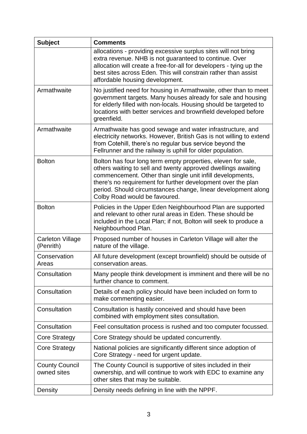| <b>Subject</b>                       | <b>Comments</b>                                                                                                                                                                                                                                                                                                                                              |
|--------------------------------------|--------------------------------------------------------------------------------------------------------------------------------------------------------------------------------------------------------------------------------------------------------------------------------------------------------------------------------------------------------------|
|                                      | allocations - providing excessive surplus sites will not bring<br>extra revenue. NHB is not guaranteed to continue. Over<br>allocation will create a free-for-all for developers - tying up the<br>best sites across Eden. This will constrain rather than assist<br>affordable housing development.                                                         |
| Armathwaite                          | No justified need for housing in Armathwaite, other than to meet<br>government targets. Many houses already for sale and housing<br>for elderly filled with non-locals. Housing should be targeted to<br>locations with better services and brownfield developed before<br>greenfield.                                                                       |
| Armathwaite                          | Armathwaite has good sewage and water infrastructure, and<br>electricity networks. However, British Gas is not willing to extend<br>from Cotehill, there's no regular bus service beyond the<br>Fellrunner and the railway is uphill for older population.                                                                                                   |
| <b>Bolton</b>                        | Bolton has four long term empty properties, eleven for sale,<br>others waiting to sell and twenty approved dwellings awaiting<br>commencement. Other than single unit infill developments,<br>there's no requirement for further development over the plan<br>period. Should circumstances change, linear development along<br>Colby Road would be favoured. |
| <b>Bolton</b>                        | Policies in the Upper Eden Neighbourhood Plan are supported<br>and relevant to other rural areas in Eden. These should be<br>included in the Local Plan; if not, Bolton will seek to produce a<br>Neighbourhood Plan.                                                                                                                                        |
| <b>Carleton Village</b><br>(Penrith) | Proposed number of houses in Carleton Village will alter the<br>nature of the village.                                                                                                                                                                                                                                                                       |
| Conservation<br>Areas                | All future development (except brownfield) should be outside of<br>conservation areas.                                                                                                                                                                                                                                                                       |
| Consultation                         | Many people think development is imminent and there will be no<br>further chance to comment.                                                                                                                                                                                                                                                                 |
| Consultation                         | Details of each policy should have been included on form to<br>make commenting easier.                                                                                                                                                                                                                                                                       |
| Consultation                         | Consultation is hastily conceived and should have been<br>combined with employment sites consultation.                                                                                                                                                                                                                                                       |
| Consultation                         | Feel consultation process is rushed and too computer focussed.                                                                                                                                                                                                                                                                                               |
| <b>Core Strategy</b>                 | Core Strategy should be updated concurrently.                                                                                                                                                                                                                                                                                                                |
| Core Strategy                        | National policies are significantly different since adoption of<br>Core Strategy - need for urgent update.                                                                                                                                                                                                                                                   |
| <b>County Council</b><br>owned sites | The County Council is supportive of sites included in their<br>ownership, and will continue to work with EDC to examine any<br>other sites that may be suitable.                                                                                                                                                                                             |
| Density                              | Density needs defining in line with the NPPF.                                                                                                                                                                                                                                                                                                                |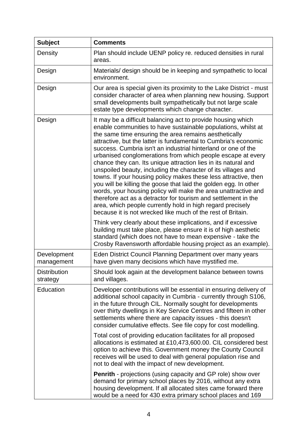| <b>Subject</b>                  | <b>Comments</b>                                                                                                                                                                                                                                                                                                                                                                                                                                                                                                                                                                                                                                                                                                                                                                                                                                                                                                                                                                                                                                                          |
|---------------------------------|--------------------------------------------------------------------------------------------------------------------------------------------------------------------------------------------------------------------------------------------------------------------------------------------------------------------------------------------------------------------------------------------------------------------------------------------------------------------------------------------------------------------------------------------------------------------------------------------------------------------------------------------------------------------------------------------------------------------------------------------------------------------------------------------------------------------------------------------------------------------------------------------------------------------------------------------------------------------------------------------------------------------------------------------------------------------------|
| Density                         | Plan should include UENP policy re. reduced densities in rural<br>areas.                                                                                                                                                                                                                                                                                                                                                                                                                                                                                                                                                                                                                                                                                                                                                                                                                                                                                                                                                                                                 |
| Design                          | Materials/ design should be in keeping and sympathetic to local<br>environment.                                                                                                                                                                                                                                                                                                                                                                                                                                                                                                                                                                                                                                                                                                                                                                                                                                                                                                                                                                                          |
| Design                          | Our area is special given its proximity to the Lake District - must<br>consider character of area when planning new housing. Support<br>small developments built sympathetically but not large scale<br>estate type developments which change character.                                                                                                                                                                                                                                                                                                                                                                                                                                                                                                                                                                                                                                                                                                                                                                                                                 |
| Design                          | It may be a difficult balancing act to provide housing which<br>enable communities to have sustainable populations, whilst at<br>the same time ensuring the area remains aesthetically<br>attractive, but the latter is fundamental to Cumbria's economic<br>success. Cumbria isn't an industrial hinterland or one of the<br>urbanised conglomerations from which people escape at every<br>chance they can. Its unique attraction lies in its natural and<br>unspoiled beauty, including the character of its villages and<br>towns. If your housing policy makes these less attractive, then<br>you will be killing the goose that laid the golden egg. In other<br>words, your housing policy will make the area unattractive and<br>therefore act as a detractor for tourism and settlement in the<br>area, which people currently hold in high regard precisely<br>because it is not wrecked like much of the rest of Britain.<br>Think very clearly about these implications, and if excessive<br>building must take place, please ensure it is of high aesthetic |
|                                 | standard (which does not have to mean expensive - take the<br>Crosby Ravensworth affordable housing project as an example).                                                                                                                                                                                                                                                                                                                                                                                                                                                                                                                                                                                                                                                                                                                                                                                                                                                                                                                                              |
| Development<br>management       | Eden District Council Planning Department over many years<br>have given many decisions which have mystified me.                                                                                                                                                                                                                                                                                                                                                                                                                                                                                                                                                                                                                                                                                                                                                                                                                                                                                                                                                          |
| <b>Distribution</b><br>strategy | Should look again at the development balance between towns<br>and villages.                                                                                                                                                                                                                                                                                                                                                                                                                                                                                                                                                                                                                                                                                                                                                                                                                                                                                                                                                                                              |
| Education                       | Developer contributions will be essential in ensuring delivery of<br>additional school capacity in Cumbria - currently through S106,<br>in the future through CIL. Normally sought for developments<br>over thirty dwellings in Key Service Centres and fifteen in other<br>settlements where there are capacity issues - this doesn't<br>consider cumulative effects. See file copy for cost modelling.                                                                                                                                                                                                                                                                                                                                                                                                                                                                                                                                                                                                                                                                 |
|                                 | Total cost of providing education facilitates for all proposed<br>allocations is estimated at £10,473,600.00. CIL considered best<br>option to achieve this. Government money the County Council<br>receives will be used to deal with general population rise and<br>not to deal with the impact of new development.                                                                                                                                                                                                                                                                                                                                                                                                                                                                                                                                                                                                                                                                                                                                                    |
|                                 | <b>Penrith</b> - projections (using capacity and GP role) show over<br>demand for primary school places by 2016, without any extra<br>housing development. If all allocated sites came forward there<br>would be a need for 430 extra primary school places and 169                                                                                                                                                                                                                                                                                                                                                                                                                                                                                                                                                                                                                                                                                                                                                                                                      |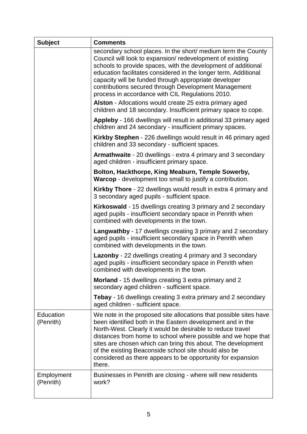| <b>Subject</b>          | <b>Comments</b>                                                                                                                                                                                                                                                                                                                                                                                                                                                  |
|-------------------------|------------------------------------------------------------------------------------------------------------------------------------------------------------------------------------------------------------------------------------------------------------------------------------------------------------------------------------------------------------------------------------------------------------------------------------------------------------------|
|                         | secondary school places. In the short/ medium term the County<br>Council will look to expansion/redevelopment of existing<br>schools to provide spaces, with the development of additional<br>education facilitates considered in the longer term. Additional<br>capacity will be funded through appropriate developer<br>contributions secured through Development Management<br>process in accordance with CIL Regulations 2010.                               |
|                         | Alston - Allocations would create 25 extra primary aged<br>children and 18 secondary. Insufficient primary space to cope.                                                                                                                                                                                                                                                                                                                                        |
|                         | Appleby - 166 dwellings will result in additional 33 primary aged<br>children and 24 secondary - insufficient primary spaces.                                                                                                                                                                                                                                                                                                                                    |
|                         | Kirkby Stephen - 226 dwellings would result in 46 primary aged<br>children and 33 secondary - sufficient spaces.                                                                                                                                                                                                                                                                                                                                                 |
|                         | <b>Armathwaite</b> - 20 dwellings - extra 4 primary and 3 secondary<br>aged children - insufficient primary space.                                                                                                                                                                                                                                                                                                                                               |
|                         | Bolton, Hackthorpe, King Meaburn, Temple Sowerby,<br><b>Warcop</b> - development too small to justify a contribution.                                                                                                                                                                                                                                                                                                                                            |
|                         | Kirkby Thore - 22 dwellings would result in extra 4 primary and<br>3 secondary aged pupils - sufficient space.                                                                                                                                                                                                                                                                                                                                                   |
|                         | <b>Kirkoswald</b> - 15 dwellings creating 3 primary and 2 secondary<br>aged pupils - insufficient secondary space in Penrith when<br>combined with developments in the town.                                                                                                                                                                                                                                                                                     |
|                         | <b>Langwathby</b> - 17 dwellings creating 3 primary and 2 secondary<br>aged pupils - insufficient secondary space in Penrith when<br>combined with developments in the town.                                                                                                                                                                                                                                                                                     |
|                         | <b>Lazonby</b> - 22 dwellings creating 4 primary and 3 secondary<br>aged pupils - insufficient secondary space in Penrith when<br>combined with developments in the town.                                                                                                                                                                                                                                                                                        |
|                         | <b>Morland</b> - 15 dwellings creating 3 extra primary and 2<br>secondary aged children - sufficient space.                                                                                                                                                                                                                                                                                                                                                      |
|                         | <b>Tebay</b> - 16 dwellings creating 3 extra primary and 2 secondary<br>aged children - sufficient space.                                                                                                                                                                                                                                                                                                                                                        |
| Education<br>(Penrith)  | We note in the proposed site allocations that possible sites have<br>been identified both in the Eastern development and in the<br>North-West. Clearly it would be desirable to reduce travel<br>distances from home to school where possible and we hope that<br>sites are chosen which can bring this about. The development<br>of the existing Beaconside school site should also be<br>considered as there appears to be opportunity for expansion<br>there. |
| Employment<br>(Penrith) | Businesses in Penrith are closing - where will new residents<br>work?                                                                                                                                                                                                                                                                                                                                                                                            |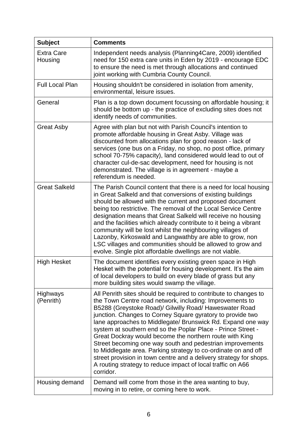| <b>Subject</b>               | <b>Comments</b>                                                                                                                                                                                                                                                                                                                                                                                                                                                                                                                                                                                                                                                                                                                 |
|------------------------------|---------------------------------------------------------------------------------------------------------------------------------------------------------------------------------------------------------------------------------------------------------------------------------------------------------------------------------------------------------------------------------------------------------------------------------------------------------------------------------------------------------------------------------------------------------------------------------------------------------------------------------------------------------------------------------------------------------------------------------|
| <b>Extra Care</b><br>Housing | Independent needs analysis (Planning4Care, 2009) identified<br>need for 150 extra care units in Eden by 2019 - encourage EDC<br>to ensure the need is met through allocations and continued<br>joint working with Cumbria County Council.                                                                                                                                                                                                                                                                                                                                                                                                                                                                                       |
| <b>Full Local Plan</b>       | Housing shouldn't be considered in isolation from amenity,<br>environmental, leisure issues.                                                                                                                                                                                                                                                                                                                                                                                                                                                                                                                                                                                                                                    |
| General                      | Plan is a top down document focussing on affordable housing; it<br>should be bottom up - the practice of excluding sites does not<br>identify needs of communities.                                                                                                                                                                                                                                                                                                                                                                                                                                                                                                                                                             |
| <b>Great Asby</b>            | Agree with plan but not with Parish Council's intention to<br>promote affordable housing in Great Asby. Village was<br>discounted from allocations plan for good reason - lack of<br>services (one bus on a Friday, no shop, no post office, primary<br>school 70-75% capacity), land considered would lead to out of<br>character cul-de-sac development, need for housing is not<br>demonstrated. The village is in agreement - maybe a<br>referendum is needed.                                                                                                                                                                                                                                                              |
| <b>Great Salkeld</b>         | The Parish Council content that there is a need for local housing<br>in Great Salkeld and that conversions of existing buildings<br>should be allowed with the current and proposed document<br>being too restrictive. The removal of the Local Service Centre<br>designation means that Great Salkeld will receive no housing<br>and the facilities which already contribute to it being a vibrant<br>community will be lost whilst the neighbouring villages of<br>Lazonby, Kirkoswald and Langwathby are able to grow, non<br>LSC villages and communities should be allowed to grow and<br>evolve. Single plot affordable dwellings are not viable.                                                                         |
| <b>High Hesket</b>           | The document identifies every existing green space in High<br>Hesket with the potential for housing development. It's the aim<br>of local developers to build on every blade of grass but any<br>more building sites would swamp the village.                                                                                                                                                                                                                                                                                                                                                                                                                                                                                   |
| Highways<br>(Penrith)        | All Penrith sites should be required to contribute to changes to<br>the Town Centre road network, including: Improvements to<br>B5288 (Greystoke Road)/ Gilwilly Road/ Haweswater Road<br>junction. Changes to Corney Square gyratory to provide two<br>lane approaches to Middlegate/ Brunswick Rd. Expand one way<br>system at southern end so the Poplar Place - Prince Street -<br>Great Dockray would become the northern route with King<br>Street becoming one way south and pedestrian improvements<br>to Middlegate area. Parking strategy to co-ordinate on and off<br>street provision in town centre and a delivery strategy for shops.<br>A routing strategy to reduce impact of local traffic on A66<br>corridor. |
| Housing demand               | Demand will come from those in the area wanting to buy,<br>moving in to retire, or coming here to work.                                                                                                                                                                                                                                                                                                                                                                                                                                                                                                                                                                                                                         |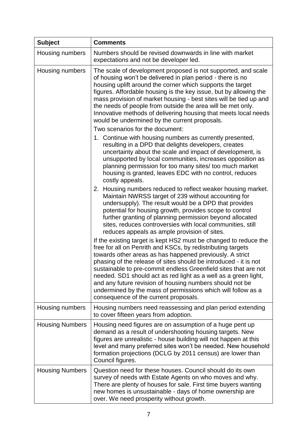| <b>Subject</b>         | <b>Comments</b>                                                                                                                                                                                                                                                                                                                                                                                                                                                                                                                                                            |
|------------------------|----------------------------------------------------------------------------------------------------------------------------------------------------------------------------------------------------------------------------------------------------------------------------------------------------------------------------------------------------------------------------------------------------------------------------------------------------------------------------------------------------------------------------------------------------------------------------|
| Housing numbers        | Numbers should be revised downwards in line with market<br>expectations and not be developer led.                                                                                                                                                                                                                                                                                                                                                                                                                                                                          |
| Housing numbers        | The scale of development proposed is not supported, and scale<br>of housing won't be delivered in plan period - there is no<br>housing uplift around the corner which supports the target<br>figures. Affordable housing is the key issue, but by allowing the<br>mass provision of market housing - best sites will be tied up and<br>the needs of people from outside the area will be met only.<br>Innovative methods of delivering housing that meets local needs<br>would be undermined by the current proposals.                                                     |
|                        | Two scenarios for the document:                                                                                                                                                                                                                                                                                                                                                                                                                                                                                                                                            |
|                        | 1. Continue with housing numbers as currently presented,<br>resulting in a DPD that delights developers, creates<br>uncertainty about the scale and impact of development, is<br>unsupported by local communities, increases opposition as<br>planning permission for too many sites/ too much market<br>housing is granted, leaves EDC with no control, reduces<br>costly appeals.                                                                                                                                                                                        |
|                        | 2. Housing numbers reduced to reflect weaker housing market.<br>Maintain NWRSS target of 239 without accounting for<br>undersupply). The result would be a DPD that provides<br>potential for housing growth, provides scope to control<br>further granting of planning permission beyond allocated<br>sites, reduces controversies with local communities, still<br>reduces appeals as ample provision of sites.                                                                                                                                                          |
|                        | If the existing target is kept HS2 must be changed to reduce the<br>free for all on Penrith and KSCs, by redistributing targets<br>towards other areas as has happened previously. A strict<br>phasing of the release of sites should be introduced - it is not<br>sustainable to pre-commit endless Greenfield sites that are not<br>needed. SD1 should act as red light as a well as a green light,<br>and any future revision of housing numbers should not be<br>undermined by the mass of permissions which will follow as a<br>consequence of the current proposals. |
| Housing numbers        | Housing numbers need reassessing and plan period extending<br>to cover fifteen years from adoption.                                                                                                                                                                                                                                                                                                                                                                                                                                                                        |
| <b>Housing Numbers</b> | Housing need figures are on assumption of a huge pent up<br>demand as a result of undershooting housing targets. New<br>figures are unrealistic - house building will not happen at this<br>level and many preferred sites won't be needed. New household<br>formation projections (DCLG by 2011 census) are lower than<br>Council figures.                                                                                                                                                                                                                                |
| <b>Housing Numbers</b> | Question need for these houses. Council should do its own<br>survey of needs with Estate Agents on who moves and why.<br>There are plenty of houses for sale. First time buyers wanting<br>new homes is unsustainable - days of home ownership are<br>over. We need prosperity without growth.                                                                                                                                                                                                                                                                             |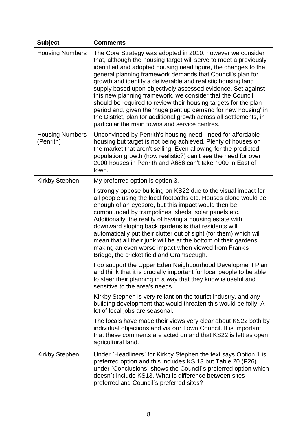| <b>Subject</b>                      | <b>Comments</b>                                                                                                                                                                                                                                                                                                                                                                                                                                                                                                                                                                                                                                                                                                            |
|-------------------------------------|----------------------------------------------------------------------------------------------------------------------------------------------------------------------------------------------------------------------------------------------------------------------------------------------------------------------------------------------------------------------------------------------------------------------------------------------------------------------------------------------------------------------------------------------------------------------------------------------------------------------------------------------------------------------------------------------------------------------------|
| <b>Housing Numbers</b>              | The Core Strategy was adopted in 2010; however we consider<br>that, although the housing target will serve to meet a previously<br>identified and adopted housing need figure, the changes to the<br>general planning framework demands that Council's plan for<br>growth and identify a deliverable and realistic housing land<br>supply based upon objectively assessed evidence. Set against<br>this new planning framework, we consider that the Council<br>should be required to review their housing targets for the plan<br>period and, given the 'huge pent up demand for new housing' in<br>the District, plan for additional growth across all settlements, in<br>particular the main towns and service centres. |
| <b>Housing Numbers</b><br>(Penrith) | Unconvinced by Penrith's housing need - need for affordable<br>housing but target is not being achieved. Plenty of houses on<br>the market that aren't selling. Even allowing for the predicted<br>population growth (how realistic?) can't see the need for over<br>2000 houses in Penrith and A686 can't take 1000 in East of<br>town.                                                                                                                                                                                                                                                                                                                                                                                   |
| <b>Kirkby Stephen</b>               | My preferred option is option 3.                                                                                                                                                                                                                                                                                                                                                                                                                                                                                                                                                                                                                                                                                           |
|                                     | I strongly oppose building on KS22 due to the visual impact for<br>all people using the local footpaths etc. Houses alone would be<br>enough of an eyesore, but this impact would then be<br>compounded by trampolines, sheds, solar panels etc.<br>Additionally, the reality of having a housing estate with<br>downward sloping back gardens is that residents will<br>automatically put their clutter out of sight (for them) which will<br>mean that all their junk will be at the bottom of their gardens,<br>making an even worse impact when viewed from Frank's<br>Bridge, the cricket field and Gramsceugh.                                                                                                       |
|                                     | I do support the Upper Eden Neighbourhood Development Plan<br>and think that it is crucially important for local people to be able<br>to steer their planning in a way that they know is useful and<br>sensitive to the area's needs.                                                                                                                                                                                                                                                                                                                                                                                                                                                                                      |
|                                     | Kirkby Stephen is very reliant on the tourist industry, and any<br>building development that would threaten this would be folly. A<br>lot of local jobs are seasonal.                                                                                                                                                                                                                                                                                                                                                                                                                                                                                                                                                      |
|                                     | The locals have made their views very clear about KS22 both by<br>individual objections and via our Town Council. It is important<br>that these comments are acted on and that KS22 is left as open<br>agricultural land.                                                                                                                                                                                                                                                                                                                                                                                                                                                                                                  |
| <b>Kirkby Stephen</b>               | Under `Headliners` for Kirkby Stephen the text says Option 1 is<br>preferred option and this includes KS 13 but Table 20 (P26)<br>under `Conclusions` shows the Council`s preferred option which<br>doesn't include KS13. What is difference between sites<br>preferred and Council's preferred sites?                                                                                                                                                                                                                                                                                                                                                                                                                     |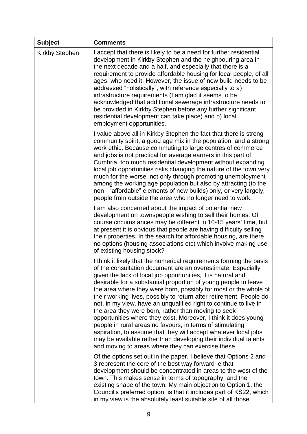| <b>Subject</b>        | <b>Comments</b>                                                                                                                                                                                                                                                                                                                                                                                                                                                                                                                                                                                                                                                                                                                                                                                                                                                            |
|-----------------------|----------------------------------------------------------------------------------------------------------------------------------------------------------------------------------------------------------------------------------------------------------------------------------------------------------------------------------------------------------------------------------------------------------------------------------------------------------------------------------------------------------------------------------------------------------------------------------------------------------------------------------------------------------------------------------------------------------------------------------------------------------------------------------------------------------------------------------------------------------------------------|
| <b>Kirkby Stephen</b> | I accept that there is likely to be a need for further residential<br>development in Kirkby Stephen and the neighbouring area in<br>the next decade and a half, and especially that there is a<br>requirement to provide affordable housing for local people, of all<br>ages, who need it. However, the issue of new build needs to be<br>addressed "holistically", with reference especially to a)<br>infrastructure requirements (I am glad it seems to be<br>acknowledged that additional sewerage infrastructure needs to<br>be provided in Kirkby Stephen before any further significant<br>residential development can take place) and b) local<br>employment opportunities.                                                                                                                                                                                         |
|                       | I value above all in Kirkby Stephen the fact that there is strong<br>community spirit, a good age mix in the population, and a strong<br>work ethic. Because commuting to large centres of commerce<br>and jobs is not practical for average earners in this part of<br>Cumbria, too much residential development without expanding<br>local job opportunities risks changing the nature of the town very<br>much for the worse, not only through promoting unemployment<br>among the working age population but also by attracting (to the<br>non - "affordable" elements of new builds) only, or very largely,<br>people from outside the area who no longer need to work.                                                                                                                                                                                               |
|                       | I am also concerned about the impact of potential new<br>development on townspeople wishing to sell their homes. Of<br>course circumstances may be different in 10-15 years' time, but<br>at present it is obvious that people are having difficulty selling<br>their properties. In the search for affordable housing, are there<br>no options (housing associations etc) which involve making use<br>of existing housing stock?                                                                                                                                                                                                                                                                                                                                                                                                                                          |
|                       | I think it likely that the numerical requirements forming the basis<br>of the consultation document are an overestimate. Especially<br>given the lack of local job opportunities, it is natural and<br>desirable for a substantial proportion of young people to leave<br>the area where they were born, possibly for most or the whole of<br>their working lives, possibly to return after retirement. People do<br>not, in my view, have an unqualified right to continue to live in<br>the area they were born, rather than moving to seek<br>opportunities where they exist. Moreover, I think it does young<br>people in rural areas no favours, in terms of stimulating<br>aspiration, to assume that they will accept whatever local jobs<br>may be available rather than developing their individual talents<br>and moving to areas where they can exercise these. |
|                       | Of the options set out in the paper, I believe that Options 2 and<br>3 represent the core of the best way forward ie that<br>development should be concentrated in areas to the west of the<br>town. This makes sense in terms of topography, and the<br>existing shape of the town. My main objection to Option 1, the<br>Council's preferred option, is that it includes part of KS22, which<br>in my view is the absolutely least suitable site of all those                                                                                                                                                                                                                                                                                                                                                                                                            |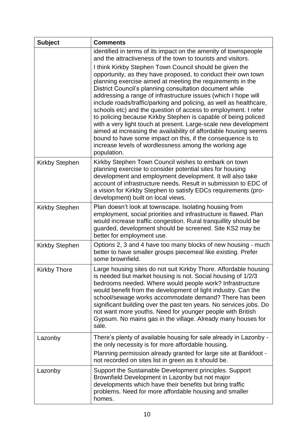| <b>Subject</b>        | <b>Comments</b>                                                                                                                                                                                                                                                                                                                                                                                                                                                                                                                                                                                                                                                                                                                                                                                             |
|-----------------------|-------------------------------------------------------------------------------------------------------------------------------------------------------------------------------------------------------------------------------------------------------------------------------------------------------------------------------------------------------------------------------------------------------------------------------------------------------------------------------------------------------------------------------------------------------------------------------------------------------------------------------------------------------------------------------------------------------------------------------------------------------------------------------------------------------------|
|                       | identified in terms of its impact on the amenity of townspeople<br>and the attractiveness of the town to tourists and visitors.                                                                                                                                                                                                                                                                                                                                                                                                                                                                                                                                                                                                                                                                             |
|                       | I think Kirkby Stephen Town Council should be given the<br>opportunity, as they have proposed, to conduct their own town<br>planning exercise aimed at meeting the requirements in the<br>District Council's planning consultation document while<br>addressing a range of infrastructure issues (which I hope will<br>include roads/traffic/parking and policing, as well as healthcare,<br>schools etc) and the question of access to employment. I refer<br>to policing because Kirkby Stephen is capable of being policed<br>with a very light touch at present. Large-scale new development<br>aimed at increasing the availability of affordable housing seems<br>bound to have some impact on this, if the consequence is to<br>increase levels of wordlessness among the working age<br>population. |
| <b>Kirkby Stephen</b> | Kirkby Stephen Town Council wishes to embark on town<br>planning exercise to consider potential sites for housing<br>development and employment development. It will also take<br>account of infrastructure needs. Result in submission to EDC of<br>a vision for Kirkby Stephen to satisfy EDCs requirements (pro-<br>development) built on local views.                                                                                                                                                                                                                                                                                                                                                                                                                                                   |
| <b>Kirkby Stephen</b> | Plan doesn't look at townscape. Isolating housing from<br>employment, social priorities and infrastructure is flawed. Plan<br>would increase traffic congestion. Rural tranquillity should be<br>guarded, development should be screened. Site KS2 may be<br>better for employment use.                                                                                                                                                                                                                                                                                                                                                                                                                                                                                                                     |
| <b>Kirkby Stephen</b> | Options 2, 3 and 4 have too many blocks of new housing - much<br>better to have smaller groups piecemeal like existing. Prefer<br>some brownfield.                                                                                                                                                                                                                                                                                                                                                                                                                                                                                                                                                                                                                                                          |
| <b>Kirkby Thore</b>   | Large housing sites do not suit Kirkby Thore. Affordable housing<br>is needed but market housing is not. Social housing of 1/2/3<br>bedrooms needed. Where would people work? Infrastructure<br>would benefit from the development of light industry. Can the<br>school/sewage works accommodate demand? There has been<br>significant building over the past ten years. No services jobs. Do<br>not want more youths. Need for younger people with British<br>Gypsum. No mains gas in the village. Already many houses for<br>sale.                                                                                                                                                                                                                                                                        |
| Lazonby               | There's plenty of available housing for sale already in Lazonby -<br>the only necessity is for more affordable housing.<br>Planning permission already granted for large site at Bankfoot -<br>not recorded on sites list in green as it should be.                                                                                                                                                                                                                                                                                                                                                                                                                                                                                                                                                         |
| Lazonby               | Support the Sustainable Development principles. Support<br>Brownfield Development in Lazonby but not major<br>developments which have their benefits but bring traffic<br>problems. Need for more affordable housing and smaller<br>homes.                                                                                                                                                                                                                                                                                                                                                                                                                                                                                                                                                                  |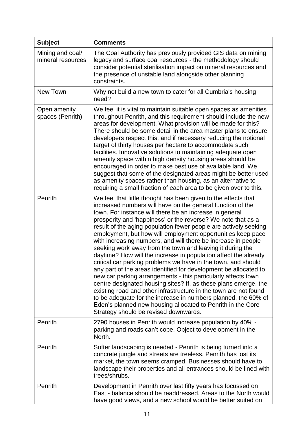| <b>Subject</b>                        | <b>Comments</b>                                                                                                                                                                                                                                                                                                                                                                                                                                                                                                                                                                                                                                                                                                                                                                                                                                                                                                                                                                                                                                                                                                    |
|---------------------------------------|--------------------------------------------------------------------------------------------------------------------------------------------------------------------------------------------------------------------------------------------------------------------------------------------------------------------------------------------------------------------------------------------------------------------------------------------------------------------------------------------------------------------------------------------------------------------------------------------------------------------------------------------------------------------------------------------------------------------------------------------------------------------------------------------------------------------------------------------------------------------------------------------------------------------------------------------------------------------------------------------------------------------------------------------------------------------------------------------------------------------|
| Mining and coal/<br>mineral resources | The Coal Authority has previously provided GIS data on mining<br>legacy and surface coal resources - the methodology should<br>consider potential sterilisation impact on mineral resources and<br>the presence of unstable land alongside other planning<br>constraints.                                                                                                                                                                                                                                                                                                                                                                                                                                                                                                                                                                                                                                                                                                                                                                                                                                          |
| New Town                              | Why not build a new town to cater for all Cumbria's housing<br>need?                                                                                                                                                                                                                                                                                                                                                                                                                                                                                                                                                                                                                                                                                                                                                                                                                                                                                                                                                                                                                                               |
| Open amenity<br>spaces (Penrith)      | We feel it is vital to maintain suitable open spaces as amenities<br>throughout Penrith, and this requirement should include the new<br>areas for development. What provision will be made for this?<br>There should be some detail in the area master plans to ensure<br>developers respect this, and if necessary reducing the notional<br>target of thirty houses per hectare to accommodate such<br>facilities. Innovative solutions to maintaining adequate open<br>amenity space within high density housing areas should be<br>encouraged in order to make best use of available land. We<br>suggest that some of the designated areas might be better used<br>as amenity spaces rather than housing, as an alternative to<br>requiring a small fraction of each area to be given over to this.                                                                                                                                                                                                                                                                                                             |
| Penrith                               | We feel that little thought has been given to the effects that<br>increased numbers will have on the general function of the<br>town. For instance will there be an increase in general<br>prosperity and 'happiness' or the reverse? We note that as a<br>result of the aging population fewer people are actively seeking<br>employment, but how will employment opportunities keep pace<br>with increasing numbers, and will there be increase in people<br>seeking work away from the town and leaving it during the<br>daytime? How will the increase in population affect the already<br>critical car parking problems we have in the town, and should<br>any part of the areas identified for development be allocated to<br>new car parking arrangements - this particularly affects town<br>centre designated housing sites? If, as these plans emerge, the<br>existing road and other infrastructure in the town are not found<br>to be adequate for the increase in numbers planned, the 60% of<br>Eden's planned new housing allocated to Penrith in the Core<br>Strategy should be revised downwards. |
| Penrith                               | 2790 houses in Penrith would increase population by 40% -<br>parking and roads can't cope. Object to development in the<br>North.                                                                                                                                                                                                                                                                                                                                                                                                                                                                                                                                                                                                                                                                                                                                                                                                                                                                                                                                                                                  |
| Penrith                               | Softer landscaping is needed - Penrith is being turned into a<br>concrete jungle and streets are treeless. Penrith has lost its<br>market, the town seems cramped. Businesses should have to<br>landscape their properties and all entrances should be lined with<br>trees/shrubs.                                                                                                                                                                                                                                                                                                                                                                                                                                                                                                                                                                                                                                                                                                                                                                                                                                 |
| Penrith                               | Development in Penrith over last fifty years has focussed on<br>East - balance should be readdressed. Areas to the North would<br>have good views, and a new school would be better suited on                                                                                                                                                                                                                                                                                                                                                                                                                                                                                                                                                                                                                                                                                                                                                                                                                                                                                                                      |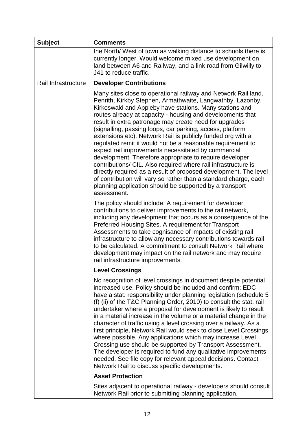| <b>Subject</b>      | <b>Comments</b>                                                                                                                                                                                                                                                                                                                                                                                                                                                                                                                                                                                                                                                                                                                                                                                                                                                                                                  |
|---------------------|------------------------------------------------------------------------------------------------------------------------------------------------------------------------------------------------------------------------------------------------------------------------------------------------------------------------------------------------------------------------------------------------------------------------------------------------------------------------------------------------------------------------------------------------------------------------------------------------------------------------------------------------------------------------------------------------------------------------------------------------------------------------------------------------------------------------------------------------------------------------------------------------------------------|
|                     | the North/ West of town as walking distance to schools there is<br>currently longer. Would welcome mixed use development on<br>land between A6 and Railway, and a link road from Gilwilly to<br>J41 to reduce traffic.                                                                                                                                                                                                                                                                                                                                                                                                                                                                                                                                                                                                                                                                                           |
| Rail Infrastructure | <b>Developer Contributions</b>                                                                                                                                                                                                                                                                                                                                                                                                                                                                                                                                                                                                                                                                                                                                                                                                                                                                                   |
|                     | Many sites close to operational railway and Network Rail land.<br>Penrith, Kirkby Stephen, Armathwaite, Langwathby, Lazonby,<br>Kirkoswald and Appleby have stations. Many stations and<br>routes already at capacity - housing and developments that<br>result in extra patronage may create need for upgrades<br>(signalling, passing loops, car parking, access, platform<br>extensions etc). Network Rail is publicly funded org with a<br>regulated remit it would not be a reasonable requirement to<br>expect rail improvements necessitated by commercial<br>development. Therefore appropriate to require developer<br>contributions/ CIL. Also required where rail infrastructure is<br>directly required as a result of proposed development. The level<br>of contribution will vary so rather than a standard charge, each<br>planning application should be supported by a transport<br>assessment. |
|                     | The policy should include: A requirement for developer<br>contributions to deliver improvements to the rail network,<br>including any development that occurs as a consequence of the<br>Preferred Housing Sites. A requirement for Transport<br>Assessments to take cognisance of impacts of existing rail<br>infrastructure to allow any necessary contributions towards rail<br>to be calculated. A commitment to consult Network Rail where<br>development may impact on the rail network and may require<br>rail infrastructure improvements.                                                                                                                                                                                                                                                                                                                                                               |
|                     | <b>Level Crossings</b>                                                                                                                                                                                                                                                                                                                                                                                                                                                                                                                                                                                                                                                                                                                                                                                                                                                                                           |
|                     | No recognition of level crossings in document despite potential<br>increased use. Policy should be included and confirm: EDC<br>have a stat. responsibility under planning legislation (schedule 5<br>(f) (ii) of the T&C Planning Order, 2010) to consult the stat. rail<br>undertaker where a proposal for development is likely to result<br>in a material increase in the volume or a material change in the<br>character of traffic using a level crossing over a railway. As a<br>first principle, Network Rail would seek to close Level Crossings<br>where possible. Any applications which may increase Level<br>Crossing use should be supported by Transport Assessment.<br>The developer is required to fund any qualitative improvements<br>needed. See file copy for relevant appeal decisions. Contact<br>Network Rail to discuss specific developments.                                          |
|                     | <b>Asset Protection</b>                                                                                                                                                                                                                                                                                                                                                                                                                                                                                                                                                                                                                                                                                                                                                                                                                                                                                          |
|                     | Sites adjacent to operational railway - developers should consult<br>Network Rail prior to submitting planning application.                                                                                                                                                                                                                                                                                                                                                                                                                                                                                                                                                                                                                                                                                                                                                                                      |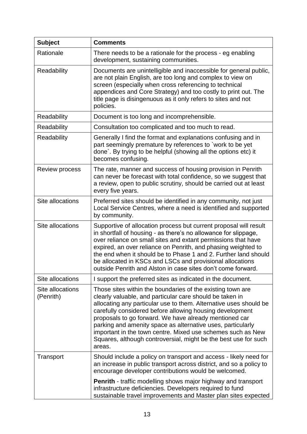| <b>Subject</b>                | <b>Comments</b>                                                                                                                                                                                                                                                                                                                                                                                                                                                                                                              |
|-------------------------------|------------------------------------------------------------------------------------------------------------------------------------------------------------------------------------------------------------------------------------------------------------------------------------------------------------------------------------------------------------------------------------------------------------------------------------------------------------------------------------------------------------------------------|
| Rationale                     | There needs to be a rationale for the process - eg enabling<br>development, sustaining communities.                                                                                                                                                                                                                                                                                                                                                                                                                          |
| Readability                   | Documents are unintelligible and inaccessible for general public,<br>are not plain English, are too long and complex to view on<br>screen (especially when cross referencing to technical<br>appendices and Core Strategy) and too costly to print out. The<br>title page is disingenuous as it only refers to sites and not<br>policies.                                                                                                                                                                                    |
| Readability                   | Document is too long and incomprehensible.                                                                                                                                                                                                                                                                                                                                                                                                                                                                                   |
| Readability                   | Consultation too complicated and too much to read.                                                                                                                                                                                                                                                                                                                                                                                                                                                                           |
| Readability                   | Generally I find the format and explanations confusing and in<br>part seemingly premature by references to `work to be yet<br>done`. By trying to be helpful (showing all the options etc) it<br>becomes confusing.                                                                                                                                                                                                                                                                                                          |
| Review process                | The rate, manner and success of housing provision in Penrith<br>can never be forecast with total confidence, so we suggest that<br>a review, open to public scrutiny, should be carried out at least<br>every five years.                                                                                                                                                                                                                                                                                                    |
| Site allocations              | Preferred sites should be identified in any community, not just<br>Local Service Centres, where a need is identified and supported<br>by community.                                                                                                                                                                                                                                                                                                                                                                          |
| Site allocations              | Supportive of allocation process but current proposal will result<br>in shortfall of housing - as there's no allowance for slippage,<br>over reliance on small sites and extant permissions that have<br>expired, an over reliance on Penrith, and phasing weighted to<br>the end when it should be to Phase 1 and 2. Further land should<br>be allocated in KSCs and LSCs and provisional allocations<br>outside Penrith and Alston in case sites don't come forward.                                                       |
| Site allocations              | I support the preferred sites as indicated in the document.                                                                                                                                                                                                                                                                                                                                                                                                                                                                  |
| Site allocations<br>(Penrith) | Those sites within the boundaries of the existing town are<br>clearly valuable, and particular care should be taken in<br>allocating any particular use to them. Alternative uses should be<br>carefully considered before allowing housing development<br>proposals to go forward. We have already mentioned car<br>parking and amenity space as alternative uses, particularly<br>important in the town centre. Mixed use schemes such as New<br>Squares, although controversial, might be the best use for such<br>areas. |
| Transport                     | Should include a policy on transport and access - likely need for<br>an increase in public transport across district, and so a policy to<br>encourage developer contributions would be welcomed.                                                                                                                                                                                                                                                                                                                             |
|                               | <b>Penrith</b> - traffic modelling shows major highway and transport<br>infrastructure deficiencies. Developers required to fund<br>sustainable travel improvements and Master plan sites expected                                                                                                                                                                                                                                                                                                                           |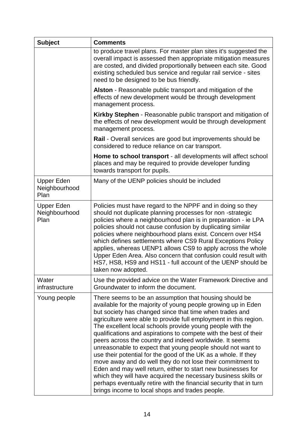| <b>Subject</b>                             | <b>Comments</b>                                                                                                                                                                                                                                                                                                                                                                                                                                                                                                                                                                                                                                                                                                                                                                                                                                                                                              |
|--------------------------------------------|--------------------------------------------------------------------------------------------------------------------------------------------------------------------------------------------------------------------------------------------------------------------------------------------------------------------------------------------------------------------------------------------------------------------------------------------------------------------------------------------------------------------------------------------------------------------------------------------------------------------------------------------------------------------------------------------------------------------------------------------------------------------------------------------------------------------------------------------------------------------------------------------------------------|
|                                            | to produce travel plans. For master plan sites it's suggested the<br>overall impact is assessed then appropriate mitigation measures<br>are costed, and divided proportionally between each site. Good<br>existing scheduled bus service and regular rail service - sites<br>need to be designed to be bus friendly.                                                                                                                                                                                                                                                                                                                                                                                                                                                                                                                                                                                         |
|                                            | Alston - Reasonable public transport and mitigation of the<br>effects of new development would be through development<br>management process.                                                                                                                                                                                                                                                                                                                                                                                                                                                                                                                                                                                                                                                                                                                                                                 |
|                                            | Kirkby Stephen - Reasonable public transport and mitigation of<br>the effects of new development would be through development<br>management process.                                                                                                                                                                                                                                                                                                                                                                                                                                                                                                                                                                                                                                                                                                                                                         |
|                                            | <b>Rail</b> - Overall services are good but improvements should be<br>considered to reduce reliance on car transport.                                                                                                                                                                                                                                                                                                                                                                                                                                                                                                                                                                                                                                                                                                                                                                                        |
|                                            | Home to school transport - all developments will affect school<br>places and may be required to provide developer funding<br>towards transport for pupils.                                                                                                                                                                                                                                                                                                                                                                                                                                                                                                                                                                                                                                                                                                                                                   |
| <b>Upper Eden</b><br>Neighbourhood<br>Plan | Many of the UENP policies should be included                                                                                                                                                                                                                                                                                                                                                                                                                                                                                                                                                                                                                                                                                                                                                                                                                                                                 |
| <b>Upper Eden</b><br>Neighbourhood<br>Plan | Policies must have regard to the NPPF and in doing so they<br>should not duplicate planning processes for non-strategic<br>policies where a neighbourhood plan is in preparation - ie LPA<br>policies should not cause confusion by duplicating similar<br>policies where neighbourhood plans exist. Concern over HS4<br>which defines settlements where CS9 Rural Exceptions Policy<br>applies, whereas UENP1 allows CS9 to apply across the whole<br>Upper Eden Area. Also concern that confusion could result with<br>HS7, HS8, HS9 and HS11 - full account of the UENP should be<br>taken now adopted.                                                                                                                                                                                                                                                                                                   |
| Water<br>infrastructure                    | Use the provided advice on the Water Framework Directive and<br>Groundwater to inform the document.                                                                                                                                                                                                                                                                                                                                                                                                                                                                                                                                                                                                                                                                                                                                                                                                          |
| Young people                               | There seems to be an assumption that housing should be<br>available for the majority of young people growing up in Eden<br>but society has changed since that time when trades and<br>agriculture were able to provide full employment in this region.<br>The excellent local schools provide young people with the<br>qualifications and aspirations to compete with the best of their<br>peers across the country and indeed worldwide. It seems<br>unreasonable to expect that young people should not want to<br>use their potential for the good of the UK as a whole. If they<br>move away and do well they do not lose their commitment to<br>Eden and may well return, either to start new businesses for<br>which they will have acquired the necessary business skills or<br>perhaps eventually retire with the financial security that in turn<br>brings income to local shops and trades people. |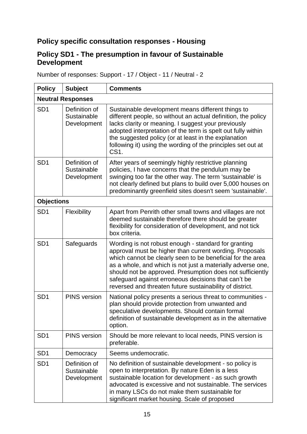#### **Policy specific consultation responses - Housing**

#### **Policy SD1 - The presumption in favour of Sustainable Development**

Number of responses: Support - 17 / Object - 11 / Neutral - 2

| <b>Policy</b>            | <b>Subject</b>                              | <b>Comments</b>                                                                                                                                                                                                                                                                                                                                                                                                              |
|--------------------------|---------------------------------------------|------------------------------------------------------------------------------------------------------------------------------------------------------------------------------------------------------------------------------------------------------------------------------------------------------------------------------------------------------------------------------------------------------------------------------|
| <b>Neutral Responses</b> |                                             |                                                                                                                                                                                                                                                                                                                                                                                                                              |
| SD <sub>1</sub>          | Definition of<br>Sustainable<br>Development | Sustainable development means different things to<br>different people, so without an actual definition, the policy<br>lacks clarity or meaning. I suggest your previously<br>adopted interpretation of the term is spelt out fully within<br>the suggested policy (or at least in the explanation<br>following it) using the wording of the principles set out at<br>CS1.                                                    |
| SD <sub>1</sub>          | Definition of<br>Sustainable<br>Development | After years of seemingly highly restrictive planning<br>policies, I have concerns that the pendulum may be<br>swinging too far the other way. The term 'sustainable' is<br>not clearly defined but plans to build over 5,000 houses on<br>predominantly greenfield sites doesn't seem 'sustainable'.                                                                                                                         |
| <b>Objections</b>        |                                             |                                                                                                                                                                                                                                                                                                                                                                                                                              |
| SD <sub>1</sub>          | Flexibility                                 | Apart from Penrith other small towns and villages are not<br>deemed sustainable therefore there should be greater<br>flexibility for consideration of development, and not tick<br>box criteria.                                                                                                                                                                                                                             |
| SD <sub>1</sub>          | Safeguards                                  | Wording is not robust enough - standard for granting<br>approval must be higher than current wording. Proposals<br>which cannot be clearly seen to be beneficial for the area<br>as a whole, and which is not just a materially adverse one,<br>should not be approved. Presumption does not sufficiently<br>safeguard against erroneous decisions that can't be<br>reversed and threaten future sustainability of district. |
| SD <sub>1</sub>          | <b>PINS</b> version                         | National policy presents a serious threat to communities -<br>plan should provide protection from unwanted and<br>speculative developments. Should contain formal<br>definition of sustainable development as in the alternative<br>option.                                                                                                                                                                                  |
| SD <sub>1</sub>          | <b>PINS</b> version                         | Should be more relevant to local needs, PINS version is<br>preferable.                                                                                                                                                                                                                                                                                                                                                       |
| SD <sub>1</sub>          | Democracy                                   | Seems undemocratic.                                                                                                                                                                                                                                                                                                                                                                                                          |
| SD <sub>1</sub>          | Definition of<br>Sustainable<br>Development | No definition of sustainable development - so policy is<br>open to interpretation. By nature Eden is a less<br>sustainable location for development - as such growth<br>advocated is excessive and not sustainable. The services<br>in many LSCs do not make them sustainable for<br>significant market housing. Scale of proposed                                                                                           |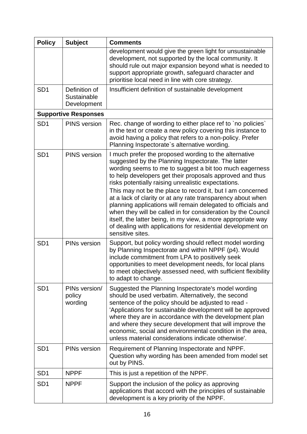| <b>Policy</b>   | <b>Subject</b>                              | <b>Comments</b>                                                                                                                                                                                                                                                                                                                                                                                                                                                                                                                                                                                                                                                                                           |
|-----------------|---------------------------------------------|-----------------------------------------------------------------------------------------------------------------------------------------------------------------------------------------------------------------------------------------------------------------------------------------------------------------------------------------------------------------------------------------------------------------------------------------------------------------------------------------------------------------------------------------------------------------------------------------------------------------------------------------------------------------------------------------------------------|
|                 |                                             | development would give the green light for unsustainable<br>development, not supported by the local community. It<br>should rule out major expansion beyond what is needed to<br>support appropriate growth, safeguard character and<br>prioritise local need in line with core strategy.                                                                                                                                                                                                                                                                                                                                                                                                                 |
| SD <sub>1</sub> | Definition of<br>Sustainable<br>Development | Insufficient definition of sustainable development                                                                                                                                                                                                                                                                                                                                                                                                                                                                                                                                                                                                                                                        |
|                 | <b>Supportive Responses</b>                 |                                                                                                                                                                                                                                                                                                                                                                                                                                                                                                                                                                                                                                                                                                           |
| SD <sub>1</sub> | <b>PINS</b> version                         | Rec. change of wording to either place ref to `no policies`<br>in the text or create a new policy covering this instance to<br>avoid having a policy that refers to a non-policy. Prefer<br>Planning Inspectorate's alternative wording.                                                                                                                                                                                                                                                                                                                                                                                                                                                                  |
| SD <sub>1</sub> | <b>PINS</b> version                         | I much prefer the proposed wording to the alternative<br>suggested by the Planning Inspectorate. The latter<br>wording seems to me to suggest a bit too much eagerness<br>to help developers get their proposals approved and thus<br>risks potentially raising unrealistic expectations.<br>This may not be the place to record it, but I am concerned<br>at a lack of clarity or at any rate transparency about when<br>planning applications will remain delegated to officials and<br>when they will be called in for consideration by the Council<br>itself, the latter being, in my view, a more appropriate way<br>of dealing with applications for residential development on<br>sensitive sites. |
| SD <sub>1</sub> | PINs version                                | Support, but policy wording should reflect model wording<br>by Planning Inspectorate and within NPPF (p4). Would<br>include commitment from LPA to positively seek<br>opportunities to meet development needs, for local plans<br>to meet objectively assessed need, with sufficient flexibility<br>to adapt to change.                                                                                                                                                                                                                                                                                                                                                                                   |
| SD <sub>1</sub> | PINs version/<br>policy<br>wording          | Suggested the Planning Inspectorate's model wording<br>should be used verbatim. Alternatively, the second<br>sentence of the policy should be adjusted to read -<br>'Applications for sustainable development will be approved<br>where they are in accordance with the development plan<br>and where they secure development that will improve the<br>economic, social and environmental condition in the area,<br>unless material considerations indicate otherwise'.                                                                                                                                                                                                                                   |
| SD <sub>1</sub> | PINs version                                | Requirement of Planning Inspectorate and NPPF.<br>Question why wording has been amended from model set<br>out by PINS.                                                                                                                                                                                                                                                                                                                                                                                                                                                                                                                                                                                    |
| SD <sub>1</sub> | <b>NPPF</b>                                 | This is just a repetition of the NPPF.                                                                                                                                                                                                                                                                                                                                                                                                                                                                                                                                                                                                                                                                    |
| SD <sub>1</sub> | <b>NPPF</b>                                 | Support the inclusion of the policy as approving<br>applications that accord with the principles of sustainable<br>development is a key priority of the NPPF.                                                                                                                                                                                                                                                                                                                                                                                                                                                                                                                                             |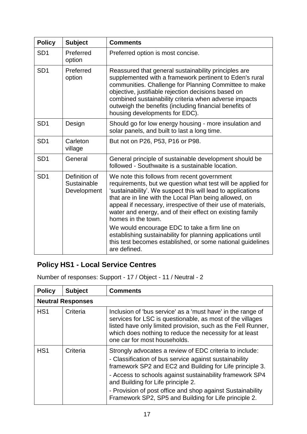| <b>Policy</b>   | <b>Subject</b>                              | <b>Comments</b>                                                                                                                                                                                                                                                                                                                                                                       |
|-----------------|---------------------------------------------|---------------------------------------------------------------------------------------------------------------------------------------------------------------------------------------------------------------------------------------------------------------------------------------------------------------------------------------------------------------------------------------|
| SD <sub>1</sub> | Preferred<br>option                         | Preferred option is most concise.                                                                                                                                                                                                                                                                                                                                                     |
| SD <sub>1</sub> | Preferred<br>option                         | Reassured that general sustainability principles are<br>supplemented with a framework pertinent to Eden's rural<br>communities. Challenge for Planning Committee to make<br>objective, justifiable rejection decisions based on<br>combined sustainability criteria when adverse impacts<br>outweigh the benefits (including financial benefits of<br>housing developments for EDC).  |
| SD <sub>1</sub> | Design                                      | Should go for low energy housing - more insulation and<br>solar panels, and built to last a long time.                                                                                                                                                                                                                                                                                |
| SD <sub>1</sub> | Carleton<br>village                         | But not on P26, P53, P16 or P98.                                                                                                                                                                                                                                                                                                                                                      |
| SD <sub>1</sub> | General                                     | General principle of sustainable development should be<br>followed - Southwaite is a sustainable location.                                                                                                                                                                                                                                                                            |
| SD <sub>1</sub> | Definition of<br>Sustainable<br>Development | We note this follows from recent government<br>requirements, but we question what test will be applied for<br>'sustainability'. We suspect this will lead to applications<br>that are in line with the Local Plan being allowed, on<br>appeal if necessary, irrespective of their use of materials,<br>water and energy, and of their effect on existing family<br>homes in the town. |
|                 |                                             | We would encourage EDC to take a firm line on<br>establishing sustainability for planning applications until<br>this test becomes established, or some national guidelines<br>are defined.                                                                                                                                                                                            |

## **Policy HS1 - Local Service Centres**

Number of responses: Support - 17 / Object - 11 / Neutral - 2

| <b>Policy</b>    | <b>Subject</b>           | <b>Comments</b>                                                                                                                                                                                                                                                                                                                                                                                        |
|------------------|--------------------------|--------------------------------------------------------------------------------------------------------------------------------------------------------------------------------------------------------------------------------------------------------------------------------------------------------------------------------------------------------------------------------------------------------|
|                  | <b>Neutral Responses</b> |                                                                                                                                                                                                                                                                                                                                                                                                        |
| H <sub>S</sub> 1 | Criteria                 | Inclusion of 'bus service' as a 'must have' in the range of<br>services for LSC is questionable, as most of the villages<br>listed have only limited provision, such as the Fell Runner,<br>which does nothing to reduce the necessity for at least<br>one car for most households.                                                                                                                    |
| H <sub>S</sub> 1 | Criteria                 | Strongly advocates a review of EDC criteria to include:<br>- Classification of bus service against sustainability<br>framework SP2 and EC2 and Building for Life principle 3.<br>- Access to schools against sustainability framework SP4<br>and Building for Life principle 2.<br>- Provision of post office and shop against Sustainability<br>Framework SP2, SP5 and Building for Life principle 2. |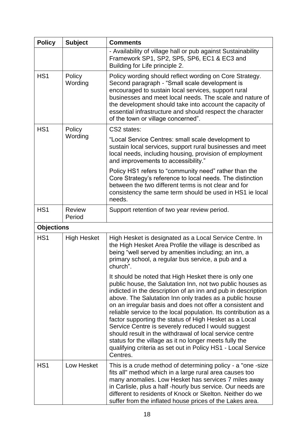| <b>Policy</b>     | <b>Subject</b>          | <b>Comments</b>                                                                                                                                                                                                                                                                                                                                                                                                                                                                                                                                                                                                                                                                                 |
|-------------------|-------------------------|-------------------------------------------------------------------------------------------------------------------------------------------------------------------------------------------------------------------------------------------------------------------------------------------------------------------------------------------------------------------------------------------------------------------------------------------------------------------------------------------------------------------------------------------------------------------------------------------------------------------------------------------------------------------------------------------------|
|                   |                         | - Availability of village hall or pub against Sustainability<br>Framework SP1, SP2, SP5, SP6, EC1 & EC3 and<br>Building for Life principle 2.                                                                                                                                                                                                                                                                                                                                                                                                                                                                                                                                                   |
| H <sub>S</sub> 1  | Policy<br>Wording       | Policy wording should reflect wording on Core Strategy.<br>Second paragraph - "Small scale development is<br>encouraged to sustain local services, support rural<br>businesses and meet local needs. The scale and nature of<br>the development should take into account the capacity of<br>essential infrastructure and should respect the character<br>of the town or village concerned".                                                                                                                                                                                                                                                                                                     |
| HS <sub>1</sub>   | Policy                  | CS2 states:                                                                                                                                                                                                                                                                                                                                                                                                                                                                                                                                                                                                                                                                                     |
|                   | Wording                 | "Local Service Centres: small scale development to<br>sustain local services, support rural businesses and meet<br>local needs, including housing, provision of employment<br>and improvements to accessibility."                                                                                                                                                                                                                                                                                                                                                                                                                                                                               |
|                   |                         | Policy HS1 refers to "community need" rather than the<br>Core Strategy's reference to local needs. The distinction<br>between the two different terms is not clear and for<br>consistency the same term should be used in HS1 ie local<br>needs.                                                                                                                                                                                                                                                                                                                                                                                                                                                |
| HS <sub>1</sub>   | <b>Review</b><br>Period | Support retention of two year review period.                                                                                                                                                                                                                                                                                                                                                                                                                                                                                                                                                                                                                                                    |
| <b>Objections</b> |                         |                                                                                                                                                                                                                                                                                                                                                                                                                                                                                                                                                                                                                                                                                                 |
| HS <sub>1</sub>   | <b>High Hesket</b>      | High Hesket is designated as a Local Service Centre. In<br>the High Hesket Area Profile the village is described as<br>being "well served by amenities including; an inn, a<br>primary school, a regular bus service, a pub and a<br>church".                                                                                                                                                                                                                                                                                                                                                                                                                                                   |
|                   |                         | It should be noted that High Hesket there is only one<br>public house, the Salutation Inn, not two public houses as<br>indicted in the description of an inn and pub in description<br>above. The Salutation Inn only trades as a public house<br>on an irregular basis and does not offer a consistent and<br>reliable service to the local population. Its contribution as a<br>factor supporting the status of High Hesket as a Local<br>Service Centre is severely reduced I would suggest<br>should result in the withdrawal of local service centre<br>status for the village as it no longer meets fully the<br>qualifying criteria as set out in Policy HS1 - Local Service<br>Centres. |
| HS <sub>1</sub>   | Low Hesket              | This is a crude method of determining policy - a "one -size"<br>fits all" method which in a large rural area causes too<br>many anomalies. Low Hesket has services 7 miles away<br>in Carlisle, plus a half-hourly bus service. Our needs are<br>different to residents of Knock or Skelton. Neither do we<br>suffer from the inflated house prices of the Lakes area.                                                                                                                                                                                                                                                                                                                          |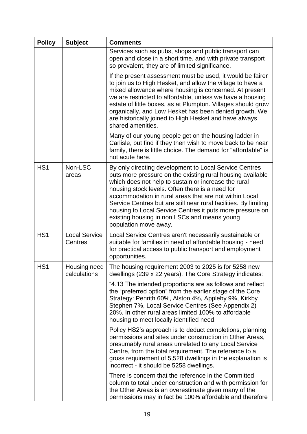| <b>Policy</b>   | <b>Subject</b>                  | <b>Comments</b>                                                                                                                                                                                                                                                                                                                                                                                                                                                                                     |
|-----------------|---------------------------------|-----------------------------------------------------------------------------------------------------------------------------------------------------------------------------------------------------------------------------------------------------------------------------------------------------------------------------------------------------------------------------------------------------------------------------------------------------------------------------------------------------|
|                 |                                 | Services such as pubs, shops and public transport can<br>open and close in a short time, and with private transport<br>so prevalent, they are of limited significance.                                                                                                                                                                                                                                                                                                                              |
|                 |                                 | If the present assessment must be used, it would be fairer<br>to join us to High Hesket, and allow the village to have a<br>mixed allowance where housing is concerned. At present<br>we are restricted to affordable, unless we have a housing<br>estate of little boxes, as at Plumpton. Villages should grow<br>organically, and Low Hesket has been denied growth. We<br>are historically joined to High Hesket and have always<br>shared amenities.                                            |
|                 |                                 | Many of our young people get on the housing ladder in<br>Carlisle, but find if they then wish to move back to be near<br>family, there is little choice. The demand for "affordable" is<br>not acute here.                                                                                                                                                                                                                                                                                          |
| HS <sub>1</sub> | Non-LSC<br>areas                | By only directing development to Local Service Centres<br>puts more pressure on the existing rural housing available<br>which does not help to sustain or increase the rural<br>housing stock levels. Often there is a need for<br>accommodation in rural areas that are not within Local<br>Service Centres but are still near rural facilities. By limiting<br>housing to Local Service Centres it puts more pressure on<br>existing housing in non LSCs and means young<br>population move away. |
| HS <sub>1</sub> | <b>Local Service</b><br>Centres | Local Service Centres aren't necessarily sustainable or<br>suitable for families in need of affordable housing - need<br>for practical access to public transport and employment<br>opportunities.                                                                                                                                                                                                                                                                                                  |
| HS <sub>1</sub> | Housing need<br>calculations    | The housing requirement 2003 to 2025 is for 5258 new<br>dwellings (239 x 22 years). The Core Strategy indicates:                                                                                                                                                                                                                                                                                                                                                                                    |
|                 |                                 | "4.13 The intended proportions are as follows and reflect<br>the "preferred option" from the earlier stage of the Core<br>Strategy: Penrith 60%, Alston 4%, Appleby 9%, Kirkby<br>Stephen 7%, Local Service Centres (See Appendix 2)<br>20%. In other rural areas limited 100% to affordable<br>housing to meet locally identified need.                                                                                                                                                            |
|                 |                                 | Policy HS2's approach is to deduct completions, planning<br>permissions and sites under construction in Other Areas,<br>presumably rural areas unrelated to any Local Service<br>Centre, from the total requirement. The reference to a<br>gross requirement of 5,528 dwellings in the explanation is<br>incorrect - it should be 5258 dwellings.                                                                                                                                                   |
|                 |                                 | There is concern that the reference in the Committed<br>column to total under construction and with permission for<br>the Other Areas is an overestimate given many of the<br>permissions may in fact be 100% affordable and therefore                                                                                                                                                                                                                                                              |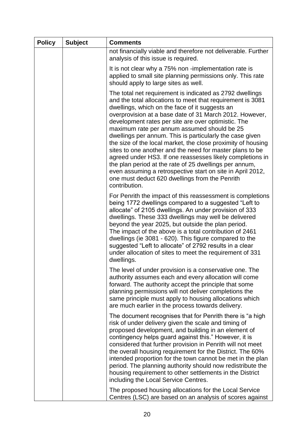| <b>Policy</b> | <b>Subject</b> | <b>Comments</b>                                                                                                                                                                                                                                                                                                                                                                                                                                                                                                                                                                                                                                                                                                                                                                           |
|---------------|----------------|-------------------------------------------------------------------------------------------------------------------------------------------------------------------------------------------------------------------------------------------------------------------------------------------------------------------------------------------------------------------------------------------------------------------------------------------------------------------------------------------------------------------------------------------------------------------------------------------------------------------------------------------------------------------------------------------------------------------------------------------------------------------------------------------|
|               |                | not financially viable and therefore not deliverable. Further<br>analysis of this issue is required.                                                                                                                                                                                                                                                                                                                                                                                                                                                                                                                                                                                                                                                                                      |
|               |                | It is not clear why a 75% non -implementation rate is<br>applied to small site planning permissions only. This rate<br>should apply to large sites as well.                                                                                                                                                                                                                                                                                                                                                                                                                                                                                                                                                                                                                               |
|               |                | The total net requirement is indicated as 2792 dwellings<br>and the total allocations to meet that requirement is 3081<br>dwellings, which on the face of it suggests an<br>overprovision at a base date of 31 March 2012. However,<br>development rates per site are over optimistic. The<br>maximum rate per annum assumed should be 25<br>dwellings per annum. This is particularly the case given<br>the size of the local market, the close proximity of housing<br>sites to one another and the need for master plans to be<br>agreed under HS3. If one reassesses likely completions in<br>the plan period at the rate of 25 dwellings per annum,<br>even assuming a retrospective start on site in April 2012,<br>one must deduct 620 dwellings from the Penrith<br>contribution. |
|               |                | For Penrith the impact of this reassessment is completions<br>being 1772 dwellings compared to a suggested "Left to<br>allocate" of 2105 dwellings. An under provision of 333<br>dwellings. These 333 dwellings may well be delivered<br>beyond the year 2025, but outside the plan period.<br>The impact of the above is a total contribution of 2461<br>dwellings (ie 3081 - 620). This figure compared to the<br>suggested "Left to allocate" of 2792 results in a clear<br>under allocation of sites to meet the requirement of 331<br>dwellings.                                                                                                                                                                                                                                     |
|               |                | The level of under provision is a conservative one. The<br>authority assumes each and every allocation will come<br>forward. The authority accept the principle that some<br>planning permissions will not deliver completions the<br>same principle must apply to housing allocations which<br>are much earlier in the process towards delivery.                                                                                                                                                                                                                                                                                                                                                                                                                                         |
|               |                | The document recognises that for Penrith there is "a high<br>risk of under delivery given the scale and timing of<br>proposed development, and building in an element of<br>contingency helps guard against this." However, it is<br>considered that further provision in Penrith will not meet<br>the overall housing requirement for the District. The 60%<br>intended proportion for the town cannot be met in the plan<br>period. The planning authority should now redistribute the<br>housing requirement to other settlements in the District<br>including the Local Service Centres.                                                                                                                                                                                              |
|               |                | The proposed housing allocations for the Local Service<br>Centres (LSC) are based on an analysis of scores against                                                                                                                                                                                                                                                                                                                                                                                                                                                                                                                                                                                                                                                                        |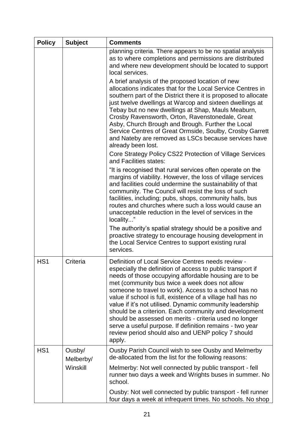| <b>Policy</b>   | <b>Subject</b>      | <b>Comments</b>                                                                                                                                                                                                                                                                                                                                                                                                                                                                                                                                                                                                                                                |
|-----------------|---------------------|----------------------------------------------------------------------------------------------------------------------------------------------------------------------------------------------------------------------------------------------------------------------------------------------------------------------------------------------------------------------------------------------------------------------------------------------------------------------------------------------------------------------------------------------------------------------------------------------------------------------------------------------------------------|
|                 |                     | planning criteria. There appears to be no spatial analysis<br>as to where completions and permissions are distributed<br>and where new development should be located to support<br>local services.                                                                                                                                                                                                                                                                                                                                                                                                                                                             |
|                 |                     | A brief analysis of the proposed location of new<br>allocations indicates that for the Local Service Centres in<br>southern part of the District there it is proposed to allocate<br>just twelve dwellings at Warcop and sixteen dwellings at<br>Tebay but no new dwellings at Shap, Mauls Meaburn,<br>Crosby Ravensworth, Orton, Ravenstonedale, Great<br>Asby, Church Brough and Brough. Further the Local<br>Service Centres of Great Ormside, Soulby, Crosby Garrett<br>and Nateby are removed as LSCs because services have<br>already been lost.                                                                                                         |
|                 |                     | Core Strategy Policy CS22 Protection of Village Services<br>and Facilities states:                                                                                                                                                                                                                                                                                                                                                                                                                                                                                                                                                                             |
|                 |                     | "It is recognised that rural services often operate on the<br>margins of viability. However, the loss of village services<br>and facilities could undermine the sustainability of that<br>community. The Council will resist the loss of such<br>facilities, including; pubs, shops, community halls, bus<br>routes and churches where such a loss would cause an<br>unacceptable reduction in the level of services in the<br>locality"                                                                                                                                                                                                                       |
|                 |                     | The authority's spatial strategy should be a positive and<br>proactive strategy to encourage housing development in<br>the Local Service Centres to support existing rural<br>services.                                                                                                                                                                                                                                                                                                                                                                                                                                                                        |
| HS <sub>1</sub> | Criteria            | Definition of Local Service Centres needs review -<br>especially the definition of access to public transport if<br>needs of those occupying affordable housing are to be<br>met (community bus twice a week does not allow<br>someone to travel to work). Access to a school has no<br>value if school is full, existence of a village hall has no<br>value if it's not utilised. Dynamic community leadership<br>should be a criterion. Each community and development<br>should be assessed on merits - criteria used no longer<br>serve a useful purpose. If definition remains - two year<br>review period should also and UENP policy 7 should<br>apply. |
| HS <sub>1</sub> | Ousby/<br>Melberby/ | Ousby Parish Council wish to see Ousby and Melmerby<br>de-allocated from the list for the following reasons:                                                                                                                                                                                                                                                                                                                                                                                                                                                                                                                                                   |
|                 | Winskill            | Melmerby: Not well connected by public transport - fell<br>runner two days a week and Wrights buses in summer. No<br>school.                                                                                                                                                                                                                                                                                                                                                                                                                                                                                                                                   |
|                 |                     | Ousby: Not well connected by public transport - fell runner<br>four days a week at infrequent times. No schools. No shop                                                                                                                                                                                                                                                                                                                                                                                                                                                                                                                                       |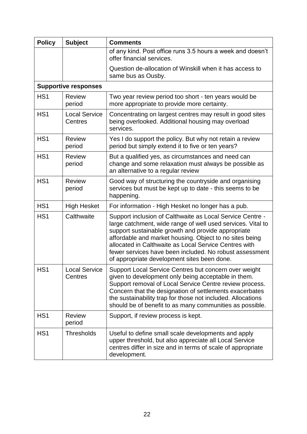| <b>Policy</b>   | <b>Subject</b>                  | <b>Comments</b>                                                                                                                                                                                                                                                                                                                                                                                              |
|-----------------|---------------------------------|--------------------------------------------------------------------------------------------------------------------------------------------------------------------------------------------------------------------------------------------------------------------------------------------------------------------------------------------------------------------------------------------------------------|
|                 |                                 | of any kind. Post office runs 3.5 hours a week and doesn't<br>offer financial services.                                                                                                                                                                                                                                                                                                                      |
|                 |                                 | Question de-allocation of Winskill when it has access to<br>same bus as Ousby.                                                                                                                                                                                                                                                                                                                               |
|                 | <b>Supportive responses</b>     |                                                                                                                                                                                                                                                                                                                                                                                                              |
| HS <sub>1</sub> | <b>Review</b><br>period         | Two year review period too short - ten years would be<br>more appropriate to provide more certainty.                                                                                                                                                                                                                                                                                                         |
| HS <sub>1</sub> | <b>Local Service</b><br>Centres | Concentrating on largest centres may result in good sites<br>being overlooked. Additional housing may overload<br>services.                                                                                                                                                                                                                                                                                  |
| HS <sub>1</sub> | <b>Review</b><br>period         | Yes I do support the policy. But why not retain a review<br>period but simply extend it to five or ten years?                                                                                                                                                                                                                                                                                                |
| HS <sub>1</sub> | <b>Review</b><br>period         | But a qualified yes, as circumstances and need can<br>change and some relaxation must always be possible as<br>an alternative to a regular review                                                                                                                                                                                                                                                            |
| HS <sub>1</sub> | <b>Review</b><br>period         | Good way of structuring the countryside and organising<br>services but must be kept up to date - this seems to be<br>happening.                                                                                                                                                                                                                                                                              |
| HS <sub>1</sub> | <b>High Hesket</b>              | For information - High Hesket no longer has a pub.                                                                                                                                                                                                                                                                                                                                                           |
| HS <sub>1</sub> | Calthwaite                      | Support inclusion of Calthwaite as Local Service Centre -<br>large catchment, wide range of well used services. Vital to<br>support sustainable growth and provide appropriate<br>affordable and market housing. Object to no sites being<br>allocated in Calthwaite as Local Service Centres with<br>fewer services have been included. No robust assessment<br>of appropriate development sites been done. |
| HS <sub>1</sub> | <b>Local Service</b><br>Centres | Support Local Service Centres but concern over weight<br>given to development only being acceptable in them.<br>Support removal of Local Service Centre review process.<br>Concern that the designation of settlements exacerbates<br>the sustainability trap for those not included. Allocations<br>should be of benefit to as many communities as possible.                                                |
| HS <sub>1</sub> | <b>Review</b><br>period         | Support, if review process is kept.                                                                                                                                                                                                                                                                                                                                                                          |
| HS <sub>1</sub> | <b>Thresholds</b>               | Useful to define small scale developments and apply<br>upper threshold, but also appreciate all Local Service<br>centres differ in size and in terms of scale of appropriate<br>development.                                                                                                                                                                                                                 |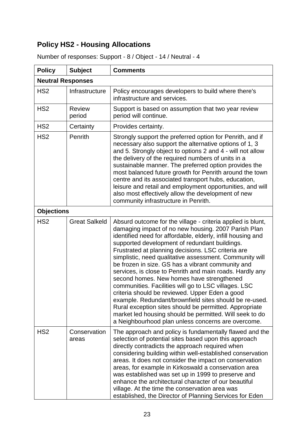## **Policy HS2 - Housing Allocations**

| <b>Policy</b>            | <b>Subject</b>          | <b>Comments</b>                                                                                                                                                                                                                                                                                                                                                                                                                                                                                                                                                                                                                                                                                                                                                                                                                                                  |  |
|--------------------------|-------------------------|------------------------------------------------------------------------------------------------------------------------------------------------------------------------------------------------------------------------------------------------------------------------------------------------------------------------------------------------------------------------------------------------------------------------------------------------------------------------------------------------------------------------------------------------------------------------------------------------------------------------------------------------------------------------------------------------------------------------------------------------------------------------------------------------------------------------------------------------------------------|--|
| <b>Neutral Responses</b> |                         |                                                                                                                                                                                                                                                                                                                                                                                                                                                                                                                                                                                                                                                                                                                                                                                                                                                                  |  |
| HS <sub>2</sub>          | Infrastructure          | Policy encourages developers to build where there's<br>infrastructure and services.                                                                                                                                                                                                                                                                                                                                                                                                                                                                                                                                                                                                                                                                                                                                                                              |  |
| HS <sub>2</sub>          | <b>Review</b><br>period | Support is based on assumption that two year review<br>period will continue.                                                                                                                                                                                                                                                                                                                                                                                                                                                                                                                                                                                                                                                                                                                                                                                     |  |
| HS <sub>2</sub>          | Certainty               | Provides certainty.                                                                                                                                                                                                                                                                                                                                                                                                                                                                                                                                                                                                                                                                                                                                                                                                                                              |  |
| HS <sub>2</sub>          | Penrith                 | Strongly support the preferred option for Penrith, and if<br>necessary also support the alternative options of 1, 3<br>and 5. Strongly object to options 2 and 4 - will not allow<br>the delivery of the required numbers of units in a<br>sustainable manner. The preferred option provides the<br>most balanced future growth for Penrith around the town<br>centre and its associated transport hubs, education,<br>leisure and retail and employment opportunities, and will<br>also most effectively allow the development of new<br>community infrastructure in Penrith.                                                                                                                                                                                                                                                                                   |  |
| <b>Objections</b>        |                         |                                                                                                                                                                                                                                                                                                                                                                                                                                                                                                                                                                                                                                                                                                                                                                                                                                                                  |  |
| HS <sub>2</sub>          | <b>Great Salkeld</b>    | Absurd outcome for the village - criteria applied is blunt,<br>damaging impact of no new housing. 2007 Parish Plan<br>identified need for affordable, elderly, infill housing and<br>supported development of redundant buildings.<br>Frustrated at planning decisions. LSC criteria are<br>simplistic, need qualitative assessment. Community will<br>be frozen in size. GS has a vibrant community and<br>services, is close to Penrith and main roads. Hardly any<br>second homes. New homes have strengthened<br>communities. Facilities will go to LSC villages. LSC<br>criteria should be reviewed. Upper Eden a good<br>example. Redundant/brownfield sites should be re-used.<br>Rural exception sites should be permitted. Appropriate<br>market led housing should be permitted. Will seek to do<br>a Neighbourhood plan unless concerns are overcome. |  |
| HS <sub>2</sub>          | Conservation<br>areas   | The approach and policy is fundamentally flawed and the<br>selection of potential sites based upon this approach<br>directly contradicts the approach required when<br>considering building within well-established conservation<br>areas. It does not consider the impact on conservation<br>areas, for example in Kirkoswald a conservation area<br>was established was set up in 1999 to preserve and<br>enhance the architectural character of our beautiful<br>village. At the time the conservation area was<br>established, the Director of Planning Services for Eden                                                                                                                                                                                                                                                                                    |  |

Number of responses: Support - 8 / Object - 14 / Neutral - 4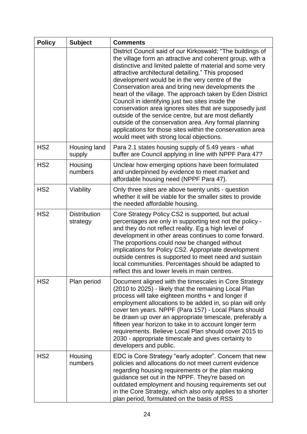| <b>Policy</b>   | <b>Subject</b>                  | <b>Comments</b>                                                                                                                                                                                                                                                                                                                                                                                                                                                                                                                                                                                                                                                                                                                                          |
|-----------------|---------------------------------|----------------------------------------------------------------------------------------------------------------------------------------------------------------------------------------------------------------------------------------------------------------------------------------------------------------------------------------------------------------------------------------------------------------------------------------------------------------------------------------------------------------------------------------------------------------------------------------------------------------------------------------------------------------------------------------------------------------------------------------------------------|
|                 |                                 | District Council said of our Kirkoswald; "The buildings of<br>the village form an attractive and coherent group, with a<br>distinctive and limited palette of material and some very<br>attractive architectural detailing." This proposed<br>development would be in the very centre of the<br>Conservation area and bring new developments the<br>heart of the village. The approach taken by Eden District<br>Council in identifying just two sites inside the<br>conservation area ignores sites that are supposedly just<br>outside of the service centre, but are most defiantly<br>outside of the conservation area. Any formal planning<br>applications for those sites within the conservation area<br>would meet with strong local objections. |
| HS <sub>2</sub> | Housing land<br>supply          | Para 2.1 states housing supply of 5.49 years - what<br>buffer are Council applying in line with NPPF Para 47?                                                                                                                                                                                                                                                                                                                                                                                                                                                                                                                                                                                                                                            |
| HS <sub>2</sub> | Housing<br>numbers              | Unclear how emerging options have been formulated<br>and underpinned by evidence to meet market and<br>affordable housing need (NPPF Para 47).                                                                                                                                                                                                                                                                                                                                                                                                                                                                                                                                                                                                           |
| HS <sub>2</sub> | Viability                       | Only three sites are above twenty units - question<br>whether it will be viable for the smaller sites to provide<br>the needed affordable housing.                                                                                                                                                                                                                                                                                                                                                                                                                                                                                                                                                                                                       |
| HS <sub>2</sub> | <b>Distribution</b><br>strategy | Core Strategy Policy CS2 is supported, but actual<br>percentages are only in supporting text not the policy -<br>and they do not reflect reality. Eg a high level of<br>development in other areas continues to come forward.<br>The proportions could now be changed without<br>implications for Policy CS2. Appropriate development<br>outside centres is supported to meet need and sustain<br>local communities. Percentages should be adapted to<br>reflect this and lower levels in main centres.                                                                                                                                                                                                                                                  |
| HS <sub>2</sub> | Plan period                     | Document aligned with the timescales in Core Strategy<br>(2010 to 2025) - likely that the remaining Local Plan<br>process will take eighteen months + and longer if<br>employment allocations to be added in, so plan will only<br>cover ten years. NPPF (Para 157) - Local Plans should<br>be drawn up over an appropriate timescale, preferably a<br>fifteen year horizon to take in to account longer term<br>requirements. Believe Local Plan should cover 2015 to<br>2030 - appropriate timescale and gives certainty to<br>developers and public.                                                                                                                                                                                                  |
| HS <sub>2</sub> | Housing<br>numbers              | EDC is Core Strategy "early adopter". Concern that new<br>policies and allocations do not meet current evidence<br>regarding housing requirements or the plan making<br>guidance set out in the NPPF. They're based on<br>outdated employment and housing requirements set out<br>in the Core Strategy, which also only applies to a shorter<br>plan period, formulated on the basis of RSS                                                                                                                                                                                                                                                                                                                                                              |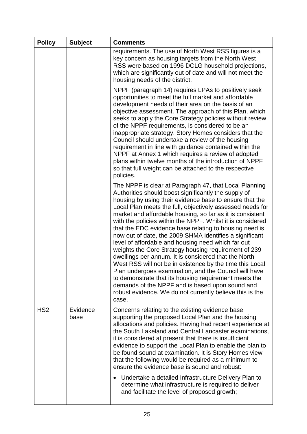| <b>Policy</b>   | <b>Subject</b>   | <b>Comments</b>                                                                                                                                                                                                                                                                                                                                                                                                                                                                                                                                                                                                                                                                                                                                                                                                                                                                                                                                                    |
|-----------------|------------------|--------------------------------------------------------------------------------------------------------------------------------------------------------------------------------------------------------------------------------------------------------------------------------------------------------------------------------------------------------------------------------------------------------------------------------------------------------------------------------------------------------------------------------------------------------------------------------------------------------------------------------------------------------------------------------------------------------------------------------------------------------------------------------------------------------------------------------------------------------------------------------------------------------------------------------------------------------------------|
|                 |                  | requirements. The use of North West RSS figures is a<br>key concern as housing targets from the North West<br>RSS were based on 1996 DCLG household projections,<br>which are significantly out of date and will not meet the<br>housing needs of the district.                                                                                                                                                                                                                                                                                                                                                                                                                                                                                                                                                                                                                                                                                                    |
|                 |                  | NPPF (paragraph 14) requires LPAs to positively seek<br>opportunities to meet the full market and affordable<br>development needs of their area on the basis of an<br>objective assessment. The approach of this Plan, which<br>seeks to apply the Core Strategy policies without review<br>of the NPPF requirements, is considered to be an<br>inappropriate strategy. Story Homes considers that the<br>Council should undertake a review of the housing<br>requirement in line with guidance contained within the<br>NPPF at Annex 1 which requires a review of adopted<br>plans within twelve months of the introduction of NPPF<br>so that full weight can be attached to the respective<br>policies.                                                                                                                                                                                                                                                         |
|                 |                  | The NPPF is clear at Paragraph 47, that Local Planning<br>Authorities should boost significantly the supply of<br>housing by using their evidence base to ensure that the<br>Local Plan meets the full, objectively assessed needs for<br>market and affordable housing, so far as it is consistent<br>with the policies within the NPPF. Whilst it is considered<br>that the EDC evidence base relating to housing need is<br>now out of date, the 2009 SHMA identifies a significant<br>level of affordable and housing need which far out<br>weights the Core Strategy housing requirement of 239<br>dwellings per annum. It is considered that the North<br>West RSS will not be in existence by the time this Local<br>Plan undergoes examination, and the Council will have<br>to demonstrate that its housing requirement meets the<br>demands of the NPPF and is based upon sound and<br>robust evidence. We do not currently believe this is the<br>case. |
| HS <sub>2</sub> | Evidence<br>base | Concerns relating to the existing evidence base<br>supporting the proposed Local Plan and the housing<br>allocations and policies. Having had recent experience at<br>the South Lakeland and Central Lancaster examinations,<br>it is considered at present that there is insufficient<br>evidence to support the Local Plan to enable the plan to<br>be found sound at examination. It is Story Homes view<br>that the following would be required as a minimum to<br>ensure the evidence base is sound and robust:<br>Undertake a detailed Infrastructure Delivery Plan to                                                                                                                                                                                                                                                                                                                                                                                       |
|                 |                  | determine what infrastructure is required to deliver<br>and facilitate the level of proposed growth;                                                                                                                                                                                                                                                                                                                                                                                                                                                                                                                                                                                                                                                                                                                                                                                                                                                               |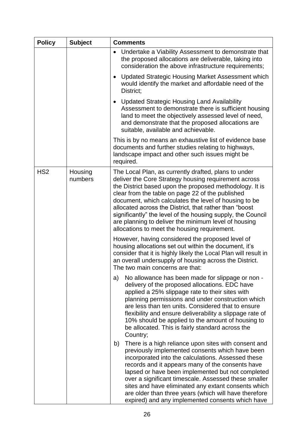| <b>Policy</b>   | <b>Subject</b>     | <b>Comments</b>                                                                                                                                                                                                                                                                                                                                                                                                                                                                                                        |
|-----------------|--------------------|------------------------------------------------------------------------------------------------------------------------------------------------------------------------------------------------------------------------------------------------------------------------------------------------------------------------------------------------------------------------------------------------------------------------------------------------------------------------------------------------------------------------|
|                 |                    | Undertake a Viability Assessment to demonstrate that<br>$\bullet$<br>the proposed allocations are deliverable, taking into<br>consideration the above infrastructure requirements;                                                                                                                                                                                                                                                                                                                                     |
|                 |                    | Updated Strategic Housing Market Assessment which<br>would identify the market and affordable need of the<br>District:                                                                                                                                                                                                                                                                                                                                                                                                 |
|                 |                    | <b>Updated Strategic Housing Land Availability</b><br>Assessment to demonstrate there is sufficient housing<br>land to meet the objectively assessed level of need,<br>and demonstrate that the proposed allocations are<br>suitable, available and achievable.                                                                                                                                                                                                                                                        |
|                 |                    | This is by no means an exhaustive list of evidence base<br>documents and further studies relating to highways,<br>landscape impact and other such issues might be<br>required.                                                                                                                                                                                                                                                                                                                                         |
| HS <sub>2</sub> | Housing<br>numbers | The Local Plan, as currently drafted, plans to under<br>deliver the Core Strategy housing requirement across<br>the District based upon the proposed methodology. It is<br>clear from the table on page 22 of the published<br>document, which calculates the level of housing to be<br>allocated across the District, that rather than "boost"<br>significantly" the level of the housing supply, the Council<br>are planning to deliver the minimum level of housing<br>allocations to meet the housing requirement. |
|                 |                    | However, having considered the proposed level of<br>housing allocations set out within the document, it's<br>consider that it is highly likely the Local Plan will result in<br>an overall undersupply of housing across the District.<br>The two main concerns are that:                                                                                                                                                                                                                                              |
|                 |                    | No allowance has been made for slippage or non -<br>a)<br>delivery of the proposed allocations. EDC have<br>applied a 25% slippage rate to their sites with<br>planning permissions and under construction which<br>are less than ten units. Considered that to ensure<br>flexibility and ensure deliverability a slippage rate of<br>10% should be applied to the amount of housing to<br>be allocated. This is fairly standard across the<br>Country;                                                                |
|                 |                    | There is a high reliance upon sites with consent and<br>b)<br>previously implemented consents which have been<br>incorporated into the calculations. Assessed these<br>records and it appears many of the consents have<br>lapsed or have been implemented but not completed<br>over a significant timescale. Assessed these smaller<br>sites and have eliminated any extant consents which<br>are older than three years (which will have therefore<br>expired) and any implemented consents which have               |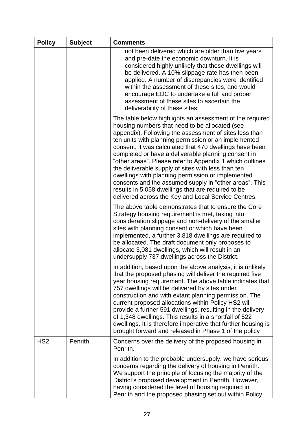| <b>Policy</b>   | <b>Subject</b> | <b>Comments</b>                                                                                                                                                                                                                                                                                                                                                                                                                                                                                                                                                                                                                                                                              |
|-----------------|----------------|----------------------------------------------------------------------------------------------------------------------------------------------------------------------------------------------------------------------------------------------------------------------------------------------------------------------------------------------------------------------------------------------------------------------------------------------------------------------------------------------------------------------------------------------------------------------------------------------------------------------------------------------------------------------------------------------|
|                 |                | not been delivered which are older than five years<br>and pre-date the economic downturn. It is<br>considered highly unlikely that these dwellings will<br>be delivered. A 10% slippage rate has then been<br>applied. A number of discrepancies were identified<br>within the assessment of these sites, and would<br>encourage EDC to undertake a full and proper<br>assessment of these sites to ascertain the<br>deliverability of these sites.                                                                                                                                                                                                                                          |
|                 |                | The table below highlights an assessment of the required<br>housing numbers that need to be allocated (see<br>appendix). Following the assessment of sites less than<br>ten units with planning permission or an implemented<br>consent, it was calculated that 470 dwellings have been<br>completed or have a deliverable planning consent in<br>"other areas". Please refer to Appendix 1 which outlines<br>the deliverable supply of sites with less than ten<br>dwellings with planning permission or implemented<br>consents and the assumed supply in "other areas". This<br>results in 5,058 dwellings that are required to be<br>delivered across the Key and Local Service Centres. |
|                 |                | The above table demonstrates that to ensure the Core<br>Strategy housing requirement is met, taking into<br>consideration slippage and non-delivery of the smaller<br>sites with planning consent or which have been<br>implemented, a further 3,818 dwellings are required to<br>be allocated. The draft document only proposes to<br>allocate 3,081 dwellings, which will result in an<br>undersupply 737 dwellings across the District.                                                                                                                                                                                                                                                   |
|                 |                | In addition, based upon the above analysis, it is unlikely<br>that the proposed phasing will deliver the required five<br>year housing requirement. The above table indicates that<br>757 dwellings will be delivered by sites under<br>construction and with extant planning permission. The<br>current proposed allocations within Policy HS2 will<br>provide a further 591 dwellings, resulting in the delivery<br>of 1,348 dwellings. This results in a shortfall of 522<br>dwellings. It is therefore imperative that further housing is<br>brought forward and released in Phase 1 of the policy                                                                                       |
| HS <sub>2</sub> | Penrith        | Concerns over the delivery of the proposed housing in<br>Penrith.                                                                                                                                                                                                                                                                                                                                                                                                                                                                                                                                                                                                                            |
|                 |                | In addition to the probable undersupply, we have serious<br>concerns regarding the delivery of housing in Penrith.<br>We support the principle of focusing the majority of the<br>District's proposed development in Penrith. However,<br>having considered the level of housing required in<br>Penrith and the proposed phasing set out within Policy                                                                                                                                                                                                                                                                                                                                       |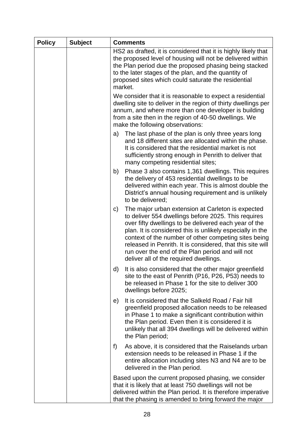| <b>Policy</b> | <b>Subject</b> | <b>Comments</b>                                                                                                                                                                                                                                                                                                                                                                                                                                                    |
|---------------|----------------|--------------------------------------------------------------------------------------------------------------------------------------------------------------------------------------------------------------------------------------------------------------------------------------------------------------------------------------------------------------------------------------------------------------------------------------------------------------------|
|               |                | HS2 as drafted, it is considered that it is highly likely that<br>the proposed level of housing will not be delivered within<br>the Plan period due the proposed phasing being stacked<br>to the later stages of the plan, and the quantity of<br>proposed sites which could saturate the residential<br>market.                                                                                                                                                   |
|               |                | We consider that it is reasonable to expect a residential<br>dwelling site to deliver in the region of thirty dwellings per<br>annum, and where more than one developer is building<br>from a site then in the region of 40-50 dwellings. We<br>make the following observations:                                                                                                                                                                                   |
|               |                | The last phase of the plan is only three years long<br>a)<br>and 18 different sites are allocated within the phase.<br>It is considered that the residential market is not<br>sufficiently strong enough in Penrith to deliver that<br>many competing residential sites;                                                                                                                                                                                           |
|               |                | Phase 3 also contains 1,361 dwellings. This requires<br>b)<br>the delivery of 453 residential dwellings to be<br>delivered within each year. This is almost double the<br>District's annual housing requirement and is unlikely<br>to be delivered;                                                                                                                                                                                                                |
|               |                | The major urban extension at Carleton is expected<br>$\mathsf{C}$<br>to deliver 554 dwellings before 2025. This requires<br>over fifty dwellings to be delivered each year of the<br>plan. It is considered this is unlikely especially in the<br>context of the number of other competing sites being<br>released in Penrith. It is considered, that this site will<br>run over the end of the Plan period and will not<br>deliver all of the required dwellings. |
|               |                | It is also considered that the other major greenfield<br>d)<br>site to the east of Penrith (P16, P26, P53) needs to<br>be released in Phase 1 for the site to deliver 300<br>dwellings before 2025;                                                                                                                                                                                                                                                                |
|               |                | It is considered that the Salkeld Road / Fair hill<br>e)<br>greenfield proposed allocation needs to be released<br>in Phase 1 to make a significant contribution within<br>the Plan period. Even then it is considered it is<br>unlikely that all 394 dwellings will be delivered within<br>the Plan period;                                                                                                                                                       |
|               |                | As above, it is considered that the Raiselands urban<br>f)<br>extension needs to be released in Phase 1 if the<br>entire allocation including sites N3 and N4 are to be<br>delivered in the Plan period.                                                                                                                                                                                                                                                           |
|               |                | Based upon the current proposed phasing, we consider<br>that it is likely that at least 750 dwellings will not be<br>delivered within the Plan period. It is therefore imperative<br>that the phasing is amended to bring forward the major                                                                                                                                                                                                                        |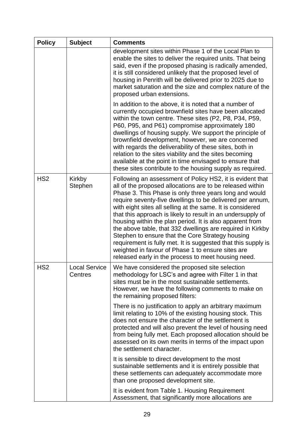| <b>Policy</b>   | <b>Subject</b>                  | <b>Comments</b>                                                                                                                                                                                                                                                                                                                                                                                                                                                                                                                                                                                                                                                                                                                       |
|-----------------|---------------------------------|---------------------------------------------------------------------------------------------------------------------------------------------------------------------------------------------------------------------------------------------------------------------------------------------------------------------------------------------------------------------------------------------------------------------------------------------------------------------------------------------------------------------------------------------------------------------------------------------------------------------------------------------------------------------------------------------------------------------------------------|
|                 |                                 | development sites within Phase 1 of the Local Plan to<br>enable the sites to deliver the required units. That being<br>said, even if the proposed phasing is radically amended,<br>it is still considered unlikely that the proposed level of<br>housing in Penrith will be delivered prior to 2025 due to<br>market saturation and the size and complex nature of the<br>proposed urban extensions.                                                                                                                                                                                                                                                                                                                                  |
|                 |                                 | In addition to the above, it is noted that a number of<br>currently occupied brownfield sites have been allocated<br>within the town centre. These sites (P2, P8, P34, P59,<br>P60, P95, and P61) compromise approximately 180<br>dwellings of housing supply. We support the principle of<br>brownfield development, however, we are concerned<br>with regards the deliverability of these sites, both in<br>relation to the sites viability and the sites becoming<br>available at the point in time envisaged to ensure that<br>these sites contribute to the housing supply as required.                                                                                                                                          |
| HS <sub>2</sub> | Kirkby<br><b>Stephen</b>        | Following an assessment of Policy HS2, it is evident that<br>all of the proposed allocations are to be released within<br>Phase 3. This Phase is only three years long and would<br>require seventy-five dwellings to be delivered per annum,<br>with eight sites all selling at the same. It is considered<br>that this approach is likely to result in an undersupply of<br>housing within the plan period. It is also apparent from<br>the above table, that 332 dwellings are required in Kirkby<br>Stephen to ensure that the Core Strategy housing<br>requirement is fully met. It is suggested that this supply is<br>weighted in favour of Phase 1 to ensure sites are<br>released early in the process to meet housing need. |
| HS <sub>2</sub> | <b>Local Service</b><br>Centres | We have considered the proposed site selection<br>methodology for LSC's and agree with Filter 1 in that<br>sites must be in the most sustainable settlements.<br>However, we have the following comments to make on<br>the remaining proposed filters:                                                                                                                                                                                                                                                                                                                                                                                                                                                                                |
|                 |                                 | There is no justification to apply an arbitrary maximum<br>limit relating to 10% of the existing housing stock. This<br>does not ensure the character of the settlement is<br>protected and will also prevent the level of housing need<br>from being fully met. Each proposed allocation should be<br>assessed on its own merits in terms of the impact upon<br>the settlement character.                                                                                                                                                                                                                                                                                                                                            |
|                 |                                 | It is sensible to direct development to the most<br>sustainable settlements and it is entirely possible that<br>these settlements can adequately accommodate more<br>than one proposed development site.                                                                                                                                                                                                                                                                                                                                                                                                                                                                                                                              |
|                 |                                 | It is evident from Table 1. Housing Requirement<br>Assessment, that significantly more allocations are                                                                                                                                                                                                                                                                                                                                                                                                                                                                                                                                                                                                                                |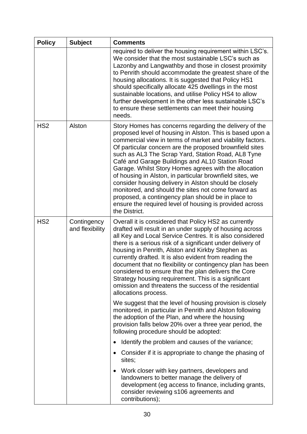| <b>Policy</b>   | <b>Subject</b>                 | <b>Comments</b>                                                                                                                                                                                                                                                                                                                                                                                                                                                                                                                                                                                                                                                                                                             |
|-----------------|--------------------------------|-----------------------------------------------------------------------------------------------------------------------------------------------------------------------------------------------------------------------------------------------------------------------------------------------------------------------------------------------------------------------------------------------------------------------------------------------------------------------------------------------------------------------------------------------------------------------------------------------------------------------------------------------------------------------------------------------------------------------------|
|                 |                                | required to deliver the housing requirement within LSC's.<br>We consider that the most sustainable LSC's such as<br>Lazonby and Langwathby and those in closest proximity<br>to Penrith should accommodate the greatest share of the<br>housing allocations. It is suggested that Policy HS1<br>should specifically allocate 425 dwellings in the most<br>sustainable locations, and utilise Policy HS4 to allow<br>further development in the other less sustainable LSC's<br>to ensure these settlements can meet their housing<br>needs.                                                                                                                                                                                 |
| H <sub>S2</sub> | Alston                         | Story Homes has concerns regarding the delivery of the<br>proposed level of housing in Alston. This is based upon a<br>commercial view in terms of market and viability factors.<br>Of particular concern are the proposed brownfield sites<br>such as AL3 The Scrap Yard, Station Road, AL8 Tyne<br>Café and Garage Buildings and AL10 Station Road<br>Garage. Whilst Story Homes agrees with the allocation<br>of housing in Alston, in particular brownfield sites, we<br>consider housing delivery in Alston should be closely<br>monitored, and should the sites not come forward as<br>proposed, a contingency plan should be in place to<br>ensure the required level of housing is provided across<br>the District. |
| HS <sub>2</sub> | Contingency<br>and flexibility | Overall it is considered that Policy HS2 as currently<br>drafted will result in an under supply of housing across<br>all Key and Local Service Centres. It is also considered<br>there is a serious risk of a significant under delivery of<br>housing in Penrith, Alston and Kirkby Stephen as<br>currently drafted. It is also evident from reading the<br>document that no flexibility or contingency plan has been<br>considered to ensure that the plan delivers the Core<br>Strategy housing requirement. This is a significant<br>omission and threatens the success of the residential<br>allocations process.                                                                                                      |
|                 |                                | We suggest that the level of housing provision is closely<br>monitored, in particular in Penrith and Alston following<br>the adoption of the Plan, and where the housing<br>provision falls below 20% over a three year period, the<br>following procedure should be adopted:                                                                                                                                                                                                                                                                                                                                                                                                                                               |
|                 |                                | Identify the problem and causes of the variance;<br>٠                                                                                                                                                                                                                                                                                                                                                                                                                                                                                                                                                                                                                                                                       |
|                 |                                | Consider if it is appropriate to change the phasing of<br>sites;                                                                                                                                                                                                                                                                                                                                                                                                                                                                                                                                                                                                                                                            |
|                 |                                | Work closer with key partners, developers and<br>landowners to better manage the delivery of<br>development (eg access to finance, including grants,<br>consider reviewing s106 agreements and<br>contributions);                                                                                                                                                                                                                                                                                                                                                                                                                                                                                                           |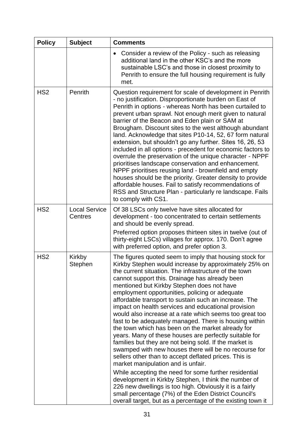| <b>Policy</b>   | <b>Subject</b>                  | <b>Comments</b>                                                                                                                                                                                                                                                                                                                                                                                                                                                                                                                                                                                                                                                                                                                                                                                                                                                                                                                                                                                                                                                                                                                                                                                      |
|-----------------|---------------------------------|------------------------------------------------------------------------------------------------------------------------------------------------------------------------------------------------------------------------------------------------------------------------------------------------------------------------------------------------------------------------------------------------------------------------------------------------------------------------------------------------------------------------------------------------------------------------------------------------------------------------------------------------------------------------------------------------------------------------------------------------------------------------------------------------------------------------------------------------------------------------------------------------------------------------------------------------------------------------------------------------------------------------------------------------------------------------------------------------------------------------------------------------------------------------------------------------------|
|                 |                                 | Consider a review of the Policy - such as releasing<br>additional land in the other KSC's and the more<br>sustainable LSC's and those in closest proximity to<br>Penrith to ensure the full housing requirement is fully<br>met.                                                                                                                                                                                                                                                                                                                                                                                                                                                                                                                                                                                                                                                                                                                                                                                                                                                                                                                                                                     |
| HS <sub>2</sub> | Penrith                         | Question requirement for scale of development in Penrith<br>- no justification. Disproportionate burden on East of<br>Penrith in options - whereas North has been curtailed to<br>prevent urban sprawl. Not enough merit given to natural<br>barrier of the Beacon and Eden plain or SAM at<br>Brougham. Discount sites to the west although abundant<br>land. Acknowledge that sites P10-14, 52, 67 form natural<br>extension, but shouldn't go any further. Sites 16, 26, 53<br>included in all options - precedent for economic factors to<br>overrule the preservation of the unique character - NPPF<br>prioritises landscape conservation and enhancement.<br>NPPF prioritises reusing land - brownfield and empty<br>houses should be the priority. Greater density to provide<br>affordable houses. Fail to satisfy recommendations of<br>RSS and Structure Plan - particularly re landscape. Fails<br>to comply with CS1.                                                                                                                                                                                                                                                                   |
| HS <sub>2</sub> | <b>Local Service</b><br>Centres | Of 38 LSCs only twelve have sites allocated for<br>development - too concentrated to certain settlements<br>and should be evenly spread.<br>Preferred option proposes thirteen sites in twelve (out of<br>thirty-eight LSCs) villages for approx. 170. Don't agree<br>with preferred option, and prefer option 3.                                                                                                                                                                                                                                                                                                                                                                                                                                                                                                                                                                                                                                                                                                                                                                                                                                                                                    |
| HS <sub>2</sub> | Kirkby<br>Stephen               | The figures quoted seem to imply that housing stock for<br>Kirkby Stephen would increase by approximately 25% on<br>the current situation. The infrastructure of the town<br>cannot support this. Drainage has already been<br>mentioned but Kirkby Stephen does not have<br>employment opportunities, policing or adequate<br>affordable transport to sustain such an increase. The<br>impact on health services and educational provision<br>would also increase at a rate which seems too great too<br>fast to be adequately managed. There is housing within<br>the town which has been on the market already for<br>years. Many of these houses are perfectly suitable for<br>families but they are not being sold. If the market is<br>swamped with new houses there will be no recourse for<br>sellers other than to accept deflated prices. This is<br>market manipulation and is unfair.<br>While accepting the need for some further residential<br>development in Kirkby Stephen, I think the number of<br>226 new dwellings is too high. Obviously it is a fairly<br>small percentage (7%) of the Eden District Council's<br>overall target, but as a percentage of the existing town it |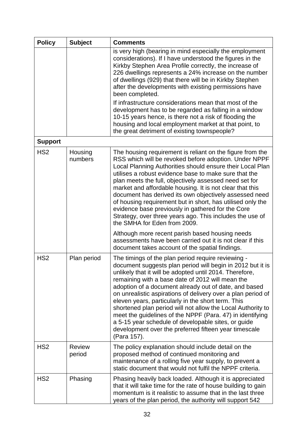| <b>Policy</b>   | <b>Subject</b>          | <b>Comments</b>                                                                                                                                                                                                                                                                                                                                                                                                                                                                                                                                                                                                                                                           |
|-----------------|-------------------------|---------------------------------------------------------------------------------------------------------------------------------------------------------------------------------------------------------------------------------------------------------------------------------------------------------------------------------------------------------------------------------------------------------------------------------------------------------------------------------------------------------------------------------------------------------------------------------------------------------------------------------------------------------------------------|
|                 |                         | is very high (bearing in mind especially the employment<br>considerations). If I have understood the figures in the<br>Kirkby Stephen Area Profile correctly, the increase of<br>226 dwellings represents a 24% increase on the number<br>of dwellings (929) that there will be in Kirkby Stephen<br>after the developments with existing permissions have<br>been completed.                                                                                                                                                                                                                                                                                             |
|                 |                         | If infrastructure considerations mean that most of the<br>development has to be regarded as falling in a window<br>10-15 years hence, is there not a risk of flooding the<br>housing and local employment market at that point, to<br>the great detriment of existing townspeople?                                                                                                                                                                                                                                                                                                                                                                                        |
| <b>Support</b>  |                         |                                                                                                                                                                                                                                                                                                                                                                                                                                                                                                                                                                                                                                                                           |
| HS <sub>2</sub> | Housing<br>numbers      | The housing requirement is reliant on the figure from the<br>RSS which will be revoked before adoption. Under NPPF<br>Local Planning Authorities should ensure their Local Plan<br>utilises a robust evidence base to make sure that the<br>plan meets the full, objectively assessed need set for<br>market and affordable housing. It is not clear that this<br>document has derived its own objectively assessed need<br>of housing requirement but in short, has utilised only the<br>evidence base previously in gathered for the Core<br>Strategy, over three years ago. This includes the use of<br>the SMHA for Eden from 2009.                                   |
|                 |                         | Although more recent parish based housing needs<br>assessments have been carried out it is not clear if this<br>document takes account of the spatial findings.                                                                                                                                                                                                                                                                                                                                                                                                                                                                                                           |
| HS <sub>2</sub> | Plan period             | The timings of the plan period require reviewing -<br>document suggests plan period will begin in 2012 but it is<br>unlikely that it will be adopted until 2014. Therefore,<br>remaining with a base date of 2012 will mean the<br>adoption of a document already out of date, and based<br>on unrealistic aspirations of delivery over a plan period of<br>eleven years, particularly in the short term. This<br>shortened plan period will not allow the Local Authority to<br>meet the guidelines of the NPPF (Para. 47) in identifying<br>a 5-15 year schedule of developable sites, or guide<br>development over the preferred fifteen year timescale<br>(Para 157). |
| HS <sub>2</sub> | <b>Review</b><br>period | The policy explanation should include detail on the<br>proposed method of continued monitoring and<br>maintenance of a rolling five year supply, to prevent a<br>static document that would not fulfil the NPPF criteria.                                                                                                                                                                                                                                                                                                                                                                                                                                                 |
| HS <sub>2</sub> | Phasing                 | Phasing heavily back loaded. Although it is appreciated<br>that it will take time for the rate of house building to gain<br>momentum is it realistic to assume that in the last three<br>years of the plan period, the authority will support 542                                                                                                                                                                                                                                                                                                                                                                                                                         |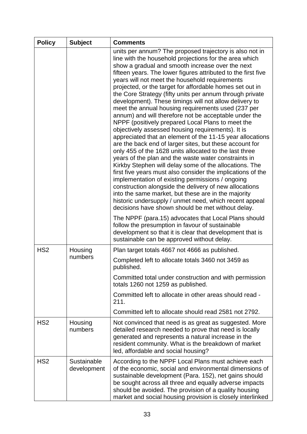| <b>Policy</b>   | <b>Subject</b>             | <b>Comments</b>                                                                                                                                                                                                                                                                                                                                                                                                                                                                                                                                                                                                                                                                                                                                                                                                                                                                                                                                                                                                                                                                                                                                                                                                                                                                                                                                            |
|-----------------|----------------------------|------------------------------------------------------------------------------------------------------------------------------------------------------------------------------------------------------------------------------------------------------------------------------------------------------------------------------------------------------------------------------------------------------------------------------------------------------------------------------------------------------------------------------------------------------------------------------------------------------------------------------------------------------------------------------------------------------------------------------------------------------------------------------------------------------------------------------------------------------------------------------------------------------------------------------------------------------------------------------------------------------------------------------------------------------------------------------------------------------------------------------------------------------------------------------------------------------------------------------------------------------------------------------------------------------------------------------------------------------------|
|                 |                            | units per annum? The proposed trajectory is also not in<br>line with the household projections for the area which<br>show a gradual and smooth increase over the next<br>fifteen years. The lower figures attributed to the first five<br>years will not meet the household requirements<br>projected, or the target for affordable homes set out in<br>the Core Strategy (fifty units per annum through private<br>development). These timings will not allow delivery to<br>meet the annual housing requirements used (237 per<br>annum) and will therefore not be acceptable under the<br>NPPF (positively prepared Local Plans to meet the<br>objectively assessed housing requirements). It is<br>appreciated that an element of the 11-15 year allocations<br>are the back end of larger sites, but these account for<br>only 455 of the 1628 units allocated to the last three<br>years of the plan and the waste water constraints in<br>Kirkby Stephen will delay some of the allocations. The<br>first five years must also consider the implications of the<br>implementation of existing permissions / ongoing<br>construction alongside the delivery of new allocations<br>into the same market, but these are in the majority<br>historic undersupply / unmet need, which recent appeal<br>decisions have shown should be met without delay. |
|                 |                            | The NPPF (para.15) advocates that Local Plans should<br>follow the presumption in favour of sustainable<br>development so that it is clear that development that is<br>sustainable can be approved without delay.                                                                                                                                                                                                                                                                                                                                                                                                                                                                                                                                                                                                                                                                                                                                                                                                                                                                                                                                                                                                                                                                                                                                          |
| HS <sub>2</sub> | Housing                    | Plan target totals 4667 not 4666 as published.                                                                                                                                                                                                                                                                                                                                                                                                                                                                                                                                                                                                                                                                                                                                                                                                                                                                                                                                                                                                                                                                                                                                                                                                                                                                                                             |
| numbers         |                            | Completed left to allocate totals 3460 not 3459 as<br>published                                                                                                                                                                                                                                                                                                                                                                                                                                                                                                                                                                                                                                                                                                                                                                                                                                                                                                                                                                                                                                                                                                                                                                                                                                                                                            |
|                 |                            | Committed total under construction and with permission<br>totals 1260 not 1259 as published.                                                                                                                                                                                                                                                                                                                                                                                                                                                                                                                                                                                                                                                                                                                                                                                                                                                                                                                                                                                                                                                                                                                                                                                                                                                               |
|                 |                            | Committed left to allocate in other areas should read -<br>211.                                                                                                                                                                                                                                                                                                                                                                                                                                                                                                                                                                                                                                                                                                                                                                                                                                                                                                                                                                                                                                                                                                                                                                                                                                                                                            |
|                 |                            | Committed left to allocate should read 2581 not 2792.                                                                                                                                                                                                                                                                                                                                                                                                                                                                                                                                                                                                                                                                                                                                                                                                                                                                                                                                                                                                                                                                                                                                                                                                                                                                                                      |
| HS <sub>2</sub> | Housing<br>numbers         | Not convinced that need is as great as suggested. More<br>detailed research needed to prove that need is locally<br>generated and represents a natural increase in the<br>resident community. What is the breakdown of market<br>led, affordable and social housing?                                                                                                                                                                                                                                                                                                                                                                                                                                                                                                                                                                                                                                                                                                                                                                                                                                                                                                                                                                                                                                                                                       |
| HS <sub>2</sub> | Sustainable<br>development | According to the NPPF Local Plans must achieve each<br>of the economic, social and environmental dimensions of<br>sustainable development (Para. 152), net gains should<br>be sought across all three and equally adverse impacts<br>should be avoided. The provision of a quality housing<br>market and social housing provision is closely interlinked                                                                                                                                                                                                                                                                                                                                                                                                                                                                                                                                                                                                                                                                                                                                                                                                                                                                                                                                                                                                   |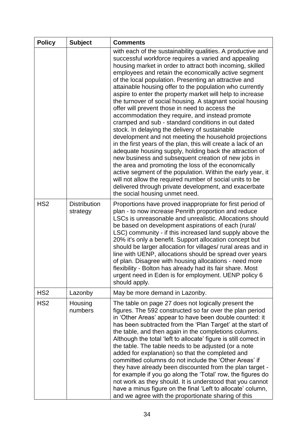| <b>Policy</b>   | <b>Subject</b>                  | <b>Comments</b>                                                                                                                                                                                                                                                                                                                                                                                                                                                                                                                                                                                                                                                                                                                                                                                                                                                                                                                                                                                                                                                                                                                                                                                                               |
|-----------------|---------------------------------|-------------------------------------------------------------------------------------------------------------------------------------------------------------------------------------------------------------------------------------------------------------------------------------------------------------------------------------------------------------------------------------------------------------------------------------------------------------------------------------------------------------------------------------------------------------------------------------------------------------------------------------------------------------------------------------------------------------------------------------------------------------------------------------------------------------------------------------------------------------------------------------------------------------------------------------------------------------------------------------------------------------------------------------------------------------------------------------------------------------------------------------------------------------------------------------------------------------------------------|
|                 |                                 | with each of the sustainability qualities. A productive and<br>successful workforce requires a varied and appealing<br>housing market in order to attract both incoming, skilled<br>employees and retain the economically active segment<br>of the local population. Presenting an attractive and<br>attainable housing offer to the population who currently<br>aspire to enter the property market will help to increase<br>the turnover of social housing. A stagnant social housing<br>offer will prevent those in need to access the<br>accommodation they require, and instead promote<br>cramped and sub - standard conditions in out dated<br>stock. In delaying the delivery of sustainable<br>development and not meeting the household projections<br>in the first years of the plan, this will create a lack of an<br>adequate housing supply, holding back the attraction of<br>new business and subsequent creation of new jobs in<br>the area and promoting the loss of the economically<br>active segment of the population. Within the early year, it<br>will not allow the required number of social units to be<br>delivered through private development, and exacerbate<br>the social housing unmet need. |
| HS <sub>2</sub> | <b>Distribution</b><br>strategy | Proportions have proved inappropriate for first period of<br>plan - to now increase Penrith proportion and reduce<br>LSCs is unreasonable and unrealistic. Allocations should<br>be based on development aspirations of each (rural/<br>LSC) community - if this increased land supply above the<br>20% it's only a benefit. Support allocation concept but<br>should be larger allocation for villages/ rural areas and in<br>line with UENP, allocations should be spread over years<br>of plan. Disagree with housing allocations - need more<br>flexibility - Bolton has already had its fair share. Most<br>urgent need in Eden is for employment. UENP policy 6<br>should apply.                                                                                                                                                                                                                                                                                                                                                                                                                                                                                                                                        |
| HS <sub>2</sub> | Lazonby                         | May be more demand in Lazonby.                                                                                                                                                                                                                                                                                                                                                                                                                                                                                                                                                                                                                                                                                                                                                                                                                                                                                                                                                                                                                                                                                                                                                                                                |
| HS <sub>2</sub> | Housing<br>numbers              | The table on page 27 does not logically present the<br>figures. The 592 constructed so far over the plan period<br>in 'Other Areas' appear to have been double counted: it<br>has been subtracted from the 'Plan Target' at the start of<br>the table, and then again in the completions columns.<br>Although the total 'left to allocate' figure is still correct in<br>the table. The table needs to be adjusted (or a note<br>added for explanation) so that the completed and<br>committed columns do not include the 'Other Areas' if<br>they have already been discounted from the plan target -<br>for example if you go along the 'Total' row, the figures do<br>not work as they should. It is understood that you cannot<br>have a minus figure on the final 'Left to allocate' column,<br>and we agree with the proportionate sharing of this                                                                                                                                                                                                                                                                                                                                                                      |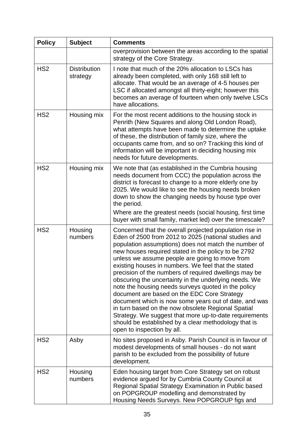| <b>Policy</b>   | <b>Subject</b>                  | <b>Comments</b>                                                                                                                                                                                                                                                                                                                                                                                                                                                                                                                                                                                                                                                                                                                                                                                                                |
|-----------------|---------------------------------|--------------------------------------------------------------------------------------------------------------------------------------------------------------------------------------------------------------------------------------------------------------------------------------------------------------------------------------------------------------------------------------------------------------------------------------------------------------------------------------------------------------------------------------------------------------------------------------------------------------------------------------------------------------------------------------------------------------------------------------------------------------------------------------------------------------------------------|
|                 |                                 | overprovision between the areas according to the spatial<br>strategy of the Core Strategy.                                                                                                                                                                                                                                                                                                                                                                                                                                                                                                                                                                                                                                                                                                                                     |
| HS <sub>2</sub> | <b>Distribution</b><br>strategy | I note that much of the 20% allocation to LSCs has<br>already been completed, with only 168 still left to<br>allocate. That would be an average of 4-5 houses per<br>LSC if allocated amongst all thirty-eight; however this<br>becomes an average of fourteen when only twelve LSCs<br>have allocations.                                                                                                                                                                                                                                                                                                                                                                                                                                                                                                                      |
| HS <sub>2</sub> | Housing mix                     | For the most recent additions to the housing stock in<br>Penrith (New Squares and along Old London Road),<br>what attempts have been made to determine the uptake<br>of these, the distribution of family size, where the<br>occupants came from, and so on? Tracking this kind of<br>information will be important in deciding housing mix<br>needs for future developments.                                                                                                                                                                                                                                                                                                                                                                                                                                                  |
| HS <sub>2</sub> | Housing mix                     | We note that (as established in the Cumbria housing<br>needs document from CCC) the population across the<br>district is forecast to change to a more elderly one by<br>2025. We would like to see the housing needs broken<br>down to show the changing needs by house type over<br>the period.<br>Where are the greatest needs (social housing, first time<br>buyer with small family, market led) over the timescale?                                                                                                                                                                                                                                                                                                                                                                                                       |
| HS <sub>2</sub> | Housing<br>numbers              | Concerned that the overall projected population rise in<br>Eden of 2500 from 2012 to 2025 (national studies and<br>population assumptions) does not match the number of<br>new houses required stated in the policy to be 2792<br>unless we assume people are going to move from<br>existing houses in numbers. We feel that the stated<br>precision of the numbers of required dwellings may be<br>obscuring the uncertainty in the underlying needs. We<br>note the housing needs surveys quoted in the policy<br>document are based on the EDC Core Strategy<br>document which is now some years out of date, and was<br>in turn based on the now obsolete Regional Spatial<br>Strategy. We suggest that more up-to-date requirements<br>should be established by a clear methodology that is<br>open to inspection by all. |
| HS <sub>2</sub> | Asby                            | No sites proposed in Asby. Parish Council is in favour of<br>modest developments of small houses - do not want<br>parish to be excluded from the possibility of future<br>development.                                                                                                                                                                                                                                                                                                                                                                                                                                                                                                                                                                                                                                         |
| HS <sub>2</sub> | Housing<br>numbers              | Eden housing target from Core Strategy set on robust<br>evidence argued for by Cumbria County Council at<br>Regional Spatial Strategy Examination in Public based<br>on POPGROUP modelling and demonstrated by<br>Housing Needs Surveys. New POPGROUP figs and                                                                                                                                                                                                                                                                                                                                                                                                                                                                                                                                                                 |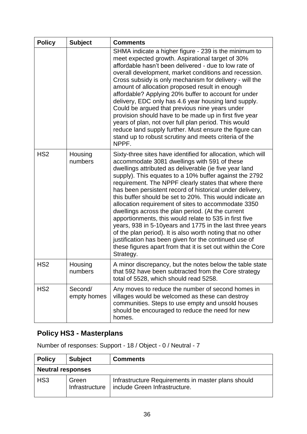| <b>Policy</b>   | <b>Subject</b>         | <b>Comments</b>                                                                                                                                                                                                                                                                                                                                                                                                                                                                                                                                                                                                                                                                                                                                                                                                                                        |
|-----------------|------------------------|--------------------------------------------------------------------------------------------------------------------------------------------------------------------------------------------------------------------------------------------------------------------------------------------------------------------------------------------------------------------------------------------------------------------------------------------------------------------------------------------------------------------------------------------------------------------------------------------------------------------------------------------------------------------------------------------------------------------------------------------------------------------------------------------------------------------------------------------------------|
|                 |                        | SHMA indicate a higher figure - 239 is the minimum to<br>meet expected growth. Aspirational target of 30%<br>affordable hasn't been delivered - due to low rate of<br>overall development, market conditions and recession.<br>Cross subsidy is only mechanism for delivery - will the<br>amount of allocation proposed result in enough<br>affordable? Applying 20% buffer to account for under<br>delivery, EDC only has 4.6 year housing land supply.<br>Could be argued that previous nine years under<br>provision should have to be made up in first five year<br>years of plan, not over full plan period. This would<br>reduce land supply further. Must ensure the figure can<br>stand up to robust scrutiny and meets criteria of the<br>NPPF.                                                                                               |
| HS <sub>2</sub> | Housing<br>numbers     | Sixty-three sites have identified for allocation, which will<br>accommodate 3081 dwellings with 591 of these<br>dwellings attributed as deliverable (ie five year land<br>supply). This equates to a 10% buffer against the 2792<br>requirement. The NPPF clearly states that where there<br>has been persistent record of historical under delivery,<br>this buffer should be set to 20%. This would indicate an<br>allocation requirement of sites to accommodate 3350<br>dwellings across the plan period. (At the current<br>apportionments, this would relate to 535 in first five<br>years, 938 in 5-10years and 1775 in the last three years<br>of the plan period). It is also worth noting that no other<br>justification has been given for the continued use of<br>these figures apart from that it is set out within the Core<br>Strategy. |
| HS <sub>2</sub> | Housing<br>numbers     | A minor discrepancy, but the notes below the table state<br>that 592 have been subtracted from the Core strategy<br>total of 5528, which should read 5258.                                                                                                                                                                                                                                                                                                                                                                                                                                                                                                                                                                                                                                                                                             |
| HS <sub>2</sub> | Second/<br>empty homes | Any moves to reduce the number of second homes in<br>villages would be welcomed as these can destroy<br>communities. Steps to use empty and unsold houses<br>should be encouraged to reduce the need for new<br>homes.                                                                                                                                                                                                                                                                                                                                                                                                                                                                                                                                                                                                                                 |

# **Policy HS3 - Masterplans**

Number of responses: Support - 18 / Object - 0 / Neutral - 7

| <b>Policy</b>            | <b>Subject</b>          | <b>Comments</b>                                                                     |
|--------------------------|-------------------------|-------------------------------------------------------------------------------------|
| <b>Neutral responses</b> |                         |                                                                                     |
| HS <sub>3</sub>          | Green<br>Infrastructure | Infrastructure Requirements in master plans should<br>include Green Infrastructure. |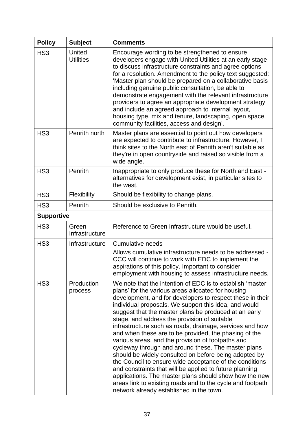| <b>Policy</b>     | <b>Subject</b>                    | <b>Comments</b>                                                                                                                                                                                                                                                                                                                                                                                                                                                                                                                                                                                                                                                                                                                                                                                                                                                                                                                    |
|-------------------|-----------------------------------|------------------------------------------------------------------------------------------------------------------------------------------------------------------------------------------------------------------------------------------------------------------------------------------------------------------------------------------------------------------------------------------------------------------------------------------------------------------------------------------------------------------------------------------------------------------------------------------------------------------------------------------------------------------------------------------------------------------------------------------------------------------------------------------------------------------------------------------------------------------------------------------------------------------------------------|
| HS <sub>3</sub>   | <b>United</b><br><b>Utilities</b> | Encourage wording to be strengthened to ensure<br>developers engage with United Utilities at an early stage<br>to discuss infrastructure constraints and agree options<br>for a resolution. Amendment to the policy text suggested:<br>'Master plan should be prepared on a collaborative basis<br>including genuine public consultation, be able to<br>demonstrate engagement with the relevant infrastructure<br>providers to agree an appropriate development strategy<br>and include an agreed approach to internal layout,<br>housing type, mix and tenure, landscaping, open space,<br>community facilities, access and design'.                                                                                                                                                                                                                                                                                             |
| HS <sub>3</sub>   | Penrith north                     | Master plans are essential to point out how developers<br>are expected to contribute to infrastructure. However, I<br>think sites to the North east of Penrith aren't suitable as<br>they're in open countryside and raised so visible from a<br>wide angle.                                                                                                                                                                                                                                                                                                                                                                                                                                                                                                                                                                                                                                                                       |
| HS <sub>3</sub>   | Penrith                           | Inappropriate to only produce these for North and East -<br>alternatives for development exist, in particular sites to<br>the west.                                                                                                                                                                                                                                                                                                                                                                                                                                                                                                                                                                                                                                                                                                                                                                                                |
| HS <sub>3</sub>   | Flexibility                       | Should be flexibility to change plans.                                                                                                                                                                                                                                                                                                                                                                                                                                                                                                                                                                                                                                                                                                                                                                                                                                                                                             |
| HS <sub>3</sub>   | Penrith                           | Should be exclusive to Penrith.                                                                                                                                                                                                                                                                                                                                                                                                                                                                                                                                                                                                                                                                                                                                                                                                                                                                                                    |
| <b>Supportive</b> |                                   |                                                                                                                                                                                                                                                                                                                                                                                                                                                                                                                                                                                                                                                                                                                                                                                                                                                                                                                                    |
| HS <sub>3</sub>   | Green<br>Infrastructure           | Reference to Green Infrastructure would be useful.                                                                                                                                                                                                                                                                                                                                                                                                                                                                                                                                                                                                                                                                                                                                                                                                                                                                                 |
| HS <sub>3</sub>   | Infrastructure                    | Cumulative needs                                                                                                                                                                                                                                                                                                                                                                                                                                                                                                                                                                                                                                                                                                                                                                                                                                                                                                                   |
|                   |                                   | Allows cumulative infrastructure needs to be addressed -<br>CCC will continue to work with EDC to implement the<br>aspirations of this policy. Important to consider<br>employment with housing to assess infrastructure needs.                                                                                                                                                                                                                                                                                                                                                                                                                                                                                                                                                                                                                                                                                                    |
| HS <sub>3</sub>   | Production<br>process             | We note that the intention of EDC is to establish 'master<br>plans' for the various areas allocated for housing<br>development, and for developers to respect these in their<br>individual proposals. We support this idea, and would<br>suggest that the master plans be produced at an early<br>stage, and address the provision of suitable<br>infrastructure such as roads, drainage, services and how<br>and when these are to be provided, the phasing of the<br>various areas, and the provision of footpaths and<br>cycleway through and around these. The master plans<br>should be widely consulted on before being adopted by<br>the Council to ensure wide acceptance of the conditions<br>and constraints that will be applied to future planning<br>applications. The master plans should show how the new<br>areas link to existing roads and to the cycle and footpath<br>network already established in the town. |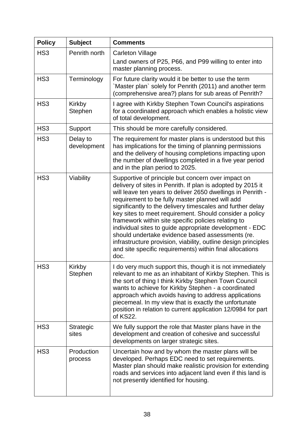| <b>Policy</b>   | <b>Subject</b>          | <b>Comments</b>                                                                                                                                                                                                                                                                                                                                                                                                                                                                                                                                                                                                                                                          |
|-----------------|-------------------------|--------------------------------------------------------------------------------------------------------------------------------------------------------------------------------------------------------------------------------------------------------------------------------------------------------------------------------------------------------------------------------------------------------------------------------------------------------------------------------------------------------------------------------------------------------------------------------------------------------------------------------------------------------------------------|
| HS <sub>3</sub> | Penrith north           | <b>Carleton Village</b><br>Land owners of P25, P66, and P99 willing to enter into<br>master planning process.                                                                                                                                                                                                                                                                                                                                                                                                                                                                                                                                                            |
| HS <sub>3</sub> | Terminology             | For future clarity would it be better to use the term<br>Master plan`solely for Penrith (2011) and another term<br>(comprehensive area?) plans for sub areas of Penrith?                                                                                                                                                                                                                                                                                                                                                                                                                                                                                                 |
| HS <sub>3</sub> | Kirkby<br>Stephen       | I agree with Kirkby Stephen Town Council's aspirations<br>for a coordinated approach which enables a holistic view<br>of total development.                                                                                                                                                                                                                                                                                                                                                                                                                                                                                                                              |
| HS <sub>3</sub> | Support                 | This should be more carefully considered.                                                                                                                                                                                                                                                                                                                                                                                                                                                                                                                                                                                                                                |
| HS <sub>3</sub> | Delay to<br>development | The requirement for master plans is understood but this<br>has implications for the timing of planning permissions<br>and the delivery of housing completions impacting upon<br>the number of dwellings completed in a five year period<br>and in the plan period to 2025.                                                                                                                                                                                                                                                                                                                                                                                               |
| HS <sub>3</sub> | Viability               | Supportive of principle but concern over impact on<br>delivery of sites in Penrith. If plan is adopted by 2015 it<br>will leave ten years to deliver 2650 dwellings in Penrith -<br>requirement to be fully master planned will add<br>significantly to the delivery timescales and further delay<br>key sites to meet requirement. Should consider a policy<br>framework within site specific policies relating to<br>individual sites to guide appropriate development - EDC<br>should undertake evidence based assessments (re.<br>infrastructure provision, viability, outline design principles<br>and site specific requirements) within final allocations<br>doc. |
| HS <sub>3</sub> | Kirkby<br>Stephen       | I do very much support this, though it is not immediately<br>relevant to me as an inhabitant of Kirkby Stephen. This is<br>the sort of thing I think Kirkby Stephen Town Council<br>wants to achieve for Kirkby Stephen - a coordinated<br>approach which avoids having to address applications<br>piecemeal. In my view that is exactly the unfortunate<br>position in relation to current application 12/0984 for part<br>of KS22.                                                                                                                                                                                                                                     |
| HS <sub>3</sub> | Strategic<br>sites      | We fully support the role that Master plans have in the<br>development and creation of cohesive and successful<br>developments on larger strategic sites.                                                                                                                                                                                                                                                                                                                                                                                                                                                                                                                |
| HS <sub>3</sub> | Production<br>process   | Uncertain how and by whom the master plans will be<br>developed. Perhaps EDC need to set requirements.<br>Master plan should make realistic provision for extending<br>roads and services into adjacent land even if this land is<br>not presently identified for housing.                                                                                                                                                                                                                                                                                                                                                                                               |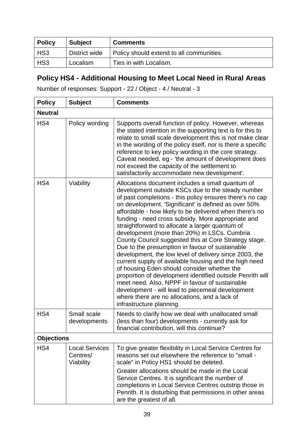| <b>Policy</b> | <b>Subject</b> | <b>Comments</b>                          |
|---------------|----------------|------------------------------------------|
| HS3           | District wide  | Policy should extend to all communities. |
| HS3           | Localism       | Ties in with Localism.                   |

# **Policy HS4 - Additional Housing to Meet Local Need in Rural Areas**

Number of responses: Support - 22 / Object - 4 / Neutral - 3

| <b>Policy</b>     | <b>Subject</b>                                 | <b>Comments</b>                                                                                                                                                                                                                                                                                                                                                                                                                                                                                                                                                                                                                                                                                                                                                                                                                                                                                                                                                             |
|-------------------|------------------------------------------------|-----------------------------------------------------------------------------------------------------------------------------------------------------------------------------------------------------------------------------------------------------------------------------------------------------------------------------------------------------------------------------------------------------------------------------------------------------------------------------------------------------------------------------------------------------------------------------------------------------------------------------------------------------------------------------------------------------------------------------------------------------------------------------------------------------------------------------------------------------------------------------------------------------------------------------------------------------------------------------|
| <b>Neutral</b>    |                                                |                                                                                                                                                                                                                                                                                                                                                                                                                                                                                                                                                                                                                                                                                                                                                                                                                                                                                                                                                                             |
| HS4               | Policy wording                                 | Supports overall function of policy. However, whereas<br>the stated intention in the supporting text is for this to<br>relate to small scale development this is not make clear<br>in the wording of the policy itself, nor is there a specific<br>reference to key policy wording in the core strategy.<br>Caveat needed, eg - 'the amount of development does<br>not exceed the capacity of the settlement to<br>satisfactorily accommodate new development'.                                                                                                                                                                                                                                                                                                                                                                                                                                                                                                             |
| HS4               | Viability                                      | Allocations document includes a small quantum of<br>development outside KSCs due to the steady number<br>of past completions - this policy ensures there's no cap<br>on development. 'Significant' is defined as over 50%<br>affordable - how likely to be delivered when there's no<br>funding - need cross subsidy. More appropriate and<br>straightforward to allocate a larger quantum of<br>development (more than 20%) in LSCs. Cumbria<br>County Council suggested this at Core Strategy stage.<br>Due to the presumption in favour of sustainable<br>development, the low level of delivery since 2003, the<br>current supply of available housing and the high need<br>of housing Eden should consider whether the<br>proportion of development identified outside Penrith will<br>meet need. Also, NPPF in favour of sustainable<br>development - will lead to piecemeal development<br>where there are no allocations, and a lack of<br>infrastructure planning. |
| HS4               | Small scale<br>developments                    | Needs to clarify how we deal with unallocated small<br>(less than four) developments - currently ask for<br>financial contribution, will this continue?                                                                                                                                                                                                                                                                                                                                                                                                                                                                                                                                                                                                                                                                                                                                                                                                                     |
| <b>Objections</b> |                                                |                                                                                                                                                                                                                                                                                                                                                                                                                                                                                                                                                                                                                                                                                                                                                                                                                                                                                                                                                                             |
| HS4               | <b>Local Services</b><br>Centres/<br>Viability | To give greater flexibility in Local Service Centres for<br>reasons set out elsewhere the reference to "small -<br>scale" in Policy HS1 should be deleted.<br>Greater allocations should be made in the Local<br>Service Centres. It is significant the number of<br>completions in Local Service Centres outstrip those in                                                                                                                                                                                                                                                                                                                                                                                                                                                                                                                                                                                                                                                 |
|                   |                                                | Penrith. It is disturbing that permissions in other areas<br>are the greatest of all.                                                                                                                                                                                                                                                                                                                                                                                                                                                                                                                                                                                                                                                                                                                                                                                                                                                                                       |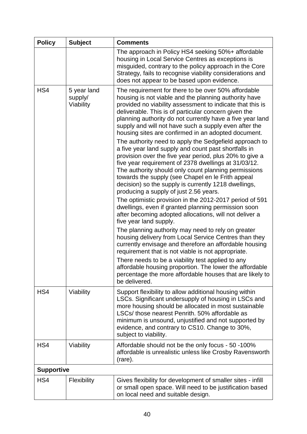| <b>Policy</b>     | <b>Subject</b>                      | <b>Comments</b>                                                                                                                                                                                                                                                                                                                                                                                                                                                                                                                                                                                                                                                                                                                                                                                                                                                                                                                                                                                                                                                                                                                                                                                                                                                                                                                                                                                                                                                                                      |
|-------------------|-------------------------------------|------------------------------------------------------------------------------------------------------------------------------------------------------------------------------------------------------------------------------------------------------------------------------------------------------------------------------------------------------------------------------------------------------------------------------------------------------------------------------------------------------------------------------------------------------------------------------------------------------------------------------------------------------------------------------------------------------------------------------------------------------------------------------------------------------------------------------------------------------------------------------------------------------------------------------------------------------------------------------------------------------------------------------------------------------------------------------------------------------------------------------------------------------------------------------------------------------------------------------------------------------------------------------------------------------------------------------------------------------------------------------------------------------------------------------------------------------------------------------------------------------|
|                   |                                     | The approach in Policy HS4 seeking 50%+ affordable<br>housing in Local Service Centres as exceptions is<br>misguided, contrary to the policy approach in the Core<br>Strategy, fails to recognise viability considerations and<br>does not appear to be based upon evidence.                                                                                                                                                                                                                                                                                                                                                                                                                                                                                                                                                                                                                                                                                                                                                                                                                                                                                                                                                                                                                                                                                                                                                                                                                         |
| HS4               | 5 year land<br>supply/<br>Viability | The requirement for there to be over 50% affordable<br>housing is not viable and the planning authority have<br>provided no viability assessment to indicate that this is<br>deliverable. This is of particular concern given the<br>planning authority do not currently have a five year land<br>supply and will not have such a supply even after the<br>housing sites are confirmed in an adopted document.<br>The authority need to apply the Sedgefield approach to<br>a five year land supply and count past shortfalls in<br>provision over the five year period, plus 20% to give a<br>five year requirement of 2378 dwellings at 31/03/12.<br>The authority should only count planning permissions<br>towards the supply (see Chapel en le Frith appeal<br>decision) so the supply is currently 1218 dwellings,<br>producing a supply of just 2.56 years.<br>The optimistic provision in the 2012-2017 period of 591<br>dwellings, even if granted planning permission soon<br>after becoming adopted allocations, will not deliver a<br>five year land supply.<br>The planning authority may need to rely on greater<br>housing delivery from Local Service Centres than they<br>currently envisage and therefore an affordable housing<br>requirement that is not viable is not appropriate.<br>There needs to be a viability test applied to any<br>affordable housing proportion. The lower the affordable<br>percentage the more affordable houses that are likely to<br>be delivered. |
| HS4               | Viability                           | Support flexibility to allow additional housing within<br>LSCs. Significant undersupply of housing in LSCs and<br>more housing should be allocated in most sustainable<br>LSCs/ those nearest Penrith. 50% affordable as<br>minimum is unsound, unjustified and not supported by<br>evidence, and contrary to CS10. Change to 30%,<br>subject to viability.                                                                                                                                                                                                                                                                                                                                                                                                                                                                                                                                                                                                                                                                                                                                                                                                                                                                                                                                                                                                                                                                                                                                          |
| HS4               | Viability                           | Affordable should not be the only focus - 50 -100%<br>affordable is unrealistic unless like Crosby Ravensworth<br>(rare).                                                                                                                                                                                                                                                                                                                                                                                                                                                                                                                                                                                                                                                                                                                                                                                                                                                                                                                                                                                                                                                                                                                                                                                                                                                                                                                                                                            |
| <b>Supportive</b> |                                     |                                                                                                                                                                                                                                                                                                                                                                                                                                                                                                                                                                                                                                                                                                                                                                                                                                                                                                                                                                                                                                                                                                                                                                                                                                                                                                                                                                                                                                                                                                      |
| HS4               | Flexibility                         | Gives flexibility for development of smaller sites - infill<br>or small open space. Will need to be justification based<br>on local need and suitable design.                                                                                                                                                                                                                                                                                                                                                                                                                                                                                                                                                                                                                                                                                                                                                                                                                                                                                                                                                                                                                                                                                                                                                                                                                                                                                                                                        |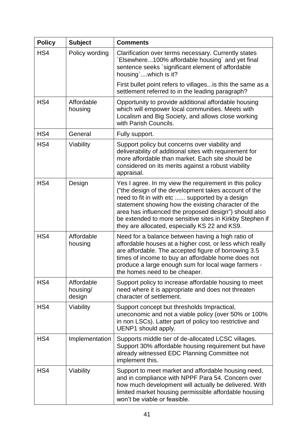| <b>Policy</b> | <b>Subject</b>                   | <b>Comments</b>                                                                                                                                                                                                                                                                                                                                                                               |
|---------------|----------------------------------|-----------------------------------------------------------------------------------------------------------------------------------------------------------------------------------------------------------------------------------------------------------------------------------------------------------------------------------------------------------------------------------------------|
| HS4           | Policy wording                   | Clarification over terms necessary. Currently states<br>`Elsewhere100% affordable housing` and yet final<br>sentence seeks `significant element of affordable<br>housing'which is it?                                                                                                                                                                                                         |
|               |                                  | First bullet point refers to villages is this the same as a<br>settlement referred to in the leading paragraph?                                                                                                                                                                                                                                                                               |
| HS4           | Affordable<br>housing            | Opportunity to provide additional affordable housing<br>which will empower local communities. Meets with<br>Localism and Big Society, and allows close working<br>with Parish Councils.                                                                                                                                                                                                       |
| HS4           | General                          | Fully support.                                                                                                                                                                                                                                                                                                                                                                                |
| HS4           | Viability                        | Support policy but concerns over viability and<br>deliverability of additional sites with requirement for<br>more affordable than market. Each site should be<br>considered on its merits against a robust viability<br>appraisal.                                                                                                                                                            |
| HS4           | Design                           | Yes I agree. In my view the requirement in this policy<br>("the design of the development takes account of the<br>need to fit in with etc  supported by a design<br>statement showing how the existing character of the<br>area has influenced the proposed design") should also<br>be extended to more sensitive sites in Kirkby Stephen if<br>they are allocated, especially KS 22 and KS9. |
| HS4           | Affordable<br>housing            | Need for a balance between having a high ratio of<br>affordable houses at a higher cost, or less which really<br>are affordable. The accepted figure of borrowing 3.5<br>times of income to buy an affordable home does not<br>produce a large enough sum for local wage farmers -<br>the homes need to be cheaper.                                                                           |
| HS4           | Affordable<br>housing/<br>design | Support policy to increase affordable housing to meet<br>need where it is appropriate and does not threaten<br>character of settlement.                                                                                                                                                                                                                                                       |
| HS4           | Viability                        | Support concept but thresholds Impractical,<br>uneconomic and not a viable policy (over 50% or 100%<br>in non LSCs). Latter part of policy too restrictive and<br>UENP1 should apply.                                                                                                                                                                                                         |
| HS4           | Implementation                   | Supports middle tier of de-allocated LCSC villages.<br>Support 30% affordable housing requirement but have<br>already witnessed EDC Planning Committee not<br>implement this.                                                                                                                                                                                                                 |
| HS4           | Viability                        | Support to meet market and affordable housing need,<br>and in compliance with NPPF Para 54. Concern over<br>how much development will actually be delivered. With<br>limited market housing permissible affordable housing<br>won't be viable or feasible.                                                                                                                                    |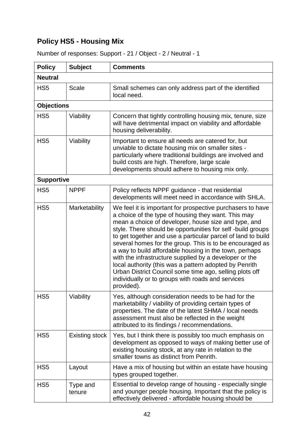# **Policy HS5 - Housing Mix**

| <b>Policy</b>     | <b>Subject</b>        | <b>Comments</b>                                                                                                                                                                                                                                                                                                                                                                                                                                                                                                                                                                                                                                                                 |
|-------------------|-----------------------|---------------------------------------------------------------------------------------------------------------------------------------------------------------------------------------------------------------------------------------------------------------------------------------------------------------------------------------------------------------------------------------------------------------------------------------------------------------------------------------------------------------------------------------------------------------------------------------------------------------------------------------------------------------------------------|
| <b>Neutral</b>    |                       |                                                                                                                                                                                                                                                                                                                                                                                                                                                                                                                                                                                                                                                                                 |
| HS <sub>5</sub>   | Scale                 | Small schemes can only address part of the identified<br>local need.                                                                                                                                                                                                                                                                                                                                                                                                                                                                                                                                                                                                            |
| <b>Objections</b> |                       |                                                                                                                                                                                                                                                                                                                                                                                                                                                                                                                                                                                                                                                                                 |
| HS <sub>5</sub>   | Viability             | Concern that tightly controlling housing mix, tenure, size<br>will have detrimental impact on viability and affordable<br>housing deliverability.                                                                                                                                                                                                                                                                                                                                                                                                                                                                                                                               |
| HS <sub>5</sub>   | Viability             | Important to ensure all needs are catered for, but<br>unviable to dictate housing mix on smaller sites -<br>particularly where traditional buildings are involved and<br>build costs are high. Therefore, large scale<br>developments should adhere to housing mix only.                                                                                                                                                                                                                                                                                                                                                                                                        |
| <b>Supportive</b> |                       |                                                                                                                                                                                                                                                                                                                                                                                                                                                                                                                                                                                                                                                                                 |
| HS <sub>5</sub>   | <b>NPPF</b>           | Policy reflects NPPF guidance - that residential<br>developments will meet need in accordance with SHLA.                                                                                                                                                                                                                                                                                                                                                                                                                                                                                                                                                                        |
| HS <sub>5</sub>   | Marketability         | We feel it is important for prospective purchasers to have<br>a choice of the type of housing they want. This may<br>mean a choice of developer, house size and type, and<br>style. There should be opportunities for self-build groups<br>to get together and use a particular parcel of land to build<br>several homes for the group. This is to be encouraged as<br>a way to build affordable housing in the town, perhaps<br>with the infrastructure supplied by a developer or the<br>local authority (this was a pattern adopted by Penrith<br>Urban District Council some time ago, selling plots off<br>individually or to groups with roads and services<br>provided). |
| HS <sub>5</sub>   | Viability             | Yes, although consideration needs to be had for the<br>marketability / viability of providing certain types of<br>properties. The date of the latest SHMA / local needs<br>assessment must also be reflected in the weight<br>attributed to its findings / recommendations.                                                                                                                                                                                                                                                                                                                                                                                                     |
| HS <sub>5</sub>   | <b>Existing stock</b> | Yes, but I think there is possibly too much emphasis on<br>development as opposed to ways of making better use of<br>existing housing stock, at any rate in relation to the<br>smaller towns as distinct from Penrith.                                                                                                                                                                                                                                                                                                                                                                                                                                                          |
| HS <sub>5</sub>   | Layout                | Have a mix of housing but within an estate have housing<br>types grouped together.                                                                                                                                                                                                                                                                                                                                                                                                                                                                                                                                                                                              |
| HS <sub>5</sub>   | Type and<br>tenure    | Essential to develop range of housing - especially single<br>and younger people housing. Important that the policy is<br>effectively delivered - affordable housing should be                                                                                                                                                                                                                                                                                                                                                                                                                                                                                                   |

Number of responses: Support - 21 / Object - 2 / Neutral - 1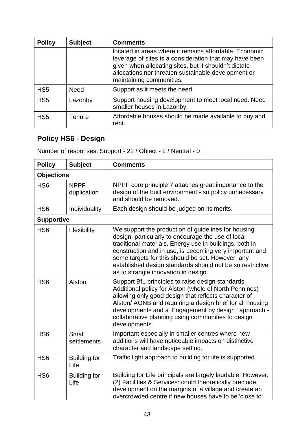| <b>Policy</b>   | <b>Subject</b> | <b>Comments</b>                                                                                                                                                                                                                                               |
|-----------------|----------------|---------------------------------------------------------------------------------------------------------------------------------------------------------------------------------------------------------------------------------------------------------------|
|                 |                | located in areas where it remains affordable. Economic<br>leverage of sites is a consideration that may have been<br>given when allocating sites, but it shouldn't dictate<br>allocations nor threaten sustainable development or<br>maintaining communities. |
| HS <sub>5</sub> | <b>Need</b>    | Support as it meets the need.                                                                                                                                                                                                                                 |
| HS <sub>5</sub> | Lazonby        | Support housing development to meet local need. Need<br>smaller houses in Lazonby.                                                                                                                                                                            |
| HS <sub>5</sub> | Tenure         | Affordable houses should be made available to buy and<br>rent.                                                                                                                                                                                                |

# **Policy HS6 - Design**

Number of responses: Support - 22 / Object - 2 / Neutral - 0

| <b>Policy</b>     | <b>Subject</b>              | <b>Comments</b>                                                                                                                                                                                                                                                                                                                                                                           |
|-------------------|-----------------------------|-------------------------------------------------------------------------------------------------------------------------------------------------------------------------------------------------------------------------------------------------------------------------------------------------------------------------------------------------------------------------------------------|
| <b>Objections</b> |                             |                                                                                                                                                                                                                                                                                                                                                                                           |
| HS <sub>6</sub>   | <b>NPPF</b><br>duplication  | NPPF core principle 7 attaches great importance to the<br>design of the built environment - so policy unnecessary<br>and should be removed.                                                                                                                                                                                                                                               |
| HS <sub>6</sub>   | Individuality               | Each design should be judged on its merits.                                                                                                                                                                                                                                                                                                                                               |
| <b>Supportive</b> |                             |                                                                                                                                                                                                                                                                                                                                                                                           |
| HS <sub>6</sub>   | Flexibility                 | We support the production of guidelines for housing<br>design, particularly to encourage the use of local<br>traditional materials. Energy use in buildings, both in<br>construction and in use, is becoming very important and<br>some targets for this should be set. However, any<br>established design standards should not be so restrictive<br>as to strangle innovation in design. |
| HS <sub>6</sub>   | Alston                      | Support BfL principles to raise design standards.<br>Additional policy for Alston (whole of North Pennines)<br>allowing only good design that reflects character of<br>Alston/ AONB and requiring a design brief for all housing<br>developments and a 'Engagement by design ' approach -<br>collaborative planning using communities to design<br>developments.                          |
| HS <sub>6</sub>   | Small<br>settlements        | Important especially in smaller centres where new<br>additions will have noticeable impacts on distinctive<br>character and landscape setting.                                                                                                                                                                                                                                            |
| H <sub>S6</sub>   | <b>Building for</b><br>Life | Traffic light approach to building for life is supported.                                                                                                                                                                                                                                                                                                                                 |
| HS <sub>6</sub>   | <b>Building for</b><br>Life | Building for Life principals are largely laudable. However,<br>(2) Facilities & Services: could theoretically preclude<br>development on the margins of a village and create an<br>overcrowded centre if new houses have to be 'close to'                                                                                                                                                 |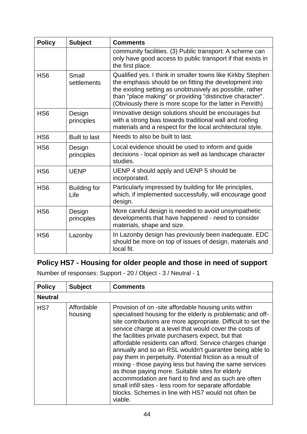| <b>Policy</b>   | <b>Subject</b>              | <b>Comments</b>                                                                                                                                                                                                                                                                                              |
|-----------------|-----------------------------|--------------------------------------------------------------------------------------------------------------------------------------------------------------------------------------------------------------------------------------------------------------------------------------------------------------|
|                 |                             | community facilities. (3) Public transport: A scheme can<br>only have good access to public transport if that exists in<br>the first place.                                                                                                                                                                  |
| H <sub>S6</sub> | Small<br>settlements        | Qualified yes. I think in smaller towns like Kirkby Stephen<br>the emphasis should be on fitting the development into<br>the existing setting as unobtrusively as possible, rather<br>than "place making" or providing "distinctive character".<br>(Obviously there is more scope for the latter in Penrith) |
| H <sub>S6</sub> | Design<br>principles        | Innovative design solutions should be encourages but<br>with a strong bias towards traditional wall and roofing<br>materials and a respect for the local architectural style.                                                                                                                                |
| HS <sub>6</sub> | <b>Built to last</b>        | Needs to also be built to last.                                                                                                                                                                                                                                                                              |
| H <sub>S6</sub> | Design<br>principles        | Local evidence should be used to inform and guide<br>decisions - local opinion as well as landscape character<br>studies.                                                                                                                                                                                    |
| H <sub>S6</sub> | <b>UENP</b>                 | UENP 4 should apply and UENP 5 should be<br>incorporated.                                                                                                                                                                                                                                                    |
| H <sub>S6</sub> | <b>Building for</b><br>Life | Particularly impressed by building for life principles,<br>which, if implemented successfully, will encourage good<br>design.                                                                                                                                                                                |
| H <sub>S6</sub> | Design<br>principles        | More careful design is needed to avoid unsympathetic<br>developments that have happened - need to consider<br>materials, shape and size.                                                                                                                                                                     |
| H <sub>S6</sub> | Lazonby                     | In Lazonby design has previously been inadequate. EDC<br>should be more on top of issues of design, materials and<br>local fit.                                                                                                                                                                              |

# **Policy HS7 - Housing for older people and those in need of support**

Number of responses: Support - 20 / Object - 3 / Neutral - 1

| <b>Policy</b>  | <b>Subject</b>        | <b>Comments</b>                                                                                                                                                                                                                                                                                                                                                                                                                                                                                                                                                                                                                                                                                                                                                                              |
|----------------|-----------------------|----------------------------------------------------------------------------------------------------------------------------------------------------------------------------------------------------------------------------------------------------------------------------------------------------------------------------------------------------------------------------------------------------------------------------------------------------------------------------------------------------------------------------------------------------------------------------------------------------------------------------------------------------------------------------------------------------------------------------------------------------------------------------------------------|
| <b>Neutral</b> |                       |                                                                                                                                                                                                                                                                                                                                                                                                                                                                                                                                                                                                                                                                                                                                                                                              |
| HS7            | Affordable<br>housing | Provision of on -site affordable housing units within<br>specialised housing for the elderly is problematic and off-<br>site contributions are more appropriate. Difficult to set the<br>service charge at a level that would cover the costs of<br>the facilities private purchasers expect, but that<br>affordable residents can afford. Service charges change<br>annually and so an RSL wouldn't guarantee being able to<br>pay them in perpetuity. Potential friction as a result of<br>mixing - those paying less but having the same services<br>as those paying more. Suitable sites for elderly<br>accommodation are hard to find and as such are often<br>small infill sites - less room for separate affordable<br>blocks. Schemes in line with HS7 would not often be<br>viable. |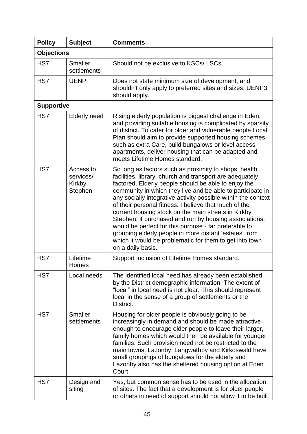| <b>Policy</b>     | <b>Subject</b>                              | <b>Comments</b>                                                                                                                                                                                                                                                                                                                                                                                                                                                                                                                                                                                                                                                                       |
|-------------------|---------------------------------------------|---------------------------------------------------------------------------------------------------------------------------------------------------------------------------------------------------------------------------------------------------------------------------------------------------------------------------------------------------------------------------------------------------------------------------------------------------------------------------------------------------------------------------------------------------------------------------------------------------------------------------------------------------------------------------------------|
| <b>Objections</b> |                                             |                                                                                                                                                                                                                                                                                                                                                                                                                                                                                                                                                                                                                                                                                       |
| HS7               | <b>Smaller</b><br>settlements               | Should not be exclusive to KSCs/LSCs                                                                                                                                                                                                                                                                                                                                                                                                                                                                                                                                                                                                                                                  |
| HS7               | <b>UENP</b>                                 | Does not state minimum size of development, and<br>shouldn't only apply to preferred sites and sizes. UENP3<br>should apply.                                                                                                                                                                                                                                                                                                                                                                                                                                                                                                                                                          |
| <b>Supportive</b> |                                             |                                                                                                                                                                                                                                                                                                                                                                                                                                                                                                                                                                                                                                                                                       |
| HS7               | <b>Elderly need</b>                         | Rising elderly population is biggest challenge in Eden,<br>and providing suitable housing is complicated by sparsity<br>of district. To cater for older and vulnerable people Local<br>Plan should aim to provide supported housing schemes<br>such as extra Care, build bungalows or level access<br>apartments, deliver housing that can be adapted and<br>meets Lifetime Homes standard.                                                                                                                                                                                                                                                                                           |
| HS7               | Access to<br>services/<br>Kirkby<br>Stephen | So long as factors such as proximity to shops, health<br>facilities, library, church and transport are adequately<br>factored. Elderly people should be able to enjoy the<br>community in which they live and be able to participate in<br>any socially integrative activity possible within the context<br>of their personal fitness. I believe that much of the<br>current housing stock on the main streets in Kirkby<br>Stephen, if purchased and run by housing associations,<br>would be perfect for this purpose - far preferable to<br>grouping elderly people in more distant 'estates' from<br>which it would be problematic for them to get into town<br>on a daily basis. |
| HS7               | Lifetime<br>Homes                           | Support inclusion of Lifetime Homes standard.                                                                                                                                                                                                                                                                                                                                                                                                                                                                                                                                                                                                                                         |
| HS7               | Local needs                                 | The identified local need has already been established<br>by the District demographic information. The extent of<br>"local" in local need is not clear. This should represent<br>local in the sense of a group of settlements or the<br>District.                                                                                                                                                                                                                                                                                                                                                                                                                                     |
| HS7               | <b>Smaller</b><br>settlements               | Housing for older people is obviously going to be<br>increasingly in demand and should be made attractive<br>enough to encourage older people to leave their larger,<br>family homes which would then be available for younger<br>families. Such provision need not be restricted to the<br>main towns. Lazonby, Langwathby and Kirkoswald have<br>small groupings of bungalows for the elderly and<br>Lazonby also has the sheltered housing option at Eden<br>Court.                                                                                                                                                                                                                |
| HS7               | Design and<br>siting                        | Yes, but common sense has to be used in the allocation<br>of sites. The fact that a development is for older people<br>or others in need of support should not allow it to be built                                                                                                                                                                                                                                                                                                                                                                                                                                                                                                   |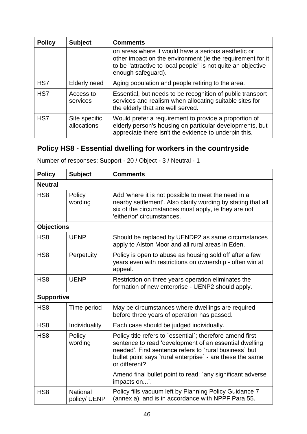| <b>Policy</b> | <b>Subject</b>               | <b>Comments</b>                                                                                                                                                                                         |
|---------------|------------------------------|---------------------------------------------------------------------------------------------------------------------------------------------------------------------------------------------------------|
|               |                              | on areas where it would have a serious aesthetic or<br>other impact on the environment (ie the requirement for it<br>to be "attractive to local people" is not quite an objective<br>enough safeguard). |
| HS7           | Elderly need                 | Aging population and people retiring to the area.                                                                                                                                                       |
| HS7           | Access to<br>services        | Essential, but needs to be recognition of public transport<br>services and realism when allocating suitable sites for<br>the elderly that are well served.                                              |
| HS7           | Site specific<br>allocations | Would prefer a requirement to provide a proportion of<br>elderly person's housing on particular developments, but<br>appreciate there isn't the evidence to underpin this.                              |

# **Policy HS8 - Essential dwelling for workers in the countryside**

Number of responses: Support - 20 / Object - 3 / Neutral - 1

| <b>Policy</b>     | <b>Subject</b>                  | <b>Comments</b>                                                                                                                                                                                                                                             |
|-------------------|---------------------------------|-------------------------------------------------------------------------------------------------------------------------------------------------------------------------------------------------------------------------------------------------------------|
| <b>Neutral</b>    |                                 |                                                                                                                                                                                                                                                             |
| HS <sub>8</sub>   | Policy<br>wording               | Add 'where it is not possible to meet the need in a<br>nearby settlement'. Also clarify wording by stating that all<br>six of the circumstances must apply, ie they are not<br>'either/or' circumstances.                                                   |
| <b>Objections</b> |                                 |                                                                                                                                                                                                                                                             |
| HS <sub>8</sub>   | <b>UENP</b>                     | Should be replaced by UENDP2 as same circumstances<br>apply to Alston Moor and all rural areas in Eden.                                                                                                                                                     |
| HS <sub>8</sub>   | Perpetuity                      | Policy is open to abuse as housing sold off after a few<br>years even with restrictions on ownership - often win at<br>appeal.                                                                                                                              |
| HS <sub>8</sub>   | <b>UENP</b>                     | Restriction on three years operation eliminates the<br>formation of new enterprise - UENP2 should apply.                                                                                                                                                    |
| <b>Supportive</b> |                                 |                                                                                                                                                                                                                                                             |
| HS <sub>8</sub>   | Time period                     | May be circumstances where dwellings are required<br>before three years of operation has passed.                                                                                                                                                            |
| HS <sub>8</sub>   | Individuality                   | Each case should be judged individually.                                                                                                                                                                                                                    |
| HS <sub>8</sub>   | Policy<br>wording               | Policy title refers to `essential`; therefore amend first<br>sentence to read 'development of an essential dwelling<br>needed'. First sentence refers to `rural business` but<br>bullet point says `rural enterprise` - are these the same<br>or different? |
|                   |                                 | Amend final bullet point to read; `any significant adverse<br>impacts on'.                                                                                                                                                                                  |
| HS <sub>8</sub>   | <b>National</b><br>policy/ UENP | Policy fills vacuum left by Planning Policy Guidance 7<br>(annex a), and is in accordance with NPPF Para 55.                                                                                                                                                |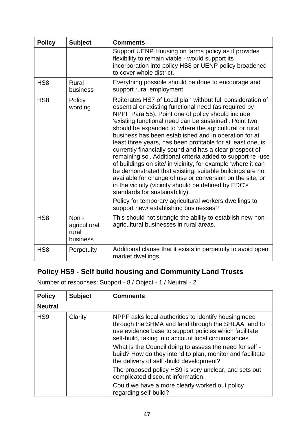| <b>Policy</b>   | <b>Subject</b>                            | <b>Comments</b>                                                                                                                                                                                                                                                                                                                                                                                                                                                                                                                                                                                                                                                                                                                                                                                                                   |
|-----------------|-------------------------------------------|-----------------------------------------------------------------------------------------------------------------------------------------------------------------------------------------------------------------------------------------------------------------------------------------------------------------------------------------------------------------------------------------------------------------------------------------------------------------------------------------------------------------------------------------------------------------------------------------------------------------------------------------------------------------------------------------------------------------------------------------------------------------------------------------------------------------------------------|
|                 |                                           | Support UENP Housing on farms policy as it provides<br>flexibility to remain viable - would support its<br>incorporation into policy HS8 or UENP policy broadened<br>to cover whole district.                                                                                                                                                                                                                                                                                                                                                                                                                                                                                                                                                                                                                                     |
| HS <sub>8</sub> | Rural<br>business                         | Everything possible should be done to encourage and<br>support rural employment.                                                                                                                                                                                                                                                                                                                                                                                                                                                                                                                                                                                                                                                                                                                                                  |
| HS <sub>8</sub> | Policy<br>wording                         | Reiterates HS7 of Local plan without full consideration of<br>essential or existing functional need (as required by<br>NPPF Para 55). Point one of policy should include<br>'existing functional need can be sustained'. Point two<br>should be expanded to 'where the agricultural or rural<br>business has been established and in operation for at<br>least three years, has been profitable for at least one, is<br>currently financially sound and has a clear prospect of<br>remaining so'. Additional criteria added to support re-use<br>of buildings on site/ in vicinity, for example 'where it can<br>be demonstrated that existing, suitable buildings are not<br>available for change of use or conversion on the site, or<br>in the vicinity (vicinity should be defined by EDC's<br>standards for sustainability). |
|                 |                                           | Policy for temporary agricultural workers dwellings to<br>support new/establishing businesses?                                                                                                                                                                                                                                                                                                                                                                                                                                                                                                                                                                                                                                                                                                                                    |
| HS <sub>8</sub> | Non-<br>agricultural<br>rural<br>business | This should not strangle the ability to establish new non -<br>agricultural businesses in rural areas.                                                                                                                                                                                                                                                                                                                                                                                                                                                                                                                                                                                                                                                                                                                            |
| HS <sub>8</sub> | Perpetuity                                | Additional clause that it exists in perpetuity to avoid open<br>market dwellings.                                                                                                                                                                                                                                                                                                                                                                                                                                                                                                                                                                                                                                                                                                                                                 |

# **Policy HS9 - Self build housing and Community Land Trusts**

Number of responses: Support - 8 / Object - 1 / Neutral - 2

| <b>Policy</b>   | <b>Subject</b> | <b>Comments</b>                                                                                                                                                                                                                                                                                                                                                                                  |
|-----------------|----------------|--------------------------------------------------------------------------------------------------------------------------------------------------------------------------------------------------------------------------------------------------------------------------------------------------------------------------------------------------------------------------------------------------|
| <b>Neutral</b>  |                |                                                                                                                                                                                                                                                                                                                                                                                                  |
| HS <sub>9</sub> | Clarity        | NPPF asks local authorities to identify housing need<br>through the SHMA and land through the SHLAA, and to<br>use evidence base to support policies which facilitate<br>self-build, taking into account local circumstances.<br>What is the Council doing to assess the need for self -<br>build? How do they intend to plan, monitor and facilitate<br>the delivery of self-build development? |
|                 |                | The proposed policy HS9 is very unclear, and sets out                                                                                                                                                                                                                                                                                                                                            |
|                 |                | complicated discount information.                                                                                                                                                                                                                                                                                                                                                                |
|                 |                | Could we have a more clearly worked out policy<br>regarding self-build?                                                                                                                                                                                                                                                                                                                          |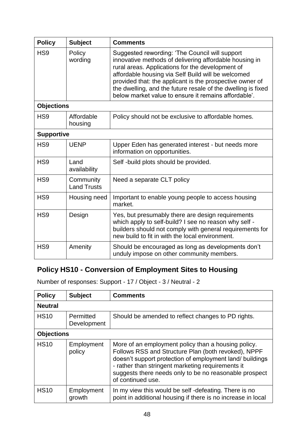| <b>Policy</b>     | <b>Subject</b>                  | <b>Comments</b>                                                                                                                                                                                                                                                                                                                                                                                        |
|-------------------|---------------------------------|--------------------------------------------------------------------------------------------------------------------------------------------------------------------------------------------------------------------------------------------------------------------------------------------------------------------------------------------------------------------------------------------------------|
| HS <sub>9</sub>   | Policy<br>wording               | Suggested rewording: 'The Council will support<br>innovative methods of delivering affordable housing in<br>rural areas. Applications for the development of<br>affordable housing via Self Build will be welcomed<br>provided that: the applicant is the prospective owner of<br>the dwelling, and the future resale of the dwelling is fixed<br>below market value to ensure it remains affordable'. |
| <b>Objections</b> |                                 |                                                                                                                                                                                                                                                                                                                                                                                                        |
| HS <sub>9</sub>   | Affordable<br>housing           | Policy should not be exclusive to affordable homes.                                                                                                                                                                                                                                                                                                                                                    |
| <b>Supportive</b> |                                 |                                                                                                                                                                                                                                                                                                                                                                                                        |
| HS <sub>9</sub>   | <b>UENP</b>                     | Upper Eden has generated interest - but needs more<br>information on opportunities.                                                                                                                                                                                                                                                                                                                    |
| HS <sub>9</sub>   | Land<br>availability            | Self-build plots should be provided.                                                                                                                                                                                                                                                                                                                                                                   |
| HS <sub>9</sub>   | Community<br><b>Land Trusts</b> | Need a separate CLT policy                                                                                                                                                                                                                                                                                                                                                                             |
| HS <sub>9</sub>   | Housing need                    | Important to enable young people to access housing<br>market.                                                                                                                                                                                                                                                                                                                                          |
| HS <sub>9</sub>   | Design                          | Yes, but presumably there are design requirements<br>which apply to self-build? I see no reason why self -<br>builders should not comply with general requirements for<br>new build to fit in with the local environment.                                                                                                                                                                              |
| HS <sub>9</sub>   | Amenity                         | Should be encouraged as long as developments don't<br>unduly impose on other community members.                                                                                                                                                                                                                                                                                                        |

# **Policy HS10 - Conversion of Employment Sites to Housing**

Number of responses: Support - 17 / Object - 3 / Neutral - 2

| <b>Policy</b>     | <b>Subject</b>           | <b>Comments</b>                                                                                                                                                                                                                                                                                            |
|-------------------|--------------------------|------------------------------------------------------------------------------------------------------------------------------------------------------------------------------------------------------------------------------------------------------------------------------------------------------------|
| <b>Neutral</b>    |                          |                                                                                                                                                                                                                                                                                                            |
| <b>HS10</b>       | Permitted<br>Development | Should be amended to reflect changes to PD rights.                                                                                                                                                                                                                                                         |
| <b>Objections</b> |                          |                                                                                                                                                                                                                                                                                                            |
| <b>HS10</b>       | Employment<br>policy     | More of an employment policy than a housing policy.<br>Follows RSS and Structure Plan (both revoked), NPPF<br>doesn't support protection of employment land/ buildings<br>- rather than stringent marketing requirements it<br>suggests there needs only to be no reasonable prospect<br>of continued use. |
| <b>HS10</b>       | Employment<br>growth     | In my view this would be self-defeating. There is no<br>point in additional housing if there is no increase in local                                                                                                                                                                                       |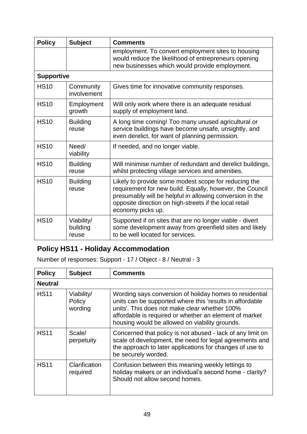| <b>Policy</b>     | <b>Subject</b>                  | <b>Comments</b>                                                                                                                                                                                                                                             |
|-------------------|---------------------------------|-------------------------------------------------------------------------------------------------------------------------------------------------------------------------------------------------------------------------------------------------------------|
|                   |                                 | employment. To convert employment sites to housing<br>would reduce the likelihood of entrepreneurs opening<br>new businesses which would provide employment.                                                                                                |
| <b>Supportive</b> |                                 |                                                                                                                                                                                                                                                             |
| <b>HS10</b>       | Community<br>involvement        | Gives time for innovative community responses.                                                                                                                                                                                                              |
| <b>HS10</b>       | Employment<br>growth            | Will only work where there is an adequate residual<br>supply of employment land.                                                                                                                                                                            |
| <b>HS10</b>       | <b>Building</b><br>reuse        | A long time coming! Too many unused agricultural or<br>service buildings have become unsafe, unsightly, and<br>even derelict, for want of planning permission.                                                                                              |
| <b>HS10</b>       | Need/<br>viability              | If needed, and no longer viable.                                                                                                                                                                                                                            |
| <b>HS10</b>       | <b>Building</b><br>reuse        | Will minimise number of redundant and derelict buildings,<br>whilst protecting village services and amenities.                                                                                                                                              |
| <b>HS10</b>       | <b>Building</b><br>reuse        | Likely to provide some modest scope for reducing the<br>requirement for new build. Equally, however, the Council<br>presumably will be helpful in allowing conversion in the<br>opposite direction on high-streets if the local retail<br>economy picks up. |
| <b>HS10</b>       | Viability/<br>building<br>reuse | Supported if on sites that are no longer viable - divert<br>some development away from greenfield sites and likely<br>to be well located for services.                                                                                                      |

# **Policy HS11 - Holiday Accommodation**

Number of responses: Support - 17 / Object - 8 / Neutral - 3

| <b>Policy</b>  | <b>Subject</b>                  | <b>Comments</b>                                                                                                                                                                                                                                                                  |
|----------------|---------------------------------|----------------------------------------------------------------------------------------------------------------------------------------------------------------------------------------------------------------------------------------------------------------------------------|
| <b>Neutral</b> |                                 |                                                                                                                                                                                                                                                                                  |
| <b>HS11</b>    | Viability/<br>Policy<br>wording | Wording says conversion of holiday homes to residential<br>units can be supported where this 'results in affordable<br>units'. This does not make clear whether 100%<br>affordable is required or whether an element of market<br>housing would be allowed on viability grounds. |
| <b>HS11</b>    | Scale/<br>perpetuity            | Concerned that policy is not abused - lack of any limit on<br>scale of development, the need for legal agreements and<br>the approach to later applications for changes of use to<br>be securely worded.                                                                         |
| <b>HS11</b>    | Clarification<br>required       | Confusion between this meaning weekly lettings to<br>holiday makers or an individual's second home - clarity?<br>Should not allow second homes.                                                                                                                                  |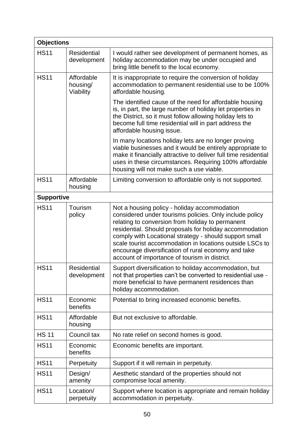| <b>Objections</b> |                                     |                                                                                                                                                                                                                                                                                                                                                                                                                                                      |  |  |  |  |  |
|-------------------|-------------------------------------|------------------------------------------------------------------------------------------------------------------------------------------------------------------------------------------------------------------------------------------------------------------------------------------------------------------------------------------------------------------------------------------------------------------------------------------------------|--|--|--|--|--|
| <b>HS11</b>       | <b>Residential</b><br>development   | I would rather see development of permanent homes, as<br>holiday accommodation may be under occupied and<br>bring little benefit to the local economy.                                                                                                                                                                                                                                                                                               |  |  |  |  |  |
| <b>HS11</b>       | Affordable<br>housing/<br>Viability | It is inappropriate to require the conversion of holiday<br>accommodation to permanent residential use to be 100%<br>affordable housing.                                                                                                                                                                                                                                                                                                             |  |  |  |  |  |
|                   |                                     | The identified cause of the need for affordable housing<br>is, in part, the large number of holiday let properties in<br>the District, so it must follow allowing holiday lets to<br>become full time residential will in part address the<br>affordable housing issue.                                                                                                                                                                              |  |  |  |  |  |
|                   |                                     | In many locations holiday lets are no longer proving<br>viable businesses and it would be entirely appropriate to<br>make it financially attractive to deliver full time residential<br>uses in these circumstances. Requiring 100% affordable<br>housing will not make such a use viable.                                                                                                                                                           |  |  |  |  |  |
| <b>HS11</b>       | Affordable<br>housing               | Limiting conversion to affordable only is not supported.                                                                                                                                                                                                                                                                                                                                                                                             |  |  |  |  |  |
| <b>Supportive</b> |                                     |                                                                                                                                                                                                                                                                                                                                                                                                                                                      |  |  |  |  |  |
| <b>HS11</b>       | Tourism<br>policy                   | Not a housing policy - holiday accommodation<br>considered under tourisms policies. Only include policy<br>relating to conversion from holiday to permanent<br>residential. Should proposals for holiday accommodation<br>comply with Locational strategy - should support small<br>scale tourist accommodation in locations outside LSCs to<br>encourage diversification of rural economy and take<br>account of importance of tourism in district. |  |  |  |  |  |
| <b>HS11</b>       | Residential<br>development          | Support diversification to holiday accommodation, but<br>not that properties can't be converted to residential use -<br>more beneficial to have permanent residences than<br>holiday accommodation.                                                                                                                                                                                                                                                  |  |  |  |  |  |
| <b>HS11</b>       | Economic<br>benefits                | Potential to bring increased economic benefits.                                                                                                                                                                                                                                                                                                                                                                                                      |  |  |  |  |  |
| <b>HS11</b>       | Affordable<br>housing               | But not exclusive to affordable.                                                                                                                                                                                                                                                                                                                                                                                                                     |  |  |  |  |  |
| <b>HS 11</b>      | Council tax                         | No rate relief on second homes is good.                                                                                                                                                                                                                                                                                                                                                                                                              |  |  |  |  |  |
| <b>HS11</b>       | Economic<br>benefits                | Economic benefits are important.                                                                                                                                                                                                                                                                                                                                                                                                                     |  |  |  |  |  |
| <b>HS11</b>       | Perpetuity                          | Support if it will remain in perpetuity.                                                                                                                                                                                                                                                                                                                                                                                                             |  |  |  |  |  |
| <b>HS11</b>       | Design/<br>amenity                  | Aesthetic standard of the properties should not<br>compromise local amenity.                                                                                                                                                                                                                                                                                                                                                                         |  |  |  |  |  |
| <b>HS11</b>       | Location/<br>perpetuity             | Support where location is appropriate and remain holiday<br>accommodation in perpetuity.                                                                                                                                                                                                                                                                                                                                                             |  |  |  |  |  |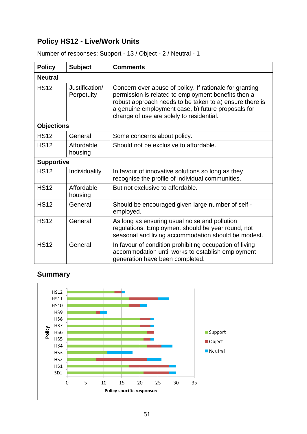# **Policy HS12 - Live/Work Units**

| <b>Policy</b>     | <b>Subject</b>               | <b>Comments</b>                                                                                                                                                                                                                                                             |  |  |  |  |  |
|-------------------|------------------------------|-----------------------------------------------------------------------------------------------------------------------------------------------------------------------------------------------------------------------------------------------------------------------------|--|--|--|--|--|
| <b>Neutral</b>    |                              |                                                                                                                                                                                                                                                                             |  |  |  |  |  |
| <b>HS12</b>       | Justification/<br>Perpetuity | Concern over abuse of policy. If rationale for granting<br>permission is related to employment benefits then a<br>robust approach needs to be taken to a) ensure there is<br>a genuine employment case, b) future proposals for<br>change of use are solely to residential. |  |  |  |  |  |
| <b>Objections</b> |                              |                                                                                                                                                                                                                                                                             |  |  |  |  |  |
| <b>HS12</b>       | General                      | Some concerns about policy.                                                                                                                                                                                                                                                 |  |  |  |  |  |
| <b>HS12</b>       | Affordable<br>housing        | Should not be exclusive to affordable.                                                                                                                                                                                                                                      |  |  |  |  |  |
| <b>Supportive</b> |                              |                                                                                                                                                                                                                                                                             |  |  |  |  |  |
| <b>HS12</b>       | Individuality                | In favour of innovative solutions so long as they<br>recognise the profile of individual communities.                                                                                                                                                                       |  |  |  |  |  |
| <b>HS12</b>       | Affordable<br>housing        | But not exclusive to affordable.                                                                                                                                                                                                                                            |  |  |  |  |  |
| <b>HS12</b>       | General                      | Should be encouraged given large number of self -<br>employed.                                                                                                                                                                                                              |  |  |  |  |  |
| <b>HS12</b>       | General                      | As long as ensuring usual noise and pollution<br>regulations. Employment should be year round, not<br>seasonal and living accommodation should be modest.                                                                                                                   |  |  |  |  |  |
| <b>HS12</b>       | General                      | In favour of condition prohibiting occupation of living<br>accommodation until works to establish employment<br>generation have been completed.                                                                                                                             |  |  |  |  |  |

Number of responses: Support - 13 / Object - 2 / Neutral - 1

# **Summary**

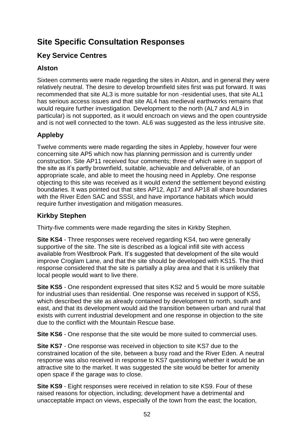# **Site Specific Consultation Responses**

# **Key Service Centres**

# **Alston**

Sixteen comments were made regarding the sites in Alston, and in general they were relatively neutral. The desire to develop brownfield sites first was put forward. It was recommended that site AL3 is more suitable for non -residential uses, that site AL1 has serious access issues and that site AL4 has medieval earthworks remains that would require further investigation. Development to the north (AL7 and AL9 in particular) is not supported, as it would encroach on views and the open countryside and is not well connected to the town. AL6 was suggested as the less intrusive site.

# **Appleby**

Twelve comments were made regarding the sites in Appleby, however four were concerning site AP5 which now has planning permission and is currently under construction. Site AP11 received four comments; three of which were in support of the site as it's partly brownfield, suitable, achievable and deliverable, of an appropriate scale, and able to meet the housing need in Appleby. One response objecting to this site was received as it would extend the settlement beyond existing boundaries. It was pointed out that sites AP12, Ap17 and AP18 all share boundaries with the River Eden SAC and SSSI, and have importance habitats which would require further investigation and mitigation measures.

## **Kirkby Stephen**

Thirty-five comments were made regarding the sites in Kirkby Stephen.

**Site KS4** - Three responses were received regarding KS4, two were generally supportive of the site. The site is described as a logical infill site with access available from Westbrook Park. It's suggested that development of the site would improve Croglam Lane, and that the site should be developed with KS15. The third response considered that the site is partially a play area and that it is unlikely that local people would want to live there.

**Site KS5** - One respondent expressed that sites KS2 and 5 would be more suitable for industrial uses than residential. One response was received in support of KS5, which described the site as already contained by development to north, south and east, and that its development would aid the transition between urban and rural that exists with current industrial development and one response in objection to the site due to the conflict with the Mountain Rescue base.

**Site KS6** - One response that the site would be more suited to commercial uses.

**Site KS7** - One response was received in objection to site KS7 due to the constrained location of the site, between a busy road and the River Eden. A neutral response was also received in response to KS7 questioning whether it would be an attractive site to the market. It was suggested the site would be better for amenity open space if the garage was to close.

**Site KS9** - Eight responses were received in relation to site KS9. Four of these raised reasons for objection, including; development have a detrimental and unacceptable impact on views, especially of the town from the east; the location,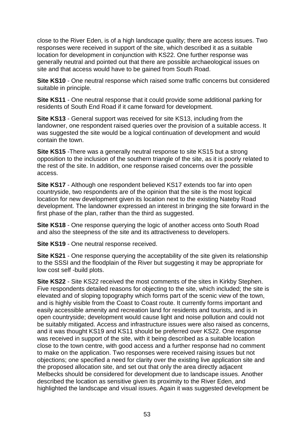close to the River Eden, is of a high landscape quality; there are access issues. Two responses were received in support of the site, which described it as a suitable location for development in conjunction with KS22. One further response was generally neutral and pointed out that there are possible archaeological issues on site and that access would have to be gained from South Road.

**Site KS10** - One neutral response which raised some traffic concerns but considered suitable in principle.

**Site KS11** - One neutral response that it could provide some additional parking for residents of South End Road if it came forward for development.

**Site KS13** - General support was received for site KS13, including from the landowner, one respondent raised queries over the provision of a suitable access. It was suggested the site would be a logical continuation of development and would contain the town.

**Site KS15** -There was a generally neutral response to site KS15 but a strong opposition to the inclusion of the southern triangle of the site, as it is poorly related to the rest of the site. In addition, one response raised concerns over the possible access.

**Site KS17** - Although one respondent believed KS17 extends too far into open countryside, two respondents are of the opinion that the site is the most logical location for new development given its location next to the existing Nateby Road development. The landowner expressed an interest in bringing the site forward in the first phase of the plan, rather than the third as suggested.

**Site KS18** - One response querying the logic of another access onto South Road and also the steepness of the site and its attractiveness to developers.

**Site KS19** - One neutral response received.

**Site KS21** - One response querying the acceptability of the site given its relationship to the SSSI and the floodplain of the River but suggesting it may be appropriate for low cost self -build plots.

**Site KS22** - Site KS22 received the most comments of the sites in Kirkby Stephen. Five respondents detailed reasons for objecting to the site, which included; the site is elevated and of sloping topography which forms part of the scenic view of the town, and is highly visible from the Coast to Coast route. It currently forms important and easily accessible amenity and recreation land for residents and tourists, and is in open countryside; development would cause light and noise pollution and could not be suitably mitigated. Access and infrastructure issues were also raised as concerns, and it was thought KS19 and KS11 should be preferred over KS22. One response was received in support of the site, with it being described as a suitable location close to the town centre, with good access and a further response had no comment to make on the application. Two responses were received raising issues but not objections; one specified a need for clarity over the existing live application site and the proposed allocation site, and set out that only the area directly adjacent Melbecks should be considered for development due to landscape issues. Another described the location as sensitive given its proximity to the River Eden, and highlighted the landscape and visual issues. Again it was suggested development be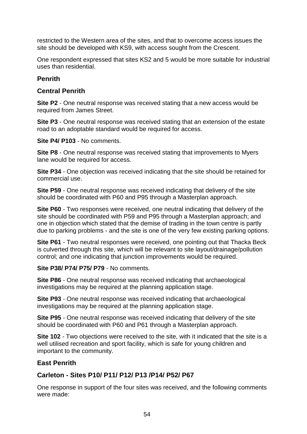restricted to the Western area of the sites, and that to overcome access issues the site should be developed with KS9, with access sought from the Crescent.

One respondent expressed that sites KS2 and 5 would be more suitable for industrial uses than residential.

#### **Penrith**

#### **Central Penrith**

**Site P2** - One neutral response was received stating that a new access would be required from James Street.

**Site P3** - One neutral response was received stating that an extension of the estate road to an adoptable standard would be required for access.

**Site P4/ P103** - No comments.

**Site P8** - One neutral response was received stating that improvements to Myers lane would be required for access.

**Site P34** - One objection was received indicating that the site should be retained for commercial use.

**Site P59** - One neutral response was received indicating that delivery of the site should be coordinated with P60 and P95 through a Masterplan approach.

**Site P60** - Two responses were received, one neutral indicating that delivery of the site should be coordinated with P59 and P95 through a Masterplan approach; and one in objection which stated that the demise of trading in the town centre is partly due to parking problems - and the site is one of the very few existing parking options.

**Site P61** - Two neutral responses were received, one pointing out that Thacka Beck is culverted through this site, which will be relevant to site layout/drainage/pollution control; and one indicating that junction improvements would be required.

#### **Site P38/ P74/ P75/ P79** - No comments.

**Site P86** - One neutral response was received indicating that archaeological investigations may be required at the planning application stage.

**Site P93** - One neutral response was received indicating that archaeological investigations may be required at the planning application stage.

**Site P95** - One neutral response was received indicating that delivery of the site should be coordinated with P60 and P61 through a Masterplan approach.

**Site 102** - Two objections were received to the site, with it indicated that the site is a well utilised recreation and sport facility, which is safe for young children and important to the community.

#### **East Penrith**

### **Carleton - Sites P10/ P11/ P12/ P13 /P14/ P52/ P67**

One response in support of the four sites was received, and the following comments were made: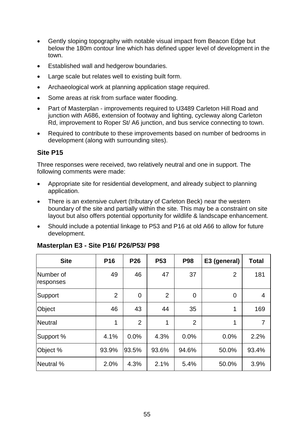- Gently sloping topography with notable visual impact from Beacon Edge but below the 180m contour line which has defined upper level of development in the town.
- Established wall and hedgerow boundaries.
- Large scale but relates well to existing built form.
- Archaeological work at planning application stage required.
- Some areas at risk from surface water flooding.
- Part of Masterplan improvements required to U3489 Carleton Hill Road and junction with A686, extension of footway and lighting, cycleway along Carleton Rd, improvement to Roper St/ A6 junction, and bus service connecting to town.
- Required to contribute to these improvements based on number of bedrooms in development (along with surrounding sites).

#### **Site P15**

Three responses were received, two relatively neutral and one in support. The following comments were made:

- Appropriate site for residential development, and already subject to planning application.
- There is an extensive culvert (tributary of Carleton Beck) near the western boundary of the site and partially within the site. This may be a constraint on site layout but also offers potential opportunity for wildlife & landscape enhancement.
- Should include a potential linkage to P53 and P16 at old A66 to allow for future development.

| <b>Site</b>            | P <sub>16</sub> | P <sub>26</sub> | <b>P53</b>     | <b>P98</b>     | E3 (general)   | <b>Total</b>   |
|------------------------|-----------------|-----------------|----------------|----------------|----------------|----------------|
| Number of<br>responses | 49              | 46              | 47             | 37             | $\overline{2}$ | 181            |
| Support                | $\overline{2}$  | $\mathbf 0$     | $\overline{2}$ | 0              | $\overline{0}$ | $\overline{4}$ |
| Object                 | 46              | 43              | 44             | 35             | 1              | 169            |
| Neutral                | 1               | $\overline{2}$  | 1              | $\overline{2}$ | 1              | 7              |
| Support %              | 4.1%            | 0.0%            | 4.3%           | 0.0%           | 0.0%           | 2.2%           |
| Object %               | 93.9%           | 93.5%           | 93.6%          | 94.6%          | 50.0%          | 93.4%          |
| Neutral %              | 2.0%            | 4.3%            | 2.1%           | 5.4%           | 50.0%          | 3.9%           |

#### **Masterplan E3 - Site P16/ P26/P53/ P98**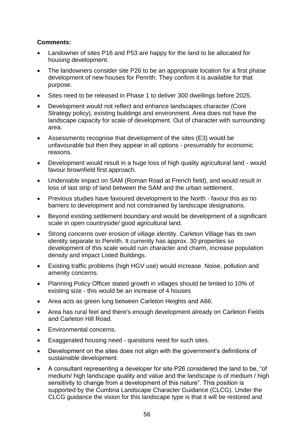#### **Comments:**

- Landowner of sites P16 and P53 are happy for the land to be allocated for housing development.
- The landowners consider site P26 to be an appropriate location for a first phase development of new houses for Penrith. They confirm it is available for that purpose.
- Sites need to be released in Phase 1 to deliver 300 dwellings before 2025.
- Development would not reflect and enhance landscapes character (Core Strategy policy), existing buildings and environment. Area does not have the landscape capacity for scale of development. Out of character with surrounding area.
- Assessments recognise that development of the sites (E3) would be unfavourable but then they appear in all options - presumably for economic reasons.
- Development would result in a huge loss of high quality agricultural land would favour brownfield first approach.
- Undeniable impact on SAM (Roman Road at French field), and would result in loss of last strip of land between the SAM and the urban settlement.
- Previous studies have favoured development to the North favour this as no barriers to development and not constrained by landscape designations.
- Beyond existing settlement boundary and would be development of a significant scale in open countryside/ good agricultural land.
- Strong concerns over erosion of village identity. Carleton Village has its own identity separate to Penrith. It currently has approx. 30 properties so development of this scale would ruin character and charm, increase population density and impact Listed Buildings.
- Existing traffic problems (high HGV use) would increase. Noise, pollution and amenity concerns.
- Planning Policy Officer stated growth in villages should be limited to 10% of existing size - this would be an increase of 4 houses
- Area acts as green lung between Carleton Heights and A66.
- Area has rural feel and there's enough development already on Carleton Fields and Carleton Hill Road.
- Environmental concerns.
- Exaggerated housing need questions need for such sites.
- Development on the sites does not align with the government's definitions of sustainable development.
- A consultant representing a developer for site P26 considered the land to be, "of medium/ high landscape quality and value and the landscape is of medium / high sensitivity to change from a development of this nature". This position is supported by the Cumbria Landscape Character Guidance (CLCG). Under the CLCG guidance the vision for this landscape type is that it will be restored and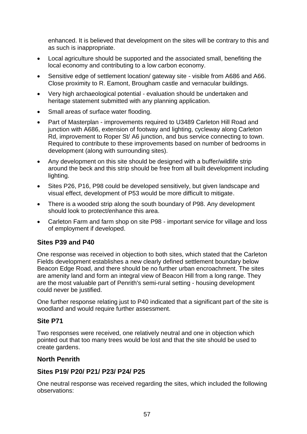enhanced. It is believed that development on the sites will be contrary to this and as such is inappropriate.

- Local agriculture should be supported and the associated small, benefiting the local economy and contributing to a low carbon economy.
- Sensitive edge of settlement location/ gateway site visible from A686 and A66. Close proximity to R. Eamont, Brougham castle and vernacular buildings.
- Very high archaeological potential evaluation should be undertaken and heritage statement submitted with any planning application.
- Small areas of surface water flooding.
- Part of Masterplan improvements required to U3489 Carleton Hill Road and junction with A686, extension of footway and lighting, cycleway along Carleton Rd, improvement to Roper St/ A6 junction, and bus service connecting to town. Required to contribute to these improvements based on number of bedrooms in development (along with surrounding sites).
- Any development on this site should be designed with a buffer/wildlife strip around the beck and this strip should be free from all built development including lighting.
- Sites P26, P16, P98 could be developed sensitively, but given landscape and visual effect, development of P53 would be more difficult to mitigate.
- There is a wooded strip along the south boundary of P98. Any development should look to protect/enhance this area.
- Carleton Farm and farm shop on site P98 important service for village and loss of employment if developed.

#### **Sites P39 and P40**

One response was received in objection to both sites, which stated that the Carleton Fields development establishes a new clearly defined settlement boundary below Beacon Edge Road, and there should be no further urban encroachment. The sites are amenity land and form an integral view of Beacon Hill from a long range. They are the most valuable part of Penrith's semi-rural setting - housing development could never be justified.

One further response relating just to P40 indicated that a significant part of the site is woodland and would require further assessment.

#### **Site P71**

Two responses were received, one relatively neutral and one in objection which pointed out that too many trees would be lost and that the site should be used to create gardens.

#### **North Penrith**

#### **Sites P19/ P20/ P21/ P23/ P24/ P25**

One neutral response was received regarding the sites, which included the following observations: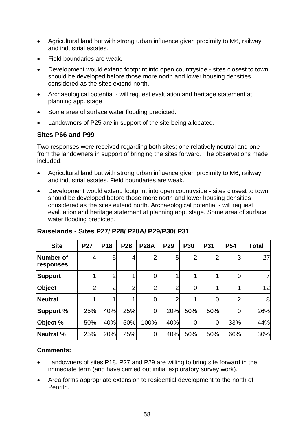- Agricultural land but with strong urban influence given proximity to M6, railway and industrial estates.
- Field boundaries are weak.
- Development would extend footprint into open countryside sites closest to town should be developed before those more north and lower housing densities considered as the sites extend north.
- Archaeological potential will request evaluation and heritage statement at planning app. stage.
- Some area of surface water flooding predicted.
- Landowners of P25 are in support of the site being allocated.

#### **Sites P66 and P99**

Two responses were received regarding both sites; one relatively neutral and one from the landowners in support of bringing the sites forward. The observations made included:

- Agricultural land but with strong urban influence given proximity to M6, railway and industrial estates. Field boundaries are weak.
- Development would extend footprint into open countryside sites closest to town should be developed before those more north and lower housing densities considered as the sites extend north. Archaeological potential - will request evaluation and heritage statement at planning app. stage. Some area of surface water flooding predicted.

| <b>Site</b>            | <b>P27</b>     | <b>P18</b>     | <b>P28</b>     | <b>P28A</b>    | P <sub>29</sub> | <b>P30</b>     | P31 | <b>P54</b> | <b>Total</b> |
|------------------------|----------------|----------------|----------------|----------------|-----------------|----------------|-----|------------|--------------|
| Number of<br>responses | 4              | 5              | 4              |                | 5               | $\overline{2}$ |     | 3          | 27           |
| Support                |                | $\overline{2}$ |                | 0              |                 |                |     |            | 7            |
| Object                 | $\overline{2}$ | $\overline{2}$ | $\overline{2}$ | $\overline{2}$ | $\overline{2}$  | 0              |     |            | 12           |
| Neutral                |                |                |                |                | 2               |                |     | 2          | 8            |
| <b>Support %</b>       | 25%            | 40%            | 25%            | $\overline{0}$ | 20%             | 50%            | 50% | 0          | 26%          |
| Object %               | 50%            | 40%            | 50%            | 100%           | 40%             | 0              |     | 33%        | 44%          |
| <b>Neutral %</b>       | 25%            | 20%            | 25%            | 0              | 40%             | 50%            | 50% | 66%        | 30%          |

### **Raiselands - Sites P27/ P28/ P28A/ P29/P30/ P31**

#### **Comments:**

- Landowners of sites P18, P27 and P29 are willing to bring site forward in the immediate term (and have carried out initial exploratory survey work).
- Area forms appropriate extension to residential development to the north of Penrith.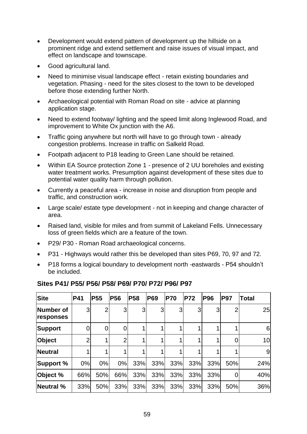- Development would extend pattern of development up the hillside on a prominent ridge and extend settlement and raise issues of visual impact, and effect on landscape and townscape.
- Good agricultural land.
- Need to minimise visual landscape effect retain existing boundaries and vegetation. Phasing - need for the sites closest to the town to be developed before those extending further North.
- Archaeological potential with Roman Road on site advice at planning application stage.
- Need to extend footway/ lighting and the speed limit along Inglewood Road, and improvement to White Ox junction with the A6.
- Traffic going anywhere but north will have to go through town already congestion problems. Increase in traffic on Salkeld Road.
- Footpath adjacent to P18 leading to Green Lane should be retained.
- Within EA Source protection Zone 1 presence of 2 UU boreholes and existing water treatment works. Presumption against development of these sites due to potential water quality harm through pollution.
- Currently a peaceful area increase in noise and disruption from people and traffic, and construction work.
- Large scale/ estate type development not in keeping and change character of area.
- Raised land, visible for miles and from summit of Lakeland Fells. Unnecessary loss of green fields which are a feature of the town.
- P29/ P30 Roman Road archaeological concerns.
- P31 Highways would rather this be developed than sites P69, 70, 97 and 72.
- P18 forms a logical boundary to development north -eastwards P54 shouldn't be included.

| <b>Site</b>            | <b>P41</b>     | <b>P55</b>     | <b>P56</b>     | <b>P58</b> | <b>P69</b> | <b>P70</b> | <b>P72</b> | <b>P96</b> | <b>P97</b> | <b>Total</b> |
|------------------------|----------------|----------------|----------------|------------|------------|------------|------------|------------|------------|--------------|
| Number of<br>responses | 3              | $\overline{2}$ | 3              | 3          | 3          | 3          | 3          | 3          |            | 25           |
| Support                | 0              | 0              | 0              |            |            |            |            |            |            | 6            |
| Object                 | $\overline{2}$ |                | $\overline{2}$ |            |            |            |            |            |            | 10           |
| Neutral                |                |                |                |            |            |            |            |            |            | 9            |
| <b>Support %</b>       | 0%             | 0%             | 0%             | 33%        | 33%        | 33%        | 33%        | 33%        | 50%        | 24%          |
| Object %               | 66%            | 50%            | 66%            | 33%        | 33%        | 33%        | 33%        | 33%        | 0          | 40%          |
| Neutral %              | 33%            | 50%            | 33%            | 33%        | 33%        | 33%        | 33%        | 33%        | 50%        | 36%          |

#### **Sites P41/ P55/ P56/ P58/ P69/ P70/ P72/ P96/ P97**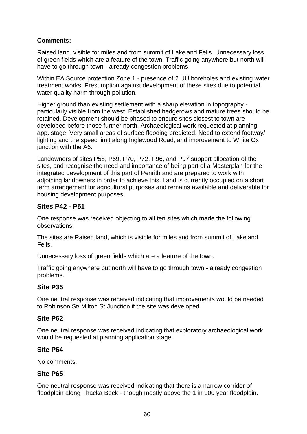#### **Comments:**

Raised land, visible for miles and from summit of Lakeland Fells. Unnecessary loss of green fields which are a feature of the town. Traffic going anywhere but north will have to go through town - already congestion problems.

Within EA Source protection Zone 1 - presence of 2 UU boreholes and existing water treatment works. Presumption against development of these sites due to potential water quality harm through pollution.

Higher ground than existing settlement with a sharp elevation in topography particularly visible from the west. Established hedgerows and mature trees should be retained. Development should be phased to ensure sites closest to town are developed before those further north. Archaeological work requested at planning app. stage. Very small areas of surface flooding predicted. Need to extend footway/ lighting and the speed limit along Inglewood Road, and improvement to White Ox junction with the A6.

Landowners of sites P58, P69, P70, P72, P96, and P97 support allocation of the sites, and recognise the need and importance of being part of a Masterplan for the integrated development of this part of Penrith and are prepared to work with adjoining landowners in order to achieve this. Land is currently occupied on a short term arrangement for agricultural purposes and remains available and deliverable for housing development purposes.

#### **Sites P42 - P51**

One response was received objecting to all ten sites which made the following observations:

The sites are Raised land, which is visible for miles and from summit of Lakeland Fells.

Unnecessary loss of green fields which are a feature of the town.

Traffic going anywhere but north will have to go through town - already congestion problems.

### **Site P35**

One neutral response was received indicating that improvements would be needed to Robinson St/ Milton St Junction if the site was developed.

#### **Site P62**

One neutral response was received indicating that exploratory archaeological work would be requested at planning application stage.

#### **Site P64**

No comments.

#### **Site P65**

One neutral response was received indicating that there is a narrow corridor of floodplain along Thacka Beck - though mostly above the 1 in 100 year floodplain.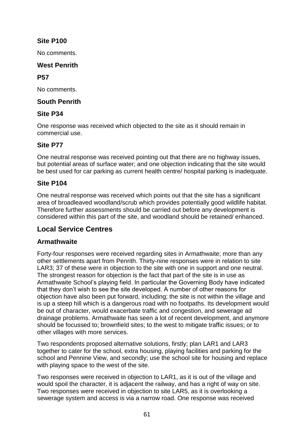## **Site P100**

No comments.

#### **West Penrith**

#### **P57**

No comments.

## **South Penrith**

### **Site P34**

One response was received which objected to the site as it should remain in commercial use.

### **Site P77**

One neutral response was received pointing out that there are no highway issues, but potential areas of surface water; and one objection indicating that the site would be best used for car parking as current health centre/ hospital parking is inadequate.

### **Site P104**

One neutral response was received which points out that the site has a significant area of broadleaved woodland/scrub which provides potentially good wildlife habitat. Therefore further assessments should be carried out before any development is considered within this part of the site, and woodland should be retained/ enhanced.

# **Local Service Centres**

### **Armathwaite**

Forty-four responses were received regarding sites in Armathwaite; more than any other settlements apart from Penrith. Thirty-nine responses were in relation to site LAR3; 37 of these were in objection to the site with one in support and one neutral. The strongest reason for objection is the fact that part of the site is in use as Armathwaite School's playing field. In particular the Governing Body have indicated that they don't wish to see the site developed. A number of other reasons for objection have also been put forward, including; the site is not within the village and is up a steep hill which is a dangerous road with no footpaths. Its development would be out of character, would exacerbate traffic and congestion, and sewerage ad drainage problems. Armathwaite has seen a lot of recent development, and anymore should be focussed to; brownfield sites; to the west to mitigate traffic issues; or to other villages with more services.

Two respondents proposed alternative solutions, firstly; plan LAR1 and LAR3 together to cater for the school, extra housing, playing facilities and parking for the school and Pennine View, and secondly; use the school site for housing and replace with playing space to the west of the site.

Two responses were received in objection to LAR1, as it is out of the village and would spoil the character, it is adjacent the railway, and has a right of way on site. Two responses were received in objection to site LAR5, as it is overlooking a sewerage system and access is via a narrow road. One response was received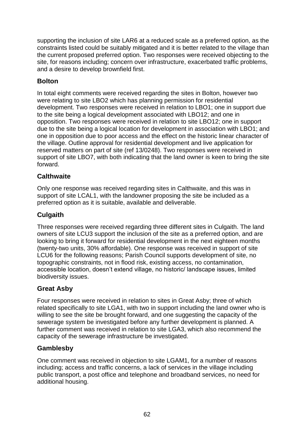supporting the inclusion of site LAR6 at a reduced scale as a preferred option, as the constraints listed could be suitably mitigated and it is better related to the village than the current proposed preferred option. Two responses were received objecting to the site, for reasons including; concern over infrastructure, exacerbated traffic problems, and a desire to develop brownfield first.

# **Bolton**

In total eight comments were received regarding the sites in Bolton, however two were relating to site LBO2 which has planning permission for residential development. Two responses were received in relation to LBO1; one in support due to the site being a logical development associated with LBO12; and one in opposition. Two responses were received in relation to site LBO12; one in support due to the site being a logical location for development in association with LBO1; and one in opposition due to poor access and the effect on the historic linear character of the village. Outline approval for residential development and live application for reserved matters on part of site (ref 13/0248). Two responses were received in support of site LBO7, with both indicating that the land owner is keen to bring the site forward.

## **Calthwaite**

Only one response was received regarding sites in Calthwaite, and this was in support of site LCAL1, with the landowner proposing the site be included as a preferred option as it is suitable, available and deliverable.

## **Culgaith**

Three responses were received regarding three different sites in Culgaith. The land owners of site LCU3 support the inclusion of the site as a preferred option, and are looking to bring it forward for residential development in the next eighteen months (twenty-two units, 30% affordable). One response was received in support of site LCU6 for the following reasons; Parish Council supports development of site, no topographic constraints, not in flood risk, existing access, no contamination, accessible location, doesn't extend village, no historic/ landscape issues, limited biodiversity issues.

### **Great Asby**

Four responses were received in relation to sites in Great Asby; three of which related specifically to site LGA1, with two in support including the land owner who is willing to see the site be brought forward, and one suggesting the capacity of the sewerage system be investigated before any further development is planned. A further comment was received in relation to site LGA3, which also recommend the capacity of the sewerage infrastructure be investigated.

### **Gamblesby**

One comment was received in objection to site LGAM1, for a number of reasons including; access and traffic concerns, a lack of services in the village including public transport, a post office and telephone and broadband services, no need for additional housing.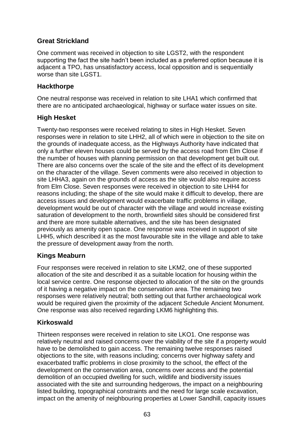## **Great Strickland**

One comment was received in objection to site LGST2, with the respondent supporting the fact the site hadn't been included as a preferred option because it is adjacent a TPO, has unsatisfactory access, local opposition and is sequentially worse than site LGST1.

#### **Hackthorpe**

One neutral response was received in relation to site LHA1 which confirmed that there are no anticipated archaeological, highway or surface water issues on site.

### **High Hesket**

Twenty-two responses were received relating to sites in High Hesket. Seven responses were in relation to site LHH2, all of which were in objection to the site on the grounds of inadequate access, as the Highways Authority have indicated that only a further eleven houses could be served by the access road from Elm Close if the number of houses with planning permission on that development get built out. There are also concerns over the scale of the site and the effect of its development on the character of the village. Seven comments were also received in objection to site LHHA3, again on the grounds of access as the site would also require access from Elm Close. Seven responses were received in objection to site LHH4 for reasons including; the shape of the site would make it difficult to develop, there are access issues and development would exacerbate traffic problems in village, development would be out of character with the village and would increase existing saturation of development to the north, brownfield sites should be considered first and there are more suitable alternatives, and the site has been designated previously as amenity open space. One response was received in support of site LHH5, which described it as the most favourable site in the village and able to take the pressure of development away from the north.

### **Kings Meaburn**

Four responses were received in relation to site LKM2, one of these supported allocation of the site and described it as a suitable location for housing within the local service centre. One response objected to allocation of the site on the grounds of it having a negative impact on the conservation area. The remaining two responses were relatively neutral; both setting out that further archaeological work would be required given the proximity of the adjacent Schedule Ancient Monument. One response was also received regarding LKM6 highlighting this.

### **Kirkoswald**

Thirteen responses were received in relation to site LKO1. One response was relatively neutral and raised concerns over the viability of the site if a property would have to be demolished to gain access. The remaining twelve responses raised objections to the site, with reasons including; concerns over highway safety and exacerbated traffic problems in close proximity to the school, the effect of the development on the conservation area, concerns over access and the potential demolition of an occupied dwelling for such, wildlife and biodiversity issues associated with the site and surrounding hedgerows, the impact on a neighbouring listed building, topographical constraints and the need for large scale excavation, impact on the amenity of neighbouring properties at Lower Sandhill, capacity issues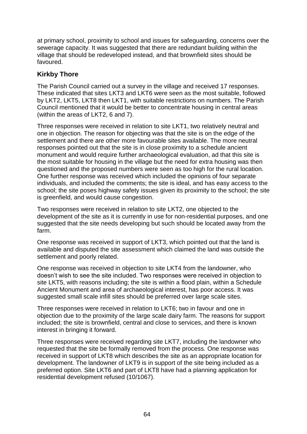at primary school, proximity to school and issues for safeguarding, concerns over the sewerage capacity. It was suggested that there are redundant building within the village that should be redeveloped instead, and that brownfield sites should be favoured.

## **Kirkby Thore**

The Parish Council carried out a survey in the village and received 17 responses. These indicated that sites LKT3 and LKT6 were seen as the most suitable, followed by LKT2, LKT5, LKT8 then LKT1, with suitable restrictions on numbers. The Parish Council mentioned that it would be better to concentrate housing in central areas (within the areas of LKT2, 6 and 7).

Three responses were received in relation to site LKT1, two relatively neutral and one in objection. The reason for objecting was that the site is on the edge of the settlement and there are other more favourable sites available. The more neutral responses pointed out that the site is in close proximity to a schedule ancient monument and would require further archaeological evaluation, ad that this site is the most suitable for housing in the village but the need for extra housing was then questioned and the proposed numbers were seen as too high for the rural location. One further response was received which included the opinions of four separate individuals, and included the comments; the site is ideal, and has easy access to the school; the site poses highway safety issues given its proximity to the school; the site is greenfield, and would cause congestion.

Two responses were received in relation to site LKT2, one objected to the development of the site as it is currently in use for non-residential purposes, and one suggested that the site needs developing but such should be located away from the farm.

One response was received in support of LKT3, which pointed out that the land is available and disputed the site assessment which claimed the land was outside the settlement and poorly related.

One response was received in objection to site LKT4 from the landowner, who doesn't wish to see the site included. Two responses were received in objection to site LKT5, with reasons including; the site is within a flood plain, within a Schedule Ancient Monument and area of archaeological interest, has poor access. It was suggested small scale infill sites should be preferred over large scale sites.

Three responses were received in relation to LKT6; two in favour and one in objection due to the proximity of the large scale dairy farm. The reasons for support included; the site is brownfield, central and close to services, and there is known interest in bringing it forward.

Three responses were received regarding site LKT7, including the landowner who requested that the site be formally removed from the process. One response was received in support of LKT8 which describes the site as an appropriate location for development. The landowner of LKT9 is in support of the site being included as a preferred option. Site LKT6 and part of LKT8 have had a planning application for residential development refused (10/1067).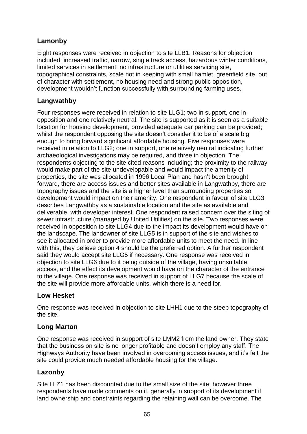# **Lamonby**

Eight responses were received in objection to site LLB1. Reasons for objection included; increased traffic, narrow, single track access, hazardous winter conditions, limited services in settlement, no infrastructure or utilities servicing site, topographical constraints, scale not in keeping with small hamlet, greenfield site, out of character with settlement, no housing need and strong public opposition, development wouldn't function successfully with surrounding farming uses.

## **Langwathby**

Four responses were received in relation to site LLG1; two in support, one in opposition and one relatively neutral. The site is supported as it is seen as a suitable location for housing development, provided adequate car parking can be provided; whilst the respondent opposing the site doesn't consider it to be of a scale big enough to bring forward significant affordable housing. Five responses were received in relation to LLG2; one in support, one relatively neutral indicating further archaeological investigations may be required, and three in objection. The respondents objecting to the site cited reasons including; the proximity to the railway would make part of the site undevelopable and would impact the amenity of properties, the site was allocated in 1996 Local Plan and hasn't been brought forward, there are access issues and better sites available in Langwathby, there are topography issues and the site is a higher level than surrounding properties so development would impact on their amenity. One respondent in favour of site LLG3 describes Langwathby as a sustainable location and the site as available and deliverable, with developer interest. One respondent raised concern over the siting of sewer infrastructure (managed by United Utilities) on the site. Two responses were received in opposition to site LLG4 due to the impact its development would have on the landscape. The landowner of site LLG5 is in support of the site and wishes to see it allocated in order to provide more affordable units to meet the need. In line with this, they believe option 4 should be the preferred option. A further respondent said they would accept site LLG5 if necessary. One response was received in objection to site LLG6 due to it being outside of the village, having unsuitable access, and the effect its development would have on the character of the entrance to the village. One response was received in support of LLG7 because the scale of the site will provide more affordable units, which there is a need for.

### **Low Hesket**

One response was received in objection to site LHH1 due to the steep topography of the site.

#### **Long Marton**

One response was received in support of site LMM2 from the land owner. They state that the business on site is no longer profitable and doesn't employ any staff. The Highways Authority have been involved in overcoming access issues, and it's felt the site could provide much needed affordable housing for the village.

### **Lazonby**

Site LLZ1 has been discounted due to the small size of the site; however three respondents have made comments on it, generally in support of its development if land ownership and constraints regarding the retaining wall can be overcome. The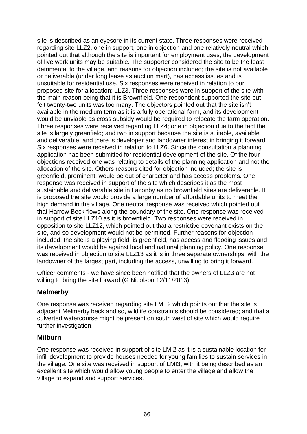site is described as an eyesore in its current state. Three responses were received regarding site LLZ2, one in support, one in objection and one relatively neutral which pointed out that although the site is important for employment uses, the development of live work units may be suitable. The supporter considered the site to be the least detrimental to the village, and reasons for objection included; the site is not available or deliverable (under long lease as auction mart), has access issues and is unsuitable for residential use. Six responses were received in relation to our proposed site for allocation; LLZ3. Three responses were in support of the site with the main reason being that it is Brownfield. One respondent supported the site but felt twenty-two units was too many. The objectors pointed out that the site isn't available in the medium term as it is a fully operational farm, and its development would be unviable as cross subsidy would be required to relocate the farm operation. Three responses were received regarding LLZ4; one in objection due to the fact the site is largely greenfield; and two in support because the site is suitable, available and deliverable, and there is developer and landowner interest in bringing it forward. Six responses were received in relation to LLZ6. Since the consultation a planning application has been submitted for residential development of the site. Of the four objections received one was relating to details of the planning application and not the allocation of the site. Others reasons cited for objection included; the site is greenfield, prominent, would be out of character and has access problems. One response was received in support of the site which describes it as the most sustainable and deliverable site in Lazonby as no brownfield sites are deliverable. It is proposed the site would provide a large number of affordable units to meet the high demand in the village. One neutral response was received which pointed out that Harrow Beck flows along the boundary of the site. One response was received in support of site LLZ10 as it is brownfield. Two responses were received in opposition to site LLZ12, which pointed out that a restrictive covenant exists on the site, and so development would not be permitted. Further reasons for objection included; the site is a playing field, is greenfield, has access and flooding issues and its development would be against local and national planning policy. One response was received in objection to site LLZ13 as it is in three separate ownerships, with the landowner of the largest part, including the access, unwilling to bring it forward.

Officer comments - we have since been notified that the owners of LLZ3 are not willing to bring the site forward (G Nicolson 12/11/2013).

#### **Melmerby**

One response was received regarding site LME2 which points out that the site is adjacent Melmerby beck and so, wildlife constraints should be considered; and that a culverted watercourse might be present on south west of site which would require further investigation.

#### **Milburn**

One response was received in support of site LMI2 as it is a sustainable location for infill development to provide houses needed for young families to sustain services in the village. One site was received in support of LMI3, with it being described as an excellent site which would allow young people to enter the village and allow the village to expand and support services.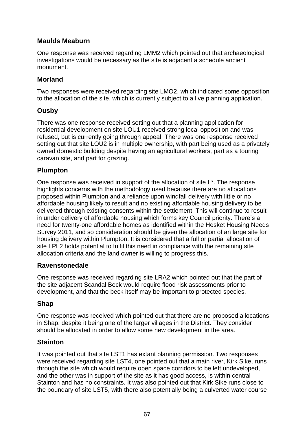## **Maulds Meaburn**

One response was received regarding LMM2 which pointed out that archaeological investigations would be necessary as the site is adjacent a schedule ancient monument.

### **Morland**

Two responses were received regarding site LMO2, which indicated some opposition to the allocation of the site, which is currently subject to a live planning application.

## **Ousby**

There was one response received setting out that a planning application for residential development on site LOU1 received strong local opposition and was refused, but is currently going through appeal. There was one response received setting out that site LOU2 is in multiple ownership, with part being used as a privately owned domestic building despite having an agricultural workers, part as a touring caravan site, and part for grazing.

### **Plumpton**

One response was received in support of the allocation of site L\*. The response highlights concerns with the methodology used because there are no allocations proposed within Plumpton and a reliance upon windfall delivery with little or no affordable housing likely to result and no existing affordable housing delivery to be delivered through existing consents within the settlement. This will continue to result in under delivery of affordable housing which forms key Council priority. There's a need for twenty-one affordable homes as identified within the Hesket Housing Needs Survey 2011, and so consideration should be given the allocation of an large site for housing delivery within Plumpton. It is considered that a full or partial allocation of site LPL2 holds potential to fulfil this need in compliance with the remaining site allocation criteria and the land owner is willing to progress this.

### **Ravenstonedale**

One response was received regarding site LRA2 which pointed out that the part of the site adjacent Scandal Beck would require flood risk assessments prior to development, and that the beck itself may be important to protected species.

### **Shap**

One response was received which pointed out that there are no proposed allocations in Shap, despite it being one of the larger villages in the District. They consider should be allocated in order to allow some new development in the area.

### **Stainton**

It was pointed out that site LST1 has extant planning permission. Two responses were received regarding site LST4, one pointed out that a main river, Kirk Sike, runs through the site which would require open space corridors to be left undeveloped, and the other was in support of the site as it has good access, is within central Stainton and has no constraints. It was also pointed out that Kirk Sike runs close to the boundary of site LST5, with there also potentially being a culverted water course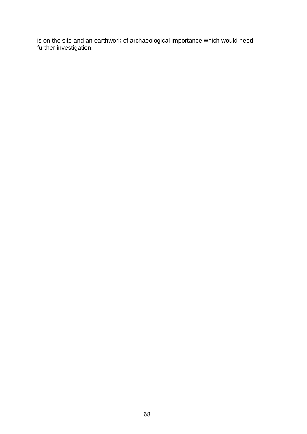is on the site and an earthwork of archaeological importance which would need further investigation.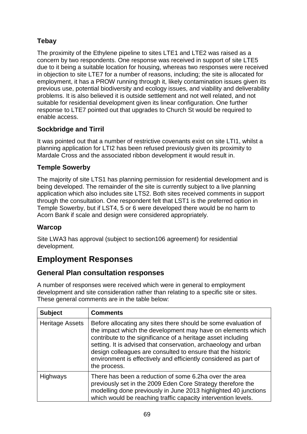# **Tebay**

The proximity of the Ethylene pipeline to sites LTE1 and LTE2 was raised as a concern by two respondents. One response was received in support of site LTE5 due to it being a suitable location for housing, whereas two responses were received in objection to site LTE7 for a number of reasons, including; the site is allocated for employment, it has a PROW running through it, likely contamination issues given its previous use, potential biodiversity and ecology issues, and viability and deliverability problems. It is also believed it is outside settlement and not well related, and not suitable for residential development given its linear configuration. One further response to LTE7 pointed out that upgrades to Church St would be required to enable access.

## **Sockbridge and Tirril**

It was pointed out that a number of restrictive covenants exist on site LTI1, whilst a planning application for LTI2 has been refused previously given its proximity to Mardale Cross and the associated ribbon development it would result in.

### **Temple Sowerby**

The majority of site LTS1 has planning permission for residential development and is being developed. The remainder of the site is currently subject to a live planning application which also includes site LTS2. Both sites received comments in support through the consultation. One respondent felt that LST1 is the preferred option in Temple Sowerby, but if LST4, 5 or 6 were developed there would be no harm to Acorn Bank if scale and design were considered appropriately.

### **Warcop**

Site LWA3 has approval (subject to section106 agreement) for residential development.

# **Employment Responses**

## **General Plan consultation responses**

A number of responses were received which were in general to employment development and site consideration rather than relating to a specific site or sites. These general comments are in the table below:

| <b>Subject</b>         | <b>Comments</b>                                                                                                                                                                                                                                                                                                                                                                                                     |
|------------------------|---------------------------------------------------------------------------------------------------------------------------------------------------------------------------------------------------------------------------------------------------------------------------------------------------------------------------------------------------------------------------------------------------------------------|
| <b>Heritage Assets</b> | Before allocating any sites there should be some evaluation of<br>the impact which the development may have on elements which<br>contribute to the significance of a heritage asset including<br>setting. It is advised that conservation, archaeology and urban<br>design colleagues are consulted to ensure that the historic<br>environment is effectively and efficiently considered as part of<br>the process. |
| Highways               | There has been a reduction of some 6.2ha over the area<br>previously set in the 2009 Eden Core Strategy therefore the<br>modelling done previously in June 2013 highlighted 40 junctions<br>which would be reaching traffic capacity intervention levels.                                                                                                                                                           |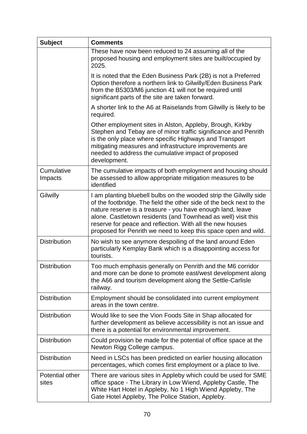| <b>Subject</b>           | <b>Comments</b>                                                                                                                                                                                                                                                                                                                                                                                         |
|--------------------------|---------------------------------------------------------------------------------------------------------------------------------------------------------------------------------------------------------------------------------------------------------------------------------------------------------------------------------------------------------------------------------------------------------|
|                          | These have now been reduced to 24 assuming all of the<br>proposed housing and employment sites are built/occupied by<br>2025.                                                                                                                                                                                                                                                                           |
|                          | It is noted that the Eden Business Park (2B) is not a Preferred<br>Option therefore a northern link to Gilwilly/Eden Business Park<br>from the B5303/M6 junction 41 will not be required until<br>significant parts of the site are taken forward.                                                                                                                                                      |
|                          | A shorter link to the A6 at Raiselands from Gilwilly is likely to be<br>required.                                                                                                                                                                                                                                                                                                                       |
|                          | Other employment sites in Alston, Appleby, Brough, Kirkby<br>Stephen and Tebay are of minor traffic significance and Penrith<br>is the only place where specific Highways and Transport<br>mitigating measures and infrastructure improvements are<br>needed to address the cumulative impact of proposed<br>development.                                                                               |
| Cumulative<br>Impacts    | The cumulative impacts of both employment and housing should<br>be assessed to allow appropriate mitigation measures to be<br>identified                                                                                                                                                                                                                                                                |
| Gilwilly                 | I am planting bluebell bulbs on the wooded strip the Gilwilly side<br>of the footbridge. The field the other side of the beck next to the<br>nature reserve is a treasure - you have enough land, leave<br>alone. Castletown residents (and Townhead as well) visit this<br>reserve for peace and reflection. With all the new houses<br>proposed for Penrith we need to keep this space open and wild. |
| <b>Distribution</b>      | No wish to see anymore despoiling of the land around Eden<br>particularly Kemplay Bank which is a disappointing access for<br>tourists.                                                                                                                                                                                                                                                                 |
| <b>Distribution</b>      | Too much emphasis generally on Penrith and the M6 corridor<br>and more can be done to promote east/west development along<br>the A66 and tourism development along the Settle-Carlisle<br>railway.                                                                                                                                                                                                      |
| <b>Distribution</b>      | Employment should be consolidated into current employment<br>areas in the town centre.                                                                                                                                                                                                                                                                                                                  |
| <b>Distribution</b>      | Would like to see the Vion Foods Site in Shap allocated for<br>further development as believe accessibility is not an issue and<br>there is a potential for environmental improvement.                                                                                                                                                                                                                  |
| <b>Distribution</b>      | Could provision be made for the potential of office space at the<br>Newton Rigg College campus.                                                                                                                                                                                                                                                                                                         |
| <b>Distribution</b>      | Need in LSCs has been predicted on earlier housing allocation<br>percentages, which comes first employment or a place to live.                                                                                                                                                                                                                                                                          |
| Potential other<br>sites | There are various sites in Appleby which could be used for SME<br>office space - The Library in Low Wiend, Appleby Castle, The<br>White Hart Hotel in Appleby, No 1 High Wiend Appleby, The<br>Gate Hotel Appleby, The Police Station, Appleby.                                                                                                                                                         |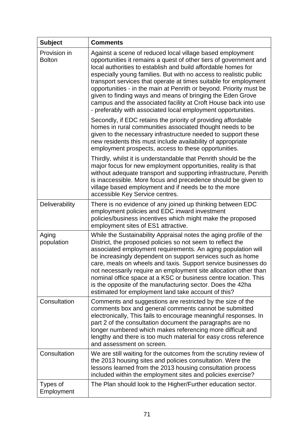| <b>Subject</b>                | <b>Comments</b>                                                                                                                                                                                                                                                                                                                                                                                                                                                                                                                                                                                                 |
|-------------------------------|-----------------------------------------------------------------------------------------------------------------------------------------------------------------------------------------------------------------------------------------------------------------------------------------------------------------------------------------------------------------------------------------------------------------------------------------------------------------------------------------------------------------------------------------------------------------------------------------------------------------|
| Provision in<br><b>Bolton</b> | Against a scene of reduced local village based employment<br>opportunities it remains a quest of other tiers of government and<br>local authorities to establish and build affordable homes for<br>especially young families. But with no access to realistic public<br>transport services that operate at times suitable for employment<br>opportunities - in the main at Penrith or beyond. Priority must be<br>given to finding ways and means of bringing the Eden Grove<br>campus and the associated facility at Croft House back into use<br>- preferably with associated local employment opportunities. |
|                               | Secondly, if EDC retains the priority of providing affordable<br>homes in rural communities associated thought needs to be<br>given to the necessary infrastructure needed to support these<br>new residents this must include availability of appropriate<br>employment prospects, access to these opportunities.                                                                                                                                                                                                                                                                                              |
|                               | Thirdly, whilst it is understandable that Penrith should be the<br>major focus for new employment opportunities, reality is that<br>without adequate transport and supporting infrastructure, Penrith<br>is inaccessible. More focus and precedence should be given to<br>village based employment and if needs be to the more<br>accessible Key Service centres.                                                                                                                                                                                                                                               |
| Deliverability                | There is no evidence of any joined up thinking between EDC<br>employment policies and EDC inward investment<br>policies/business incentives which might make the proposed<br>employment sites of ES1 attractive.                                                                                                                                                                                                                                                                                                                                                                                                |
| Aging<br>population           | While the Sustainability Appraisal notes the aging profile of the<br>District, the proposed policies so not seem to reflect the<br>associated employment requirements. An aging population will<br>be increasingly dependent on support services such as home<br>care, meals on wheels and taxis. Support service businesses do<br>not necessarily require an employment site allocation other than<br>nominal office space at a KSC or business centre location. This<br>is the opposite of the manufacturing sector. Does the 42ha<br>estimated for employment land take account of this?                     |
| Consultation                  | Comments and suggestions are restricted by the size of the<br>comments box and general comments cannot be submitted<br>electronically, This fails to encourage meaningful responses. In<br>part 2 of the consultation document the paragraphs are no<br>longer numbered which makes referencing more difficult and<br>lengthy and there is too much material for easy cross reference<br>and assessment on screen.                                                                                                                                                                                              |
| Consultation                  | We are still waiting for the outcomes from the scrutiny review of<br>the 2013 housing sites and policies consultation. Were the<br>lessons learned from the 2013 housing consultation process<br>included within the employment sites and policies exercise?                                                                                                                                                                                                                                                                                                                                                    |
| Types of<br>Employment        | The Plan should look to the Higher/Further education sector.                                                                                                                                                                                                                                                                                                                                                                                                                                                                                                                                                    |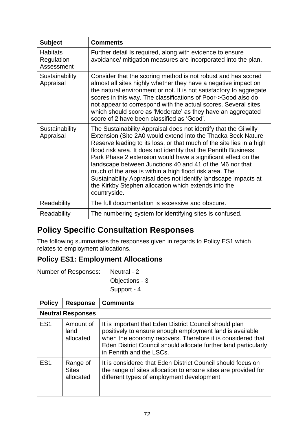| <b>Subject</b>                              | <b>Comments</b>                                                                                                                                                                                                                                                                                                                                                                                                                                                                                                                                                                                               |
|---------------------------------------------|---------------------------------------------------------------------------------------------------------------------------------------------------------------------------------------------------------------------------------------------------------------------------------------------------------------------------------------------------------------------------------------------------------------------------------------------------------------------------------------------------------------------------------------------------------------------------------------------------------------|
| <b>Habitats</b><br>Regulation<br>Assessment | Further detail Is required, along with evidence to ensure<br>avoidance/ mitigation measures are incorporated into the plan.                                                                                                                                                                                                                                                                                                                                                                                                                                                                                   |
| Sustainability<br>Appraisal                 | Consider that the scoring method is not robust and has scored<br>almost all sites highly whether they have a negative impact on<br>the natural environment or not. It is not satisfactory to aggregate<br>scores in this way. The classifications of Poor->Good also do<br>not appear to correspond with the actual scores. Several sites<br>which should score as 'Moderate' as they have an aggregated<br>score of 2 have been classified as 'Good'.                                                                                                                                                        |
| Sustainability<br>Appraisal                 | The Sustainability Appraisal does not identify that the Gilwilly<br>Extension (Site 2A0 would extend into the Thacka Beck Nature<br>Reserve leading to its loss, or that much of the site lies in a high<br>flood risk area. It does not identify that the Penrith Business<br>Park Phase 2 extension would have a significant effect on the<br>landscape between Junctions 40 and 41 of the M6 nor that<br>much of the area is within a high flood risk area. The<br>Sustainability Appraisal does not identify landscape impacts at<br>the Kirkby Stephen allocation which extends into the<br>countryside. |
| Readability                                 | The full documentation is excessive and obscure.                                                                                                                                                                                                                                                                                                                                                                                                                                                                                                                                                              |
| Readability                                 | The numbering system for identifying sites is confused.                                                                                                                                                                                                                                                                                                                                                                                                                                                                                                                                                       |

# **Policy Specific Consultation Responses**

The following summarises the responses given in regards to Policy ES1 which relates to employment allocations.

## **Policy ES1: Employment Allocations**

| Number of Responses: | Neutral - 2    |  |
|----------------------|----------------|--|
|                      | Objections - 3 |  |
|                      | Support - 4    |  |

**Policy Response Comments Neutral Responses** ES1 Amount of land allocated It is important that Eden District Council should plan positively to ensure enough employment land is available when the economy recovers. Therefore it is considered that Eden District Council should allocate further land particularly in Penrith and the LSCs. ES1 | Range of **Sites** allocated It is considered that Eden District Council should focus on the range of sites allocation to ensure sites are provided for different types of employment development.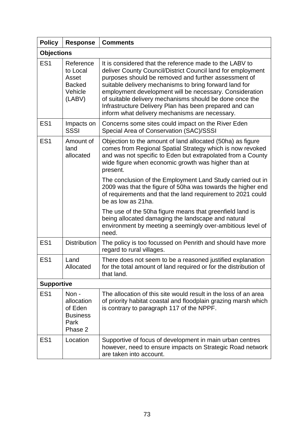| <b>Policy</b>     | <b>Response</b>                                                      | <b>Comments</b>                                                                                                                                                                                                                                                                                                                                                                                                                                                            |
|-------------------|----------------------------------------------------------------------|----------------------------------------------------------------------------------------------------------------------------------------------------------------------------------------------------------------------------------------------------------------------------------------------------------------------------------------------------------------------------------------------------------------------------------------------------------------------------|
| <b>Objections</b> |                                                                      |                                                                                                                                                                                                                                                                                                                                                                                                                                                                            |
| ES <sub>1</sub>   | Reference<br>to Local<br>Asset<br><b>Backed</b><br>Vehicle<br>(LABV) | It is considered that the reference made to the LABV to<br>deliver County Council/District Council land for employment<br>purposes should be removed and further assessment of<br>suitable delivery mechanisms to bring forward land for<br>employment development will be necessary. Consideration<br>of suitable delivery mechanisms should be done once the<br>Infrastructure Delivery Plan has been prepared and can<br>inform what delivery mechanisms are necessary. |
| ES <sub>1</sub>   | Impacts on<br><b>SSSI</b>                                            | Concerns some sites could impact on the River Eden<br>Special Area of Conservation (SAC)/SSSI                                                                                                                                                                                                                                                                                                                                                                              |
| ES <sub>1</sub>   | Amount of<br>land<br>allocated                                       | Objection to the amount of land allocated (50ha) as figure<br>comes from Regional Spatial Strategy which is now revoked<br>and was not specific to Eden but extrapolated from a County<br>wide figure when economic growth was higher than at<br>present.                                                                                                                                                                                                                  |
|                   |                                                                      | The conclusion of the Employment Land Study carried out in<br>2009 was that the figure of 50ha was towards the higher end<br>of requirements and that the land requirement to 2021 could<br>be as low as 21ha.                                                                                                                                                                                                                                                             |
|                   |                                                                      | The use of the 50ha figure means that greenfield land is<br>being allocated damaging the landscape and natural<br>environment by meeting a seemingly over-ambitious level of<br>need.                                                                                                                                                                                                                                                                                      |
| ES <sub>1</sub>   | <b>Distribution</b>                                                  | The policy is too focussed on Penrith and should have more<br>regard to rural villages.                                                                                                                                                                                                                                                                                                                                                                                    |
| ES <sub>1</sub>   | Land<br>Allocated                                                    | There does not seem to be a reasoned justified explanation<br>for the total amount of land required or for the distribution of<br>that land.                                                                                                                                                                                                                                                                                                                               |
| <b>Supportive</b> |                                                                      |                                                                                                                                                                                                                                                                                                                                                                                                                                                                            |
| ES <sub>1</sub>   | Non -<br>allocation<br>of Eden<br><b>Business</b><br>Park<br>Phase 2 | The allocation of this site would result in the loss of an area<br>of priority habitat coastal and floodplain grazing marsh which<br>is contrary to paragraph 117 of the NPPF.                                                                                                                                                                                                                                                                                             |
| ES <sub>1</sub>   | Location                                                             | Supportive of focus of development in main urban centres<br>however, need to ensure impacts on Strategic Road network<br>are taken into account.                                                                                                                                                                                                                                                                                                                           |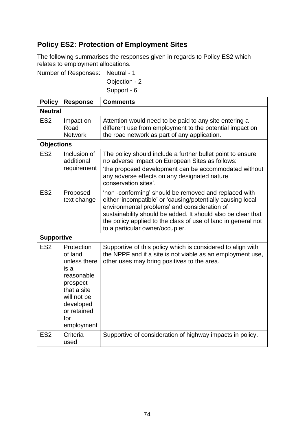# **Policy ES2: Protection of Employment Sites**

The following summarises the responses given in regards to Policy ES2 which relates to employment allocations.

Number of Responses: Neutral - 1

Objection - 2 Support - 6

| <b>Policy</b>     | <b>Response</b>                                                                                                                                        | <b>Comments</b>                                                                                                                                                                                                                                                                                                                         |
|-------------------|--------------------------------------------------------------------------------------------------------------------------------------------------------|-----------------------------------------------------------------------------------------------------------------------------------------------------------------------------------------------------------------------------------------------------------------------------------------------------------------------------------------|
| <b>Neutral</b>    |                                                                                                                                                        |                                                                                                                                                                                                                                                                                                                                         |
| ES <sub>2</sub>   | Impact on<br>Road<br><b>Network</b>                                                                                                                    | Attention would need to be paid to any site entering a<br>different use from employment to the potential impact on<br>the road network as part of any application.                                                                                                                                                                      |
| <b>Objections</b> |                                                                                                                                                        |                                                                                                                                                                                                                                                                                                                                         |
| ES <sub>2</sub>   | Inclusion of<br>additional<br>requirement                                                                                                              | The policy should include a further bullet point to ensure<br>no adverse impact on European Sites as follows:<br>'the proposed development can be accommodated without<br>any adverse effects on any designated nature<br>conservation sites'.                                                                                          |
| ES <sub>2</sub>   | Proposed<br>text change                                                                                                                                | 'non-conforming' should be removed and replaced with<br>either 'incompatible' or 'causing/potentially causing local<br>environmental problems' and consideration of<br>sustainability should be added. It should also be clear that<br>the policy applied to the class of use of land in general not<br>to a particular owner/occupier. |
| <b>Supportive</b> |                                                                                                                                                        |                                                                                                                                                                                                                                                                                                                                         |
| ES <sub>2</sub>   | Protection<br>of land<br>unless there<br>is a<br>reasonable<br>prospect<br>that a site<br>will not be<br>developed<br>or retained<br>for<br>employment | Supportive of this policy which is considered to align with<br>the NPPF and if a site is not viable as an employment use,<br>other uses may bring positives to the area.                                                                                                                                                                |
| ES <sub>2</sub>   | Criteria<br>used                                                                                                                                       | Supportive of consideration of highway impacts in policy.                                                                                                                                                                                                                                                                               |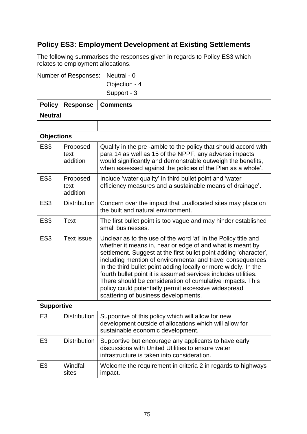# **Policy ES3: Employment Development at Existing Settlements**

The following summarises the responses given in regards to Policy ES3 which relates to employment allocations.

Number of Responses: Neutral - 0

Objection - 4

Support - 3

| <b>Policy</b>     | <b>Response</b>              | <b>Comments</b>                                                                                                                                                                                                                                                                                                                                                                                                                                                                                                                                                   |  |
|-------------------|------------------------------|-------------------------------------------------------------------------------------------------------------------------------------------------------------------------------------------------------------------------------------------------------------------------------------------------------------------------------------------------------------------------------------------------------------------------------------------------------------------------------------------------------------------------------------------------------------------|--|
|                   | <b>Neutral</b>               |                                                                                                                                                                                                                                                                                                                                                                                                                                                                                                                                                                   |  |
|                   |                              |                                                                                                                                                                                                                                                                                                                                                                                                                                                                                                                                                                   |  |
| <b>Objections</b> |                              |                                                                                                                                                                                                                                                                                                                                                                                                                                                                                                                                                                   |  |
| ES <sub>3</sub>   | Proposed<br>text<br>addition | Qualify in the pre-amble to the policy that should accord with<br>para 14 as well as 15 of the NPPF, any adverse impacts<br>would significantly and demonstrable outweigh the benefits,<br>when assessed against the policies of the Plan as a whole'.                                                                                                                                                                                                                                                                                                            |  |
| ES <sub>3</sub>   | Proposed<br>text<br>addition | Include 'water quality' in third bullet point and 'water<br>efficiency measures and a sustainable means of drainage'.                                                                                                                                                                                                                                                                                                                                                                                                                                             |  |
| ES <sub>3</sub>   | <b>Distribution</b>          | Concern over the impact that unallocated sites may place on<br>the built and natural environment.                                                                                                                                                                                                                                                                                                                                                                                                                                                                 |  |
| ES <sub>3</sub>   | <b>Text</b>                  | The first bullet point is too vague and may hinder established<br>small businesses.                                                                                                                                                                                                                                                                                                                                                                                                                                                                               |  |
| ES <sub>3</sub>   | <b>Text issue</b>            | Unclear as to the use of the word 'at' in the Policy title and<br>whether it means in, near or edge of and what is meant by<br>settlement. Suggest at the first bullet point adding 'character',<br>including mention of environmental and travel consequences.<br>In the third bullet point adding locally or more widely. In the<br>fourth bullet point it is assumed services includes utilities.<br>There should be consideration of cumulative impacts. This<br>policy could potentially permit excessive widespread<br>scattering of business developments. |  |
| <b>Supportive</b> |                              |                                                                                                                                                                                                                                                                                                                                                                                                                                                                                                                                                                   |  |
| E <sub>3</sub>    | <b>Distribution</b>          | Supportive of this policy which will allow for new<br>development outside of allocations which will allow for<br>sustainable economic development.                                                                                                                                                                                                                                                                                                                                                                                                                |  |
| E <sub>3</sub>    | <b>Distribution</b>          | Supportive but encourage any applicants to have early<br>discussions with United Utilities to ensure water<br>infrastructure is taken into consideration.                                                                                                                                                                                                                                                                                                                                                                                                         |  |
| E <sub>3</sub>    | Windfall<br>sites            | Welcome the requirement in criteria 2 in regards to highways<br>impact.                                                                                                                                                                                                                                                                                                                                                                                                                                                                                           |  |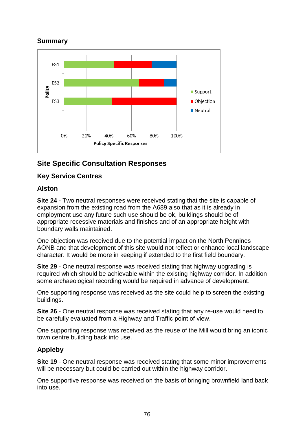## **Summary**



# **Site Specific Consultation Responses**

### **Key Service Centres**

### **Alston**

**Site 24** - Two neutral responses were received stating that the site is capable of expansion from the existing road from the A689 also that as it is already in employment use any future such use should be ok, buildings should be of appropriate recessive materials and finishes and of an appropriate height with boundary walls maintained.

One objection was received due to the potential impact on the North Pennines AONB and that development of this site would not reflect or enhance local landscape character. It would be more in keeping if extended to the first field boundary.

**Site 29** - One neutral response was received stating that highway upgrading is required which should be achievable within the existing highway corridor. In addition some archaeological recording would be required in advance of development.

One supporting response was received as the site could help to screen the existing buildings.

**Site 26** - One neutral response was received stating that any re-use would need to be carefully evaluated from a Highway and Traffic point of view.

One supporting response was received as the reuse of the Mill would bring an iconic town centre building back into use.

## **Appleby**

**Site 19** - One neutral response was received stating that some minor improvements will be necessary but could be carried out within the highway corridor.

One supportive response was received on the basis of bringing brownfield land back into use.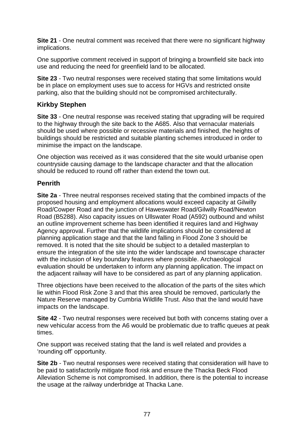**Site 21** - One neutral comment was received that there were no significant highway implications.

One supportive comment received in support of bringing a brownfield site back into use and reducing the need for greenfield land to be allocated.

**Site 23** - Two neutral responses were received stating that some limitations would be in place on employment uses sue to access for HGVs and restricted onsite parking, also that the building should not be compromised architecturally.

### **Kirkby Stephen**

**Site 33** - One neutral response was received stating that upgrading will be required to the highway through the site back to the A685. Also that vernacular materials should be used where possible or recessive materials and finished, the heights of buildings should be restricted and suitable planting schemes introduced in order to minimise the impact on the landscape.

One objection was received as it was considered that the site would urbanise open countryside causing damage to the landscape character and that the allocation should be reduced to round off rather than extend the town out.

#### **Penrith**

**Site 2a** - Three neutral responses received stating that the combined impacts of the proposed housing and employment allocations would exceed capacity at Gilwilly Road/Cowper Road and the junction of Haweswater Road/Gilwilly Road/Newton Road (B5288). Also capacity issues on Ullswater Road (A592) outbound and whilst an outline improvement scheme has been identified it requires land and Highway Agency approval. Further that the wildlife implications should be considered at planning application stage and that the land falling in Flood Zone 3 should be removed. It is noted that the site should be subject to a detailed masterplan to ensure the integration of the site into the wider landscape and townscape character with the inclusion of key boundary features where possible. Archaeological evaluation should be undertaken to inform any planning application. The impact on the adjacent railway will have to be considered as part of any planning application.

Three objections have been received to the allocation of the parts of the sites which lie within Flood Risk Zone 3 and that this area should be removed, particularly the Nature Reserve managed by Cumbria Wildlife Trust. Also that the land would have impacts on the landscape.

**Site 42** - Two neutral responses were received but both with concerns stating over a new vehicular access from the A6 would be problematic due to traffic queues at peak times.

One support was received stating that the land is well related and provides a 'rounding off' opportunity.

**Site 2b** - Two neutral responses were received stating that consideration will have to be paid to satisfactorily mitigate flood risk and ensure the Thacka Beck Flood Alleviation Scheme is not compromised. In addition, there is the potential to increase the usage at the railway underbridge at Thacka Lane.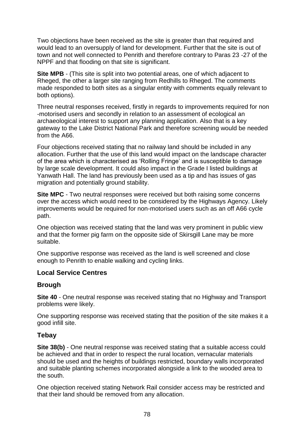Two objections have been received as the site is greater than that required and would lead to an oversupply of land for development. Further that the site is out of town and not well connected to Penrith and therefore contrary to Paras 23 -27 of the NPPF and that flooding on that site is significant.

**Site MPB** - (This site is split into two potential areas, one of which adjacent to Rheged, the other a larger site ranging from Redhills to Rheged. The comments made responded to both sites as a singular entity with comments equally relevant to both options).

Three neutral responses received, firstly in regards to improvements required for non -motorised users and secondly in relation to an assessment of ecological an archaeological interest to support any planning application. Also that is a key gateway to the Lake District National Park and therefore screening would be needed from the A66.

Four objections received stating that no railway land should be included in any allocation. Further that the use of this land would impact on the landscape character of the area which is characterised as 'Rolling Fringe' and is susceptible to damage by large scale development. It could also impact in the Grade I listed buildings at Yanwath Hall. The land has previously been used as a tip and has issues of gas migration and potentially ground stability.

**Site MPC** - Two neutral responses were received but both raising some concerns over the access which would need to be considered by the Highways Agency. Likely improvements would be required for non-motorised users such as an off A66 cycle path.

One objection was received stating that the land was very prominent in public view and that the former pig farm on the opposite side of Skirsgill Lane may be more suitable.

One supportive response was received as the land is well screened and close enough to Penrith to enable walking and cycling links.

#### **Local Service Centres**

#### **Brough**

**Site 40** - One neutral response was received stating that no Highway and Transport problems were likely.

One supporting response was received stating that the position of the site makes it a good infill site.

#### **Tebay**

**Site 38(b)** - One neutral response was received stating that a suitable access could be achieved and that in order to respect the rural location, vernacular materials should be used and the heights of buildings restricted, boundary walls incorporated and suitable planting schemes incorporated alongside a link to the wooded area to the south.

One objection received stating Network Rail consider access may be restricted and that their land should be removed from any allocation.